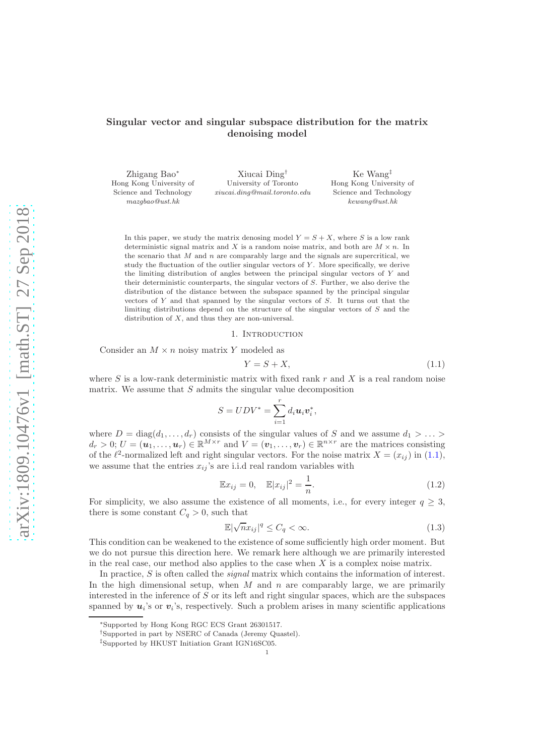# Singular vector and singular subspace distribution for the matrix denoising model

Zhigang Bao<sup>∗</sup> Hong Kong University of Science and Technology *mazgbao@ust.hk* Xiucai Ding† University of Toronto *xiucai.ding@mail.toronto.edu* Ke Wang‡ Hong Kong University of Science and Technology *kewang@ust.hk*

In this paper, we study the matrix denosing model  $Y = S + X$ , where S is a low rank deterministic signal matrix and X is a random noise matrix, and both are  $M \times n$ . In the scenario that  $M$  and  $n$  are comparably large and the signals are supercritical, we study the fluctuation of the outlier singular vectors of  $Y$ . More specifically, we derive the limiting distribution of angles between the principal singular vectors of Y and their deterministic counterparts, the singular vectors of S. Further, we also derive the distribution of the distance between the subspace spanned by the principal singular vectors of  $Y$  and that spanned by the singular vectors of  $S$ . It turns out that the limiting distributions depend on the structure of the singular vectors of S and the distribution of  $X$ , and thus they are non-universal.

#### 1. INTRODUCTION

Consider an  $M \times n$  noisy matrix Y modeled as

<span id="page-0-0"></span>
$$
Y = S + X,\tag{1.1}
$$

where S is a low-rank deterministic matrix with fixed rank  $r$  and X is a real random noise matrix. We assume that  $S$  admits the singular value decomposition

$$
S = UDV^* = \sum_{i=1}^r d_i \boldsymbol{u}_i \boldsymbol{v}_i^*,
$$

where  $D = \text{diag}(d_1, \ldots, d_r)$  consists of the singular values of S and we assume  $d_1 > \ldots >$  $d_r > 0$ ;  $U = (u_1, \ldots, u_r) \in \mathbb{R}^{M \times r}$  and  $V = (v_1, \ldots, v_r) \in \mathbb{R}^{n \times r}$  are the matrices consisting of the  $\ell^2$ -normalized left and right singular vectors. For the noise matrix  $X = (x_{ij})$  in [\(1.1\)](#page-0-0), we assume that the entries  $x_{ij}$ 's are i.i.d real random variables with

<span id="page-0-1"></span>
$$
\mathbb{E}x_{ij} = 0, \quad \mathbb{E}|x_{ij}|^2 = \frac{1}{n}.
$$
 (1.2)

For simplicity, we also assume the existence of all moments, i.e., for every integer  $q \geq 3$ , there is some constant  $C_q > 0$ , such that

<span id="page-0-2"></span>
$$
\mathbb{E}|\sqrt{n}x_{ij}|^q \le C_q < \infty. \tag{1.3}
$$

This condition can be weakened to the existence of some sufficiently high order moment. But we do not pursue this direction here. We remark here although we are primarily interested in the real case, our method also applies to the case when  $X$  is a complex noise matrix.

In practice, S is often called the signal matrix which contains the information of interest. In the high dimensional setup, when  $M$  and  $n$  are comparably large, we are primarily interested in the inference of  $S$  or its left and right singular spaces, which are the subspaces spanned by  $u_i$ 's or  $v_i$ 's, respectively. Such a problem arises in many scientific applications

<sup>∗</sup>Supported by Hong Kong RGC ECS Grant 26301517.

<sup>†</sup>Supported in part by NSERC of Canada (Jeremy Quastel).

<sup>‡</sup>Supported by HKUST Initiation Grant IGN16SC05.

<sup>1</sup>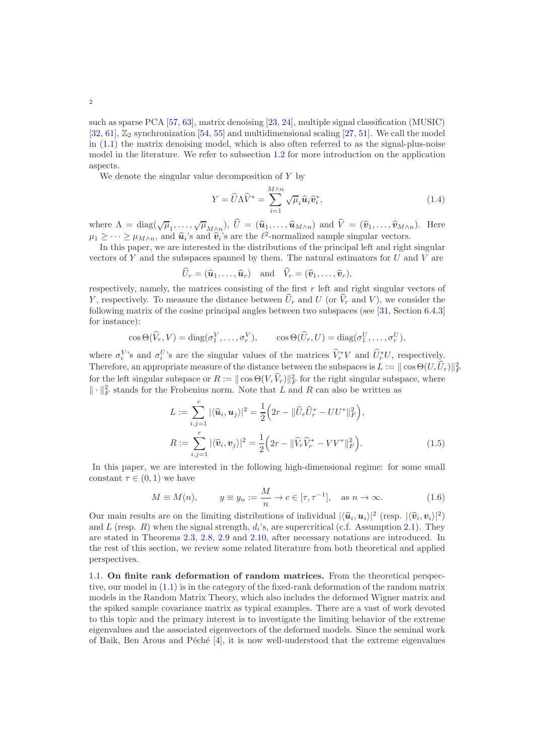2

such as sparse PCA [\[57](#page-50-0), [63](#page-51-0)], matrix denoising [\[23,](#page-49-0) [24](#page-49-1)], multiple signal classification (MUSIC) [\[32,](#page-49-2) [61](#page-50-1)],  $\mathbb{Z}_2$  synchronization [\[54,](#page-50-2) [55](#page-50-3)] and multidimensional scaling [\[27](#page-49-3), [51\]](#page-50-4). We call the model in [\(1.1\)](#page-0-0) the matrix denoising model, which is also often referred to as the signal-plus-noise model in the literature. We refer to subsection [1.2](#page-2-0) for more introduction on the application aspects.

We denote the singular value decomposition of  $Y$  by

$$
Y = \widehat{U}\Lambda \widehat{V}^* = \sum_{i=1}^{M \wedge n} \sqrt{\mu}_i \widehat{\mathbf{u}}_i \widehat{\mathbf{v}}_i^*,
$$
\n(1.4)

where  $\Lambda = \text{diag}(\sqrt{\mu}_1, \dots, \sqrt{\mu}_{M \wedge n}), \ \hat{U} = (\hat{u}_1, \dots, \hat{u}_{M \wedge n})$  and  $\hat{V} = (\hat{v}_1, \dots, \hat{v}_{M \wedge n}).$  Here  $\mu_1 \geq \cdots \geq \mu_{M \wedge n}$ , and  $\hat{u}_i$ 's and  $\hat{v}_i$ 's are the  $\ell^2$ -normalized sample singular vectors.

In this paper, we are interested in the distributions of the principal left and right singular vectors of  $Y$  and the subspaces spanned by them. The natural estimators for  $U$  and  $V$  are

$$
\widehat{U}_r = (\widehat{\boldsymbol{u}}_1, \ldots, \widehat{\boldsymbol{u}}_r) \text{ and } \widehat{V}_r = (\widehat{\boldsymbol{v}}_1, \ldots, \widehat{\boldsymbol{v}}_r),
$$

respectively, namely, the matrices consisting of the first r left and right singular vectors of Y, respectively. To measure the distance between  $\hat{U}_r$  and U (or  $\hat{V}_r$  and V), we consider the following matrix of the cosine principal angles between two subspaces (see [\[31,](#page-49-4) Section 6.4.3] for instance):

$$
\cos\Theta(\widehat{V}_r, V) = \text{diag}(\sigma_1^V, \dots, \sigma_r^V), \qquad \cos\Theta(\widehat{U}_r, U) = \text{diag}(\sigma_1^U, \dots, \sigma_r^U),
$$

where  $\sigma_i^V$ 's and  $\sigma_i^U$ 's are the singular values of the matrices  $\hat{V}_r^*V$  and  $\hat{U}_r^*U$ , respectively. Therefore, an appropriate measure of the distance between the subspaces is  $L := ||\cos\Theta(U, \hat{U}_r)||_F^2$ for the left singular subspace or  $R := ||\cos \Theta(V, \hat{V}_r)||_F^2$  for the right singular subspace, where  $\| \cdot \|_F^2$  stands for the Frobenius norm. Note that L and R can also be written as

<span id="page-1-0"></span>
$$
L := \sum_{i,j=1}^{r} |\langle \hat{u}_i, u_j \rangle|^2 = \frac{1}{2} \Big( 2r - ||\hat{U}_r \hat{U}_r^* - U U^*||_F^2 \Big),
$$
  
\n
$$
R := \sum_{i,j=1}^{r} |\langle \hat{v}_i, v_j \rangle|^2 = \frac{1}{2} \Big( 2r - ||\hat{V}_r \hat{V}_r^* - V V^*||_F^2 \Big).
$$
\n(1.5)

In this paper, we are interested in the following high-dimensional regime: for some small constant  $\tau \in (0, 1)$  we have

<span id="page-1-1"></span>
$$
M \equiv M(n), \qquad y \equiv y_n := \frac{M}{n} \to c \in [\tau, \tau^{-1}], \quad \text{as } n \to \infty.
$$
 (1.6)

Our main results are on the limiting distributions of individual  $|\langle \hat{u}_i, u_i \rangle|^2$  (resp.  $|\langle \hat{v}_i, v_i \rangle|^2$ ) and L (resp. R) when the signal strength,  $d_i$ 's, are supercritical (c.f. Assumption [2.1\)](#page-4-0). They are stated in Theorems [2.3,](#page-5-0) [2.8,](#page-6-0) [2.9](#page-6-1) and [2.10,](#page-7-0) after necessary notations are introduced. In the rest of this section, we review some related literature from both theoretical and applied perspectives.

1.1. On finite rank deformation of random matrices. From the theoretical perspective, our model in [\(1.1\)](#page-0-0) is in the category of the fixed-rank deformation of the random matrix models in the Random Matrix Theory, which also includes the deformed Wigner matrix and the spiked sample covariance matrix as typical examples. There are a vast of work devoted to this topic and the primary interest is to investigate the limiting behavior of the extreme eigenvalues and the associated eigenvectors of the deformed models. Since the seminal work of Baik, Ben Arous and Péché  $[4]$ , it is now well-understood that the extreme eigenvalues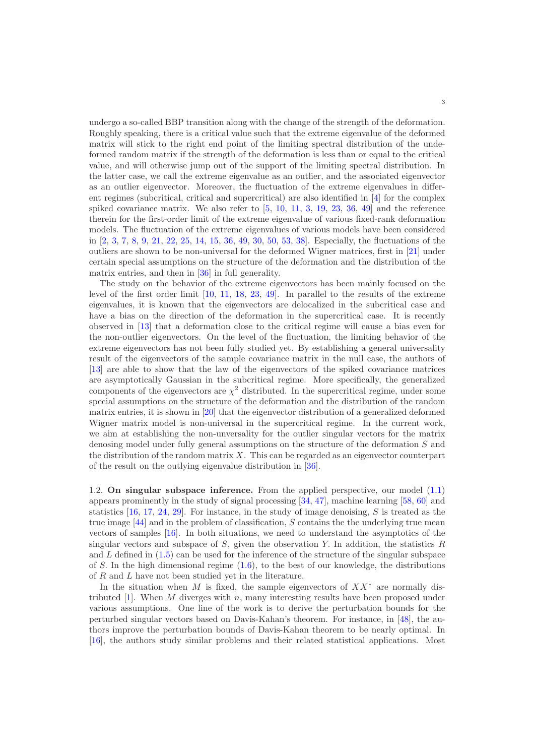undergo a so-called BBP transition along with the change of the strength of the deformation. Roughly speaking, there is a critical value such that the extreme eigenvalue of the deformed matrix will stick to the right end point of the limiting spectral distribution of the undeformed random matrix if the strength of the deformation is less than or equal to the critical value, and will otherwise jump out of the support of the limiting spectral distribution. In the latter case, we call the extreme eigenvalue as an outlier, and the associated eigenvector as an outlier eigenvector. Moreover, the fluctuation of the extreme eigenvalues in different regimes (subcritical, critical and supercritical) are also identified in [\[4\]](#page-48-0) for the complex spiked covariance matrix. We also refer to  $[5, 10, 11, 3, 19, 23, 36, 49]$  $[5, 10, 11, 3, 19, 23, 36, 49]$  $[5, 10, 11, 3, 19, 23, 36, 49]$  $[5, 10, 11, 3, 19, 23, 36, 49]$  $[5, 10, 11, 3, 19, 23, 36, 49]$  $[5, 10, 11, 3, 19, 23, 36, 49]$  $[5, 10, 11, 3, 19, 23, 36, 49]$  $[5, 10, 11, 3, 19, 23, 36, 49]$  $[5, 10, 11, 3, 19, 23, 36, 49]$  $[5, 10, 11, 3, 19, 23, 36, 49]$  $[5, 10, 11, 3, 19, 23, 36, 49]$  $[5, 10, 11, 3, 19, 23, 36, 49]$  $[5, 10, 11, 3, 19, 23, 36, 49]$  $[5, 10, 11, 3, 19, 23, 36, 49]$  and the reference therein for the first-order limit of the extreme eigenvalue of various fixed-rank deformation models. The fluctuation of the extreme eigenvalues of various models have been considered in [\[2,](#page-48-2) [3,](#page-48-1) [7,](#page-49-9) [8,](#page-49-10) [9](#page-49-11), [21](#page-49-12), [22](#page-49-13), [25](#page-49-14), [14,](#page-49-15) [15,](#page-49-16) [36,](#page-50-5) [49,](#page-50-6) [30,](#page-49-17) [50,](#page-50-7) [53,](#page-50-8) [38\]](#page-50-9). Especially, the fluctuations of the outliers are shown to be non-universal for the deformed Wigner matrices, first in [\[21](#page-49-12)] under certain special assumptions on the structure of the deformation and the distribution of the matrix entries, and then in [\[36\]](#page-50-5) in full generality.

The study on the behavior of the extreme eigenvectors has been mainly focused on the level of the first order limit [\[10,](#page-49-6) [11](#page-49-7), [18](#page-49-18), [23](#page-49-0), [49\]](#page-50-6). In parallel to the results of the extreme eigenvalues, it is known that the eigenvectors are delocalized in the subcritical case and have a bias on the direction of the deformation in the supercritical case. It is recently observed in [\[13](#page-49-19)] that a deformation close to the critical regime will cause a bias even for the non-outlier eigenvectors. On the level of the fluctuation, the limiting behavior of the extreme eigenvectors has not been fully studied yet. By establishing a general universality result of the eigenvectors of the sample covariance matrix in the null case, the authors of [\[13\]](#page-49-19) are able to show that the law of the eigenvectors of the spiked covariance matrices are asymptotically Gaussian in the subcritical regime. More specifically, the generalized components of the eigenvectors are  $\chi^2$  distributed. In the supercritical regime, under some special assumptions on the structure of the deformation and the distribution of the random matrix entries, it is shown in [\[20\]](#page-49-20) that the eigenvector distribution of a generalized deformed Wigner matrix model is non-universal in the supercritical regime. In the current work, we aim at establishing the non-unversality for the outlier singular vectors for the matrix denosing model under fully general assumptions on the structure of the deformation S and the distribution of the random matrix  $X$ . This can be regarded as an eigenvector counterpart of the result on the outlying eigenvalue distribution in [\[36\]](#page-50-5).

<span id="page-2-0"></span>1.2. On singular subspace inference. From the applied perspective, our model [\(1.1\)](#page-0-0) appears prominently in the study of signal processing [\[34](#page-50-10), [47\]](#page-50-11), machine learning [\[58,](#page-50-12) [60](#page-50-13)] and statistics  $[16, 17, 24, 29]$  $[16, 17, 24, 29]$  $[16, 17, 24, 29]$  $[16, 17, 24, 29]$  $[16, 17, 24, 29]$  $[16, 17, 24, 29]$  $[16, 17, 24, 29]$ . For instance, in the study of image denoising, S is treated as the true image  $[44]$  and in the problem of classification, S contains the the underlying true mean vectors of samples [\[16\]](#page-49-21). In both situations, we need to understand the asymptotics of the singular vectors and subspace of  $S$ , given the observation Y. In addition, the statistics  $R$ and  $L$  defined in  $(1.5)$  can be used for the inference of the structure of the singular subspace of S. In the high dimensional regime  $(1.6)$ , to the best of our knowledge, the distributions of R and L have not been studied yet in the literature.

In the situation when M is fixed, the sample eigenvectors of  $XX^*$  are normally distributed  $[1]$ . When M diverges with n, many interesting results have been proposed under various assumptions. One line of the work is to derive the perturbation bounds for the perturbed singular vectors based on Davis-Kahan's theorem. For instance, in [\[48\]](#page-50-15), the authors improve the perturbation bounds of Davis-Kahan theorem to be nearly optimal. In [\[16\]](#page-49-21), the authors study similar problems and their related statistical applications. Most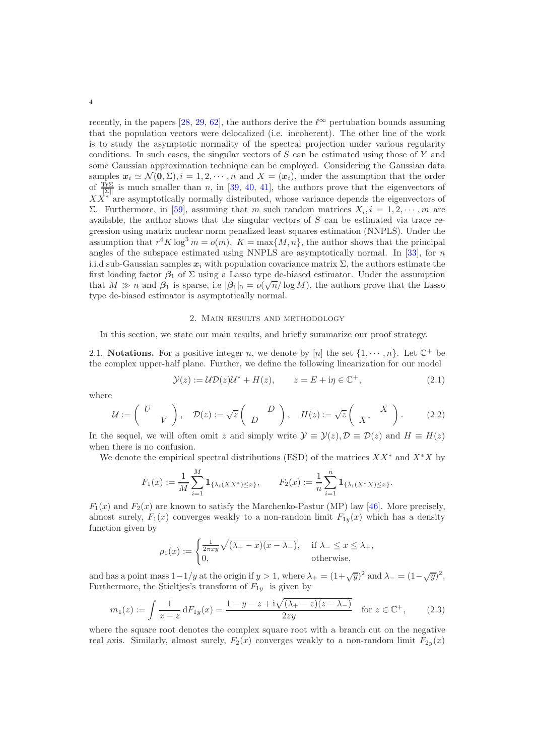recently, in the papers [\[28,](#page-49-24) [29,](#page-49-23) [62\]](#page-50-16), the authors derive the  $\ell^{\infty}$  pertubation bounds assuming that the population vectors were delocalized (i.e. incoherent). The other line of the work is to study the asymptotic normality of the spectral projection under various regularity conditions. In such cases, the singular vectors of  $S$  can be estimated using those of  $Y$  and some Gaussian approximation technique can be employed. Considering the Gaussian data samples  $x_i \simeq \mathcal{N}(0, \Sigma), i = 1, 2, \cdots, n$  and  $X = (x_i)$ , under the assumption that the order of  $\frac{\text{Tr}\Sigma}{\|\Sigma\|}$  is much smaller than n, in [\[39](#page-50-17), [40,](#page-50-18) [41\]](#page-50-19), the authors prove that the eigenvectors of  $XX^*$  are asymptotically normally distributed, whose variance depends the eigenvectors of Σ. Furthermore, in [\[59\]](#page-50-20), assuming that m such random matrices  $X_i, i = 1, 2, \dots, m$  are available, the author shows that the singular vectors of S can be estimated via trace regression using matrix nuclear norm penalized least squares estimation (NNPLS). Under the assumption that  $r^4 K \log^3 m = o(m)$ ,  $K = \max\{M, n\}$ , the author shows that the principal angles of the subspace estimated using NNPLS are asymptotically normal. In [\[33](#page-49-25)], for  $n$ i.i.d sub-Gaussian samples  $x_i$  with population covariance matrix  $\Sigma$ , the authors estimate the first loading factor  $\beta_1$  of  $\Sigma$  using a Lasso type de-biased estimator. Under the assumption that  $M \gg n$  and  $\beta_1$  is sparse, i.e  $|\beta_1|_0 = o(\sqrt{n}/\log M)$ , the authors prove that the Lasso type de-biased estimator is asymptotically normal.

### <span id="page-3-2"></span>2. Main results and methodology

In this section, we state our main results, and briefly summarize our proof strategy.

2.1. **Notations.** For a positive integer n, we denote by [n] the set  $\{1, \dots, n\}$ . Let  $\mathbb{C}^+$  be the complex upper-half plane. Further, we define the following linearization for our model

<span id="page-3-0"></span>
$$
\mathcal{Y}(z) := \mathcal{UD}(z)\mathcal{U}^* + H(z), \qquad z = E + i\eta \in \mathbb{C}^+, \tag{2.1}
$$

where

$$
\mathcal{U} := \begin{pmatrix} U \\ V \end{pmatrix}, \quad \mathcal{D}(z) := \sqrt{z} \begin{pmatrix} D \\ D \end{pmatrix}, \quad H(z) := \sqrt{z} \begin{pmatrix} X \\ X^* \end{pmatrix}.
$$
 (2.2)

In the sequel, we will often omit z and simply write  $\mathcal{Y} \equiv \mathcal{Y}(z), \mathcal{D} \equiv \mathcal{D}(z)$  and  $H \equiv H(z)$ when there is no confusion.

We denote the empirical spectral distributions (ESD) of the matrices  $XX^*$  and  $X^*X$  by

$$
F_1(x) := \frac{1}{M} \sum_{i=1}^M \mathbf{1}_{\{\lambda_i(XX^*) \le x\}}, \qquad F_2(x) := \frac{1}{n} \sum_{i=1}^n \mathbf{1}_{\{\lambda_i(X^*X) \le x\}}.
$$

 $F_1(x)$  and  $F_2(x)$  are known to satisfy the Marchenko-Pastur (MP) law [\[46](#page-50-21)]. More precisely, almost surely,  $F_1(x)$  converges weakly to a non-random limit  $F_{1y}(x)$  which has a density function given by

$$
\rho_1(x) := \begin{cases} \frac{1}{2\pi xy} \sqrt{(\lambda_+ - x)(x - \lambda_-)}, & \text{if } \lambda_- \le x \le \lambda_+, \\ 0, & \text{otherwise}, \end{cases}
$$

and has a point mass  $1-1/y$  at the origin if  $y > 1$ , where  $\lambda_{+} = (1+\sqrt{y})^2$  and  $\lambda_{-} = (1-\sqrt{y})^2$ . Furthermore, the Stieltjes's transform of  $F_{1y}$  is given by

<span id="page-3-1"></span>
$$
m_1(z) := \int \frac{1}{x - z} dF_{1y}(x) = \frac{1 - y - z + i\sqrt{(\lambda_+ - z)(z - \lambda_-)}}{2zy} \quad \text{for } z \in \mathbb{C}^+, \tag{2.3}
$$

where the square root denotes the complex square root with a branch cut on the negative real axis. Similarly, almost surely,  $F_2(x)$  converges weakly to a non-random limit  $F_{2y}(x)$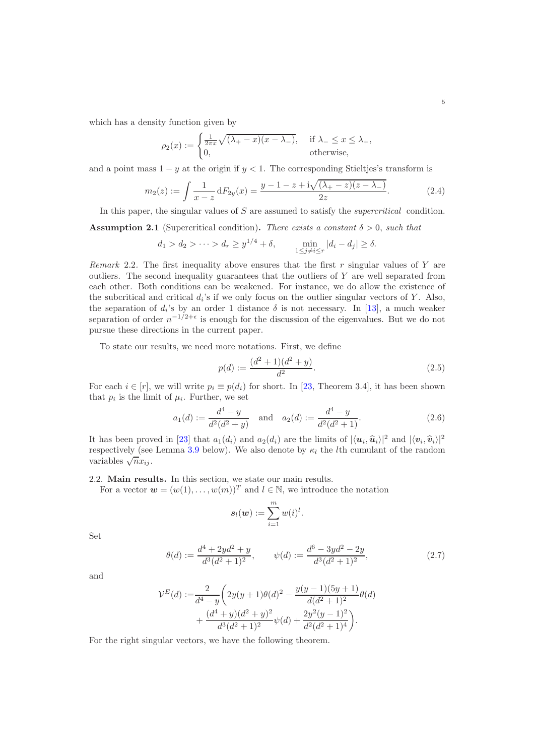which has a density function given by

$$
\rho_2(x) := \begin{cases} \frac{1}{2\pi x} \sqrt{(\lambda_+ - x)(x - \lambda_-)}, & \text{if } \lambda_- \le x \le \lambda_+, \\ 0, & \text{otherwise}, \end{cases}
$$

and a point mass  $1 - y$  at the origin if  $y < 1$ . The corresponding Stieltjes's transform is

<span id="page-4-1"></span>
$$
m_2(z) := \int \frac{1}{x - z} dF_{2y}(x) = \frac{y - 1 - z + i\sqrt{(\lambda_+ - z)(z - \lambda_-)}}{2z}.
$$
 (2.4)

In this paper, the singular values of S are assumed to satisfy the *supercritical* condition.

<span id="page-4-0"></span>**Assumption 2.1** (Supercritical condition). There exists a constant  $\delta > 0$ , such that

$$
d_1 > d_2 > \dots > d_r \ge y^{1/4} + \delta,
$$
  $\min_{1 \le j \ne i \le r} |d_i - d_j| \ge \delta.$ 

Remark 2.2. The first inequality above ensures that the first  $r$  singular values of  $Y$  are outliers. The second inequality guarantees that the outliers of  $Y$  are well separated from each other. Both conditions can be weakened. For instance, we do allow the existence of the subcritical and critical  $d_i$ 's if we only focus on the outlier singular vectors of Y. Also, the separation of  $d_i$ 's by an order 1 distance  $\delta$  is not necessary. In [\[13\]](#page-49-19), a much weaker separation of order  $n^{-1/2+\epsilon}$  is enough for the discussion of the eigenvalues. But we do not pursue these directions in the current paper.

To state our results, we need more notations. First, we define

<span id="page-4-2"></span>
$$
p(d) := \frac{(d^2 + 1)(d^2 + y)}{d^2}.
$$
\n(2.5)

For each  $i \in [r]$ , we will write  $p_i \equiv p(d_i)$  for short. In [\[23,](#page-49-0) Theorem 3.4], it has been shown that  $p_i$  is the limit of  $\mu_i$ . Further, we set

<span id="page-4-3"></span>
$$
a_1(d) := \frac{d^4 - y}{d^2(d^2 + y)} \quad \text{and} \quad a_2(d) := \frac{d^4 - y}{d^2(d^2 + 1)}.
$$
 (2.6)

It has been proved in [\[23\]](#page-49-0) that  $a_1(d_i)$  and  $a_2(d_i)$  are the limits of  $|\langle u_i, \hat{u}_i \rangle|^2$  and  $|\langle v_i, \hat{v}_i \rangle|^2$ respectively (see Lemma [3.9](#page-13-0) below). We also denote by  $\kappa_l$  the *l*th cumulant of the random variables  $\sqrt{n}x_{ij}$ .

2.2. Main results. In this section, we state our main results.

For a vector  $\mathbf{w} = (w(1), \ldots, w(m))^T$  and  $l \in \mathbb{N}$ , we introduce the notation

<span id="page-4-4"></span>
$$
s_l(\boldsymbol{w}) := \sum_{i=1}^m w(i)^l.
$$

Set

$$
\theta(d) := \frac{d^4 + 2yd^2 + y}{d^3(d^2 + 1)^2}, \qquad \psi(d) := \frac{d^6 - 3yd^2 - 2y}{d^3(d^2 + 1)^2},\tag{2.7}
$$

and

$$
\mathcal{V}^{E}(d) := \frac{2}{d^{4} - y} \left( 2y(y+1)\theta(d)^{2} - \frac{y(y-1)(5y+1)}{d(d^{2} + 1)^{2}} \theta(d) + \frac{(d^{4} + y)(d^{2} + y)^{2}}{d^{3}(d^{2} + 1)^{2}} \psi(d) + \frac{2y^{2}(y-1)^{2}}{d^{2}(d^{2} + 1)^{4}} \right).
$$

For the right singular vectors, we have the following theorem.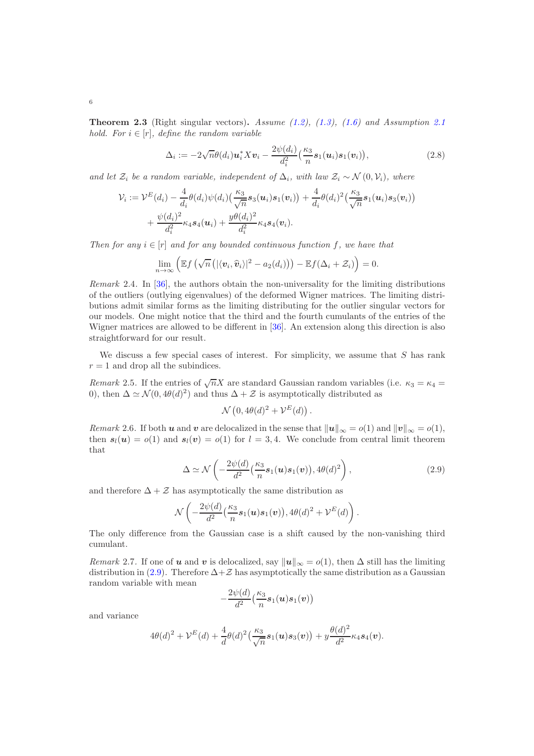<span id="page-5-0"></span>**Theorem 2.3** (Right singular vectors). Assume  $(1.2)$ ,  $(1.3)$ ,  $(1.6)$  and Assumption [2.1](#page-4-0) hold. For  $i \in [r]$ , define the random variable

<span id="page-5-2"></span>
$$
\Delta_i := -2\sqrt{n}\theta(d_i)\mathbf{u}_i^* X \mathbf{v}_i - \frac{2\psi(d_i)}{d_i^2} \left(\frac{\kappa_3}{n} \mathbf{s}_1(\mathbf{u}_i)\mathbf{s}_1(\mathbf{v}_i)\right),\tag{2.8}
$$

and let  $\mathcal{Z}_i$  be a random variable, independent of  $\Delta_i$ , with law  $\mathcal{Z}_i \sim \mathcal{N}(0, \mathcal{V}_i)$ , where

$$
\mathcal{V}_i := \mathcal{V}^E(d_i) - \frac{4}{d_i} \theta(d_i) \psi(d_i) \left( \frac{\kappa_3}{\sqrt{n}} s_3(\boldsymbol{u}_i) s_1(\boldsymbol{v}_i) \right) + \frac{4}{d_i} \theta(d_i)^2 \left( \frac{\kappa_3}{\sqrt{n}} s_1(\boldsymbol{u}_i) s_3(\boldsymbol{v}_i) \right) + \frac{\psi(d_i)^2}{d_i^2} \kappa_4 s_4(\boldsymbol{u}_i) + \frac{y \theta(d_i)^2}{d_i^2} \kappa_4 s_4(\boldsymbol{v}_i).
$$

Then for any  $i \in [r]$  and for any bounded continuous function f, we have that

$$
\lim_{n\to\infty}\left(\mathbb{E} f\left(\sqrt{n}\left(|\langle v_i,\widehat{v}_i\rangle|^2 - a_2(d_i)\right)\right) - \mathbb{E} f(\Delta_i + \mathcal{Z}_i)\right) = 0.
$$

Remark 2.4. In [\[36](#page-50-5)], the authors obtain the non-universality for the limiting distributions of the outliers (outlying eigenvalues) of the deformed Wigner matrices. The limiting distributions admit similar forms as the limiting distributing for the outlier singular vectors for our models. One might notice that the third and the fourth cumulants of the entries of the Wigner matrices are allowed to be different in [\[36\]](#page-50-5). An extension along this direction is also straightforward for our result.

We discuss a few special cases of interest. For simplicity, we assume that  $S$  has rank  $r = 1$  and drop all the subindices.

Remark 2.5. If the entries of  $\sqrt{n}X$  are standard Gaussian random variables (i.e.  $\kappa_3 = \kappa_4 =$ 0), then  $\Delta \simeq \mathcal{N}(0, 4\theta(d)^2)$  and thus  $\Delta + \mathcal{Z}$  is asymptotically distributed as

$$
\mathcal{N}\left(0, 4\theta(d)^2 + \mathcal{V}^E(d)\right)
$$

Remark 2.6. If both u and v are delocalized in the sense that  $||u||_{\infty} = o(1)$  and  $||v||_{\infty} = o(1)$ , then  $s_l(u) = o(1)$  and  $s_l(v) = o(1)$  for  $l = 3, 4$ . We conclude from central limit theorem that

$$
\Delta \simeq \mathcal{N}\left(-\frac{2\psi(d)}{d^2}\left(\frac{\kappa_3}{n}\mathbf{s}_1(\boldsymbol{u})\mathbf{s}_1(\boldsymbol{v})\right), 4\theta(d)^2\right),\tag{2.9}
$$

<span id="page-5-1"></span>.

and therefore  $\Delta + Z$  has asymptotically the same distribution as

$$
\mathcal{N}\left(-\frac{2\psi(d)}{d^2}\left(\frac{\kappa_3}{n}\boldsymbol{s}_1(\boldsymbol{u})\boldsymbol{s}_1(\boldsymbol{v})\right),4\theta(d)^2+\mathcal{V}^E(d)\right).
$$

The only difference from the Gaussian case is a shift caused by the non-vanishing third cumulant.

Remark 2.7. If one of u and v is delocalized, say  $||u||_{\infty} = o(1)$ , then  $\Delta$  still has the limiting distribution in [\(2.9\)](#page-5-1). Therefore  $\Delta + Z$  has asymptotically the same distribution as a Gaussian random variable with mean

$$
-\frac{2\psi(d)}{d^2}\big(\frac{\kappa_3}{n} \boldsymbol{s}_1(\boldsymbol{u})\boldsymbol{s}_1(\boldsymbol{v})\big)
$$

and variance

$$
4\theta(d)^{2} + \mathcal{V}^{E}(d) + \frac{4}{d}\theta(d)^{2} \left(\frac{\kappa_{3}}{\sqrt{n}} s_{1}(u) s_{3}(v)\right) + y \frac{\theta(d)^{2}}{d^{2}} \kappa_{4} s_{4}(v).
$$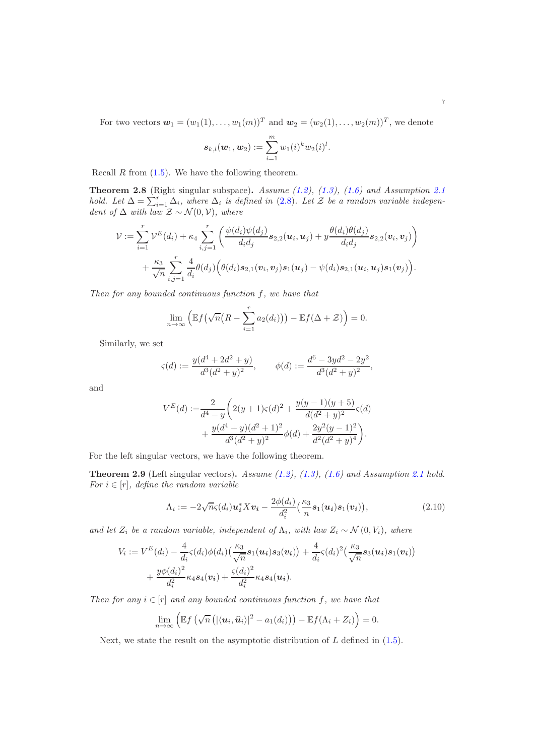For two vectors  $\mathbf{w}_1 = (w_1(1), \ldots, w_1(m))^T$  and  $\mathbf{w}_2 = (w_2(1), \ldots, w_2(m))^T$ , we denote

$$
s_{k,l}(w_1,w_2):=\sum_{i=1}^m w_1(i)^k w_2(i)^l.
$$

Recall  $R$  from  $(1.5)$ . We have the following theorem.

<span id="page-6-0"></span>**Theorem 2.8** (Right singular subspace). Assume  $(1.2)$ ,  $(1.3)$ ,  $(1.6)$  and Assumption [2.1](#page-4-0) hold. Let  $\Delta = \sum_{i=1}^{r} \Delta_i$ , where  $\Delta_i$  is defined in [\(2.8\)](#page-5-2). Let  $\mathcal{Z}$  be a random variable independent of  $\Delta$  with law  $\mathcal{Z} \sim \mathcal{N}(0, \mathcal{V})$ , where

$$
\mathcal{V} := \sum_{i=1}^r \mathcal{V}^E(d_i) + \kappa_4 \sum_{i,j=1}^r \left( \frac{\psi(d_i)\psi(d_j)}{d_i d_j} s_{2,2}(u_i, u_j) + y \frac{\theta(d_i)\theta(d_j)}{d_i d_j} s_{2,2}(v_i, v_j) \right) + \frac{\kappa_3}{\sqrt{n}} \sum_{i,j=1}^r \frac{4}{d_i} \theta(d_j) \left( \theta(d_i) s_{2,1}(v_i, v_j) s_1(u_j) - \psi(d_i) s_{2,1}(u_i, u_j) s_1(v_j) \right).
$$

Then for any bounded continuous function  $f$ , we have that

$$
\lim_{n \to \infty} \left( \mathbb{E} f\left(\sqrt{n} \left(R - \sum_{i=1}^r a_2(d_i)\right)\right) - \mathbb{E} f(\Delta + \mathcal{Z}) \right) = 0.
$$

Similarly, we set

$$
\varsigma(d) := \frac{y(d^4 + 2d^2 + y)}{d^3(d^2 + y)^2}, \qquad \phi(d) := \frac{d^6 - 3yd^2 - 2y^2}{d^3(d^2 + y)^2},
$$

and

$$
V^{E}(d) := \frac{2}{d^{4} - y} \left( 2(y+1)\varsigma(d)^{2} + \frac{y(y-1)(y+5)}{d(d^{2} + y)^{2}} \varsigma(d) + \frac{y(d^{4} + y)(d^{2} + 1)^{2}}{d^{3}(d^{2} + y)^{2}} \phi(d) + \frac{2y^{2}(y-1)^{2}}{d^{2}(d^{2} + y)^{4}} \right).
$$

For the left singular vectors, we have the following theorem.

<span id="page-6-1"></span>**Theorem 2.9** (Left singular vectors). Assume  $(1.2)$ ,  $(1.3)$ ,  $(1.6)$  and Assumption [2.1](#page-4-0) hold. For  $i \in [r]$ , define the random variable

<span id="page-6-2"></span>
$$
\Lambda_i := -2\sqrt{n}\varsigma(d_i)\boldsymbol{u}_i^* X \boldsymbol{v}_i - \frac{2\phi(d_i)}{d_i^2} \left(\frac{\kappa_3}{n} \boldsymbol{s}_1(\boldsymbol{u}_i) \boldsymbol{s}_1(\boldsymbol{v}_i)\right),\tag{2.10}
$$

and let  $Z_i$  be a random variable, independent of  $\Lambda_i$ , with law  $Z_i \sim \mathcal{N}(0, V_i)$ , where

$$
V_i := V^{E}(d_i) - \frac{4}{d_i}\varsigma(d_i)\phi(d_i)\left(\frac{\kappa_3}{\sqrt{n}}s_1(\mathbf{u}_i)s_3(\mathbf{v}_i)\right) + \frac{4}{d_i}\varsigma(d_i)^2\left(\frac{\kappa_3}{\sqrt{n}}s_3(\mathbf{u}_i)s_1(\mathbf{v}_i)\right) + \frac{y\phi(d_i)^2}{d_i^2}\kappa_4s_4(\mathbf{v}_i) + \frac{\varsigma(d_i)^2}{d_i^2}\kappa_4s_4(\mathbf{u}_i).
$$

Then for any  $i \in [r]$  and any bounded continuous function f, we have that

$$
\lim_{n\to\infty}\left(\mathbb{E} f\left(\sqrt{n}\left(\left|\langle\boldsymbol{u}_i,\widehat{\boldsymbol{u}}_i\rangle\right|^2 - a_1(d_i)\right)\right) - \mathbb{E} f(\Lambda_i + Z_i)\right) = 0.
$$

Next, we state the result on the asymptotic distribution of  $L$  defined in  $(1.5)$ .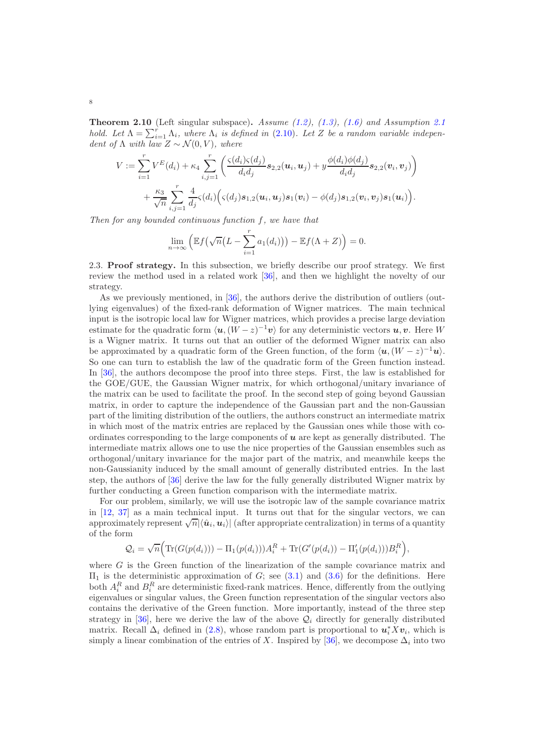<span id="page-7-0"></span>**Theorem [2.1](#page-4-0)0** (Left singular subspace). Assume  $(1.2)$ ,  $(1.3)$ ,  $(1.6)$  and Assumption 2.1 hold. Let  $\Lambda = \sum_{i=1}^{r} \Lambda_i$ , where  $\Lambda_i$  is defined in [\(2.10\)](#page-6-2). Let Z be a random variable independent of  $\Lambda$  with law  $Z \sim \mathcal{N}(0, V)$ , where

$$
V := \sum_{i=1}^{r} V^{E}(d_{i}) + \kappa_{4} \sum_{i,j=1}^{r} \left( \frac{\varsigma(d_{i})\varsigma(d_{j})}{d_{i}d_{j}} s_{2,2}(u_{i}, u_{j}) + y \frac{\phi(d_{i})\phi(d_{j})}{d_{i}d_{j}} s_{2,2}(v_{i}, v_{j}) \right) + \frac{\kappa_{3}}{\sqrt{n}} \sum_{i,j=1}^{r} \frac{4}{d_{j}} \varsigma(d_{i}) \Big( \varsigma(d_{j}) s_{1,2}(u_{i}, u_{j}) s_{1}(v_{i}) - \phi(d_{j}) s_{1,2}(v_{i}, v_{j}) s_{1}(u_{i}) \Big).
$$

Then for any bounded continuous function f, we have that

$$
\lim_{n \to \infty} \left( \mathbb{E} f\left(\sqrt{n}(L - \sum_{i=1}^r a_1(d_i))\right) - \mathbb{E} f(\Lambda + Z) \right) = 0.
$$

2.3. Proof strategy. In this subsection, we briefly describe our proof strategy. We first review the method used in a related work [\[36\]](#page-50-5), and then we highlight the novelty of our strategy.

As we previously mentioned, in [\[36](#page-50-5)], the authors derive the distribution of outliers (outlying eigenvalues) of the fixed-rank deformation of Wigner matrices. The main technical input is the isotropic local law for Wigner matrices, which provides a precise large deviation estimate for the quadratic form  $\langle \boldsymbol{u}, (W-z)^{-1} \boldsymbol{v} \rangle$  for any deterministic vectors  $\boldsymbol{u}, \boldsymbol{v}$ . Here W is a Wigner matrix. It turns out that an outlier of the deformed Wigner matrix can also be approximated by a quadratic form of the Green function, of the form  $\langle \mathbf{u}, (W - z)^{-1} \mathbf{u} \rangle$ . So one can turn to establish the law of the quadratic form of the Green function instead. In [\[36\]](#page-50-5), the authors decompose the proof into three steps. First, the law is established for the GOE/GUE, the Gaussian Wigner matrix, for which orthogonal/unitary invariance of the matrix can be used to facilitate the proof. In the second step of going beyond Gaussian matrix, in order to capture the independence of the Gaussian part and the non-Gaussian part of the limiting distribution of the outliers, the authors construct an intermediate matrix in which most of the matrix entries are replaced by the Gaussian ones while those with coordinates corresponding to the large components of  $u$  are kept as generally distributed. The intermediate matrix allows one to use the nice properties of the Gaussian ensembles such as orthogonal/unitary invariance for the major part of the matrix, and meanwhile keeps the non-Gaussianity induced by the small amount of generally distributed entries. In the last step, the authors of [\[36](#page-50-5)] derive the law for the fully generally distributed Wigner matrix by further conducting a Green function comparison with the intermediate matrix.

For our problem, similarly, we will use the isotropic law of the sample covariance matrix in [\[12,](#page-49-26) [37\]](#page-50-22) as a main technical input. It turns out that for the singular vectors, we can approximately represent  $\sqrt{n}|\langle \hat{u}_i, u_i \rangle|$  (after appropriate centralization) in terms of a quantity of the form

$$
Q_i = \sqrt{n} \Big( \text{Tr}(G(p(d_i))) - \Pi_1(p(d_i))) A_i^R + \text{Tr}(G'(p(d_i)) - \Pi'_1(p(d_i))) B_i^R \Big),
$$

where  $G$  is the Green function of the linearization of the sample covariance matrix and  $\Pi_1$  is the deterministic approximation of G; see [\(3.1\)](#page-8-0) and [\(3.6\)](#page-10-0) for the definitions. Here both  $A_i^R$  and  $B_i^R$  are deterministic fixed-rank matrices. Hence, differently from the outlying eigenvalues or singular values, the Green function representation of the singular vectors also contains the derivative of the Green function. More importantly, instead of the three step strategy in [\[36\]](#page-50-5), here we derive the law of the above  $\mathcal{Q}_i$  directly for generally distributed matrix. Recall  $\Delta_i$  defined in [\(2.8\)](#page-5-2), whose random part is proportional to  $u_i^* X v_i$ , which is simply a linear combination of the entries of X. Inspired by [\[36\]](#page-50-5), we decompose  $\Delta_i$  into two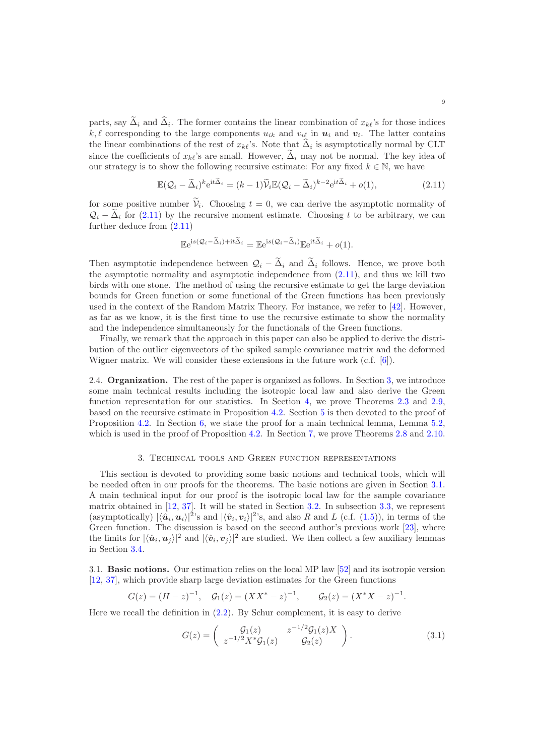parts, say  $\Delta_i$  and  $\Delta_i$ . The former contains the linear combination of  $x_{k\ell}$ 's for those indices  $k, \ell$  corresponding to the large components  $u_{ik}$  and  $v_{i\ell}$  in  $u_i$  and  $v_i$ . The latter contains the linear combinations of the rest of  $x_{k\ell}$ 's. Note that  $\Delta_i$  is asymptotically normal by CLT since the coefficients of  $x_{k\ell}$ 's are small. However,  $\tilde{\Delta}_i$  may not be normal. The key idea of our strategy is to show the following recursive estimate: For any fixed  $k \in \mathbb{N}$ , we have

$$
\mathbb{E}(\mathcal{Q}_i - \widetilde{\Delta}_i)^k e^{it\widetilde{\Delta}_i} = (k-1)\widetilde{\mathcal{V}}_i \mathbb{E}(\mathcal{Q}_i - \widetilde{\Delta}_i)^{k-2} e^{it\widetilde{\Delta}_i} + o(1),\tag{2.11}
$$

for some positive number  $V_i$ . Choosing  $t = 0$ , we can derive the asymptotic normality of  $\mathcal{Q}_i$  –  $\tilde{\Delta}_i$  for [\(2.11\)](#page-8-1) by the recursive moment estimate. Choosing t to be arbitrary, we can further deduce from [\(2.11\)](#page-8-1)

<span id="page-8-1"></span>
$$
\mathbb{E}e^{\mathrm{i}s(\mathcal{Q}_i-\widetilde{\Delta}_i)+\mathrm{i}t\widetilde{\Delta}_i}=\mathbb{E}e^{\mathrm{i}s(\mathcal{Q}_i-\widetilde{\Delta}_i)}\mathbb{E}e^{\mathrm{i}t\widetilde{\Delta}_i}+o(1).
$$

Then asymptotic independence between  $\mathcal{Q}_i - \tilde{\Delta}_i$  and  $\tilde{\Delta}_i$  follows. Hence, we prove both the asymptotic normality and asymptotic independence from [\(2.11\)](#page-8-1), and thus we kill two birds with one stone. The method of using the recursive estimate to get the large deviation bounds for Green function or some functional of the Green functions has been previously used in the context of the Random Matrix Theory. For instance, we refer to [\[42\]](#page-50-23). However, as far as we know, it is the first time to use the recursive estimate to show the normality and the independence simultaneously for the functionals of the Green functions.

Finally, we remark that the approach in this paper can also be applied to derive the distribution of the outlier eigenvectors of the spiked sample covariance matrix and the deformed Wigner matrix. We will consider these extensions in the future work (c.f. [\[6\]](#page-49-27)).

2.4. Organization. The rest of the paper is organized as follows. In Section [3,](#page-8-2) we introduce some main technical results including the isotropic local law and also derive the Green function representation for our statistics. In Section [4,](#page-15-0) we prove Theorems [2.3](#page-5-0) and [2.9,](#page-6-1) based on the recursive estimate in Proposition [4.2.](#page-18-0) Section [5](#page-20-0) is then devoted to the proof of Proposition [4.2.](#page-18-0) In Section [6,](#page-23-0) we state the proof for a main technical lemma, Lemma [5.2,](#page-22-0) which is used in the proof of Proposition [4.2.](#page-18-0) In Section [7,](#page-42-0) we prove Theorems [2.8](#page-6-0) and [2.10.](#page-7-0)

### 3. Techincal tools and Green function representations

<span id="page-8-2"></span>This section is devoted to providing some basic notions and technical tools, which will be needed often in our proofs for the theorems. The basic notions are given in Section [3.1.](#page-8-3) A main technical input for our proof is the isotropic local law for the sample covariance matrix obtained in [\[12,](#page-49-26) [37\]](#page-50-22). It will be stated in Section [3.2.](#page-10-1) In subsection [3.3,](#page-11-0) we represent (asymptotically)  $|\langle \hat{u}_i, u_i \rangle|^2$ 's and  $|\langle \hat{v}_i, v_i \rangle|^2$ 's, and also R and L (c.f. [\(1.5\)](#page-1-0)), in terms of the Green function. The discussion is based on the second author's previous work [\[23](#page-49-0)], where the limits for  $|\langle \hat{\bm{u}}_i, \bm{u}_j \rangle|^2$  and  $|\langle \hat{\bm{v}}_i, \bm{v}_j \rangle|^2$  are studied. We then collect a few auxiliary lemmas in Section [3.4.](#page-14-0)

<span id="page-8-3"></span>3.1. Basic notions. Our estimation relies on the local MP law [\[52](#page-50-24)] and its isotropic version [\[12,](#page-49-26) [37](#page-50-22)], which provide sharp large deviation estimates for the Green functions

$$
G(z) = (H - z)^{-1}
$$
,  $G_1(z) = (XX^* - z)^{-1}$ ,  $G_2(z) = (X^*X - z)^{-1}$ .

Here we recall the definition in [\(2.2\)](#page-3-0). By Schur complement, it is easy to derive

<span id="page-8-0"></span>
$$
G(z) = \begin{pmatrix} \mathcal{G}_1(z) & z^{-1/2} \mathcal{G}_1(z) X \\ z^{-1/2} X^* \mathcal{G}_1(z) & \mathcal{G}_2(z) \end{pmatrix} .
$$
 (3.1)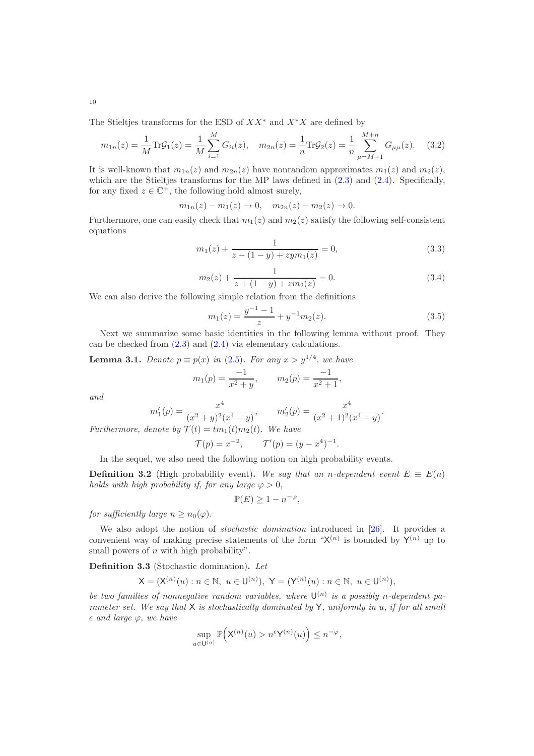The Stieltjes transforms for the ESD of  $XX^*$  and  $X^*X$  are defined by

<span id="page-9-0"></span>
$$
m_{1n}(z) = \frac{1}{M} \text{Tr} \mathcal{G}_1(z) = \frac{1}{M} \sum_{i=1}^{M} G_{ii}(z), \quad m_{2n}(z) = \frac{1}{n} \text{Tr} \mathcal{G}_2(z) = \frac{1}{n} \sum_{\mu=M+1}^{M+n} G_{\mu\mu}(z). \tag{3.2}
$$

It is well-known that  $m_{1n}(z)$  and  $m_{2n}(z)$  have nonrandom approximates  $m_1(z)$  and  $m_2(z)$ , which are the Stieltjes transforms for the MP laws defined in  $(2.3)$  and  $(2.4)$ . Specifically, for any fixed  $z \in \mathbb{C}^+$ , the following hold almost surely,

$$
m_{1n}(z) - m_1(z) \to 0
$$
,  $m_{2n}(z) - m_2(z) \to 0$ .

Furthermore, one can easily check that  $m_1(z)$  and  $m_2(z)$  satisfy the following self-consistent equations

$$
m_1(z) + \frac{1}{z - (1 - y) + zym_1(z)} = 0,
$$
\n(3.3)

$$
m_2(z) + \frac{1}{z + (1 - y) + zm_2(z)} = 0.
$$
\n(3.4)

We can also derive the following simple relation from the definitions

$$
m_1(z) = \frac{y^{-1} - 1}{z} + y^{-1} m_2(z).
$$
 (3.5)

<span id="page-9-3"></span><span id="page-9-2"></span>.

Next we summarize some basic identities in the following lemma without proof. They can be checked from [\(2.3\)](#page-3-1) and [\(2.4\)](#page-4-1) via elementary calculations.

<span id="page-9-1"></span>**Lemma 3.1.** Denote  $p \equiv p(x)$  in [\(2.5\)](#page-4-2). For any  $x > y^{1/4}$ , we have  $m_1(p) = \frac{-1}{x^2 + y}, \qquad m_2(p) = \frac{-1}{x^2 + 1},$ 

and

$$
m'_1(p) = \frac{x^4}{(x^2 + y)^2(x^4 - y)}, \qquad m'_2(p) = \frac{x^4}{(x^2 + 1)^2(x^4 - y)}
$$

Furthermore, denote by  $\mathcal{T}(t) = t m_1(t) m_2(t)$ . We have

$$
\mathcal{T}(p) = x^{-2}, \qquad \mathcal{T}'(p) = (y - x^4)^{-1}.
$$

In the sequel, we also need the following notion on high probability events.

**Definition 3.2** (High probability event). We say that an n-dependent event  $E \equiv E(n)$ holds with high probability if, for any large  $\varphi > 0$ ,

$$
\mathbb{P}(E) \ge 1 - n^{-\varphi},
$$

for sufficiently large  $n \geq n_0(\varphi)$ .

We also adopt the notion of *stochastic domination* introduced in [\[26](#page-49-28)]. It provides a convenient way of making precise statements of the form " $X^{(n)}$  is bounded by  $Y^{(n)}$  up to small powers of  $n$  with high probability".

Definition 3.3 (Stochastic domination). Let

$$
X = (X^{(n)}(u) : n \in \mathbb{N}, \ u \in U^{(n)}), \ Y = (Y^{(n)}(u) : n \in \mathbb{N}, \ u \in U^{(n)}),
$$

be two families of nonnegative random variables, where  $\mathsf{U}^{(n)}$  is a possibly n-dependent parameter set. We say that  $X$  is stochastically dominated by  $Y$ , uniformly in u, if for all small  $\epsilon$  and large  $\varphi$ , we have

$$
\sup_{u \in \mathsf{U}^{(n)}} \mathbb{P}\Big(\mathsf{X}^{(n)}(u) > n^{\epsilon} \mathsf{Y}^{(n)}(u)\Big) \leq n^{-\varphi},
$$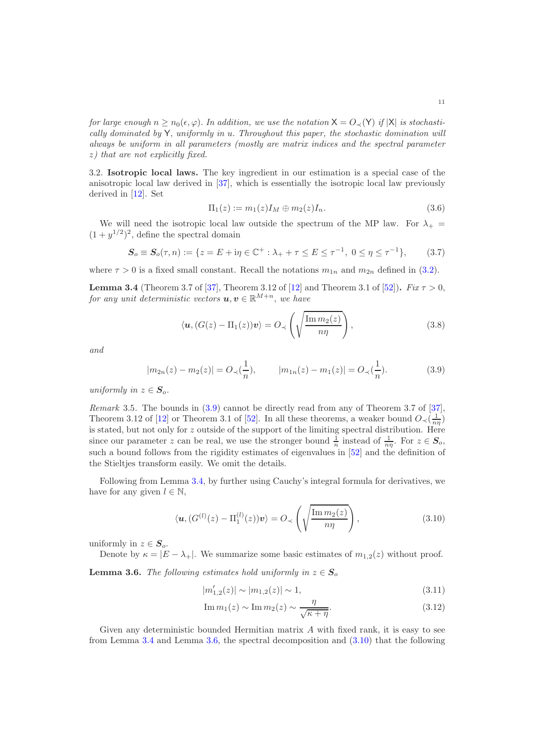for large enough  $n \ge n_0(\epsilon, \varphi)$ . In addition, we use the notation  $X = O(\sqrt{Y})$  if  $|X|$  is stochastically dominated by  $Y$ , uniformly in u. Throughout this paper, the stochastic domination will always be uniform in all parameters (mostly are matrix indices and the spectral parameter z) that are not explicitly fixed.

<span id="page-10-1"></span>3.2. Isotropic local laws. The key ingredient in our estimation is a special case of the anisotropic local law derived in [\[37\]](#page-50-22), which is essentially the isotropic local law previously derived in [\[12\]](#page-49-26). Set

<span id="page-10-0"></span>
$$
\Pi_1(z) := m_1(z) I_M \oplus m_2(z) I_n.
$$
\n(3.6)

We will need the isotropic local law outside the spectrum of the MP law. For  $\lambda_{+}$  =  $(1 + y^{1/2})^2$ , define the spectral domain

$$
S_o \equiv S_o(\tau, n) := \{ z = E + i\eta \in \mathbb{C}^+ : \lambda_+ + \tau \le E \le \tau^{-1}, \ 0 \le \eta \le \tau^{-1} \},\qquad(3.7)
$$

where  $\tau > 0$  is a fixed small constant. Recall the notations  $m_{1n}$  and  $m_{2n}$  defined in [\(3.2\)](#page-9-0).

<span id="page-10-3"></span>**Lemma 3.4** (Theorem 3.7 of [\[37\]](#page-50-22), Theorem 3.12 of [\[12](#page-49-26)] and Theorem 3.1 of [\[52](#page-50-24)]). Fix  $\tau > 0$ , for any unit deterministic vectors  $u, v \in \mathbb{R}^{M+n}$ , we have

<span id="page-10-6"></span><span id="page-10-2"></span>
$$
\langle \boldsymbol{u}, (G(z) - \Pi_1(z)) \boldsymbol{v} \rangle = O_{\prec} \left( \sqrt{\frac{\operatorname{Im} m_2(z)}{n\eta}} \right), \tag{3.8}
$$

and

$$
|m_{2n}(z) - m_2(z)| = O_{\prec}(\frac{1}{n}), \qquad |m_{1n}(z) - m_1(z)| = O_{\prec}(\frac{1}{n}). \tag{3.9}
$$

uniformly in  $z \in S_o$ .

Remark 3.5. The bounds in [\(3.9\)](#page-10-2) cannot be directly read from any of Theorem 3.7 of [\[37\]](#page-50-22), Theorem 3.12 of [\[12\]](#page-49-26) or Theorem 3.1 of [\[52\]](#page-50-24). In all these theorems, a weaker bound  $O_{\prec}(\frac{1}{n\eta})$ is stated, but not only for z outside of the support of the limiting spectral distribution. Here since our parameter z can be real, we use the stronger bound  $\frac{1}{n}$  instead of  $\frac{1}{n\eta}$ . For  $z \in S_o$ , such a bound follows from the rigidity estimates of eigenvalues in [\[52\]](#page-50-24) and the definition of the Stieltjes transform easily. We omit the details.

Following from Lemma [3.4,](#page-10-3) by further using Cauchy's integral formula for derivatives, we have for any given  $l \in \mathbb{N}$ ,

<span id="page-10-5"></span>
$$
\langle \boldsymbol{u}, (G^{(l)}(z) - \Pi_1^{(l)}(z)) \boldsymbol{v} \rangle = O_{\prec} \left( \sqrt{\frac{\operatorname{Im} m_2(z)}{n\eta}} \right), \tag{3.10}
$$

uniformly in  $z \in S_o$ .

Denote by  $\kappa = |E - \lambda_+|$ . We summarize some basic estimates of  $m_{1,2}(z)$  without proof.

<span id="page-10-4"></span>**Lemma 3.6.** The following estimates hold uniformly in  $z \in S_0$ 

<span id="page-10-7"></span>
$$
|m'_{1,2}(z)| \sim |m_{1,2}(z)| \sim 1,\tag{3.11}
$$

$$
\operatorname{Im} m_1(z) \sim \operatorname{Im} m_2(z) \sim \frac{\eta}{\sqrt{\kappa + \eta}}.\tag{3.12}
$$

Given any deterministic bounded Hermitian matrix  $A$  with fixed rank, it is easy to see from Lemma [3.4](#page-10-3) and Lemma [3.6,](#page-10-4) the spectral decomposition and [\(3.10\)](#page-10-5) that the following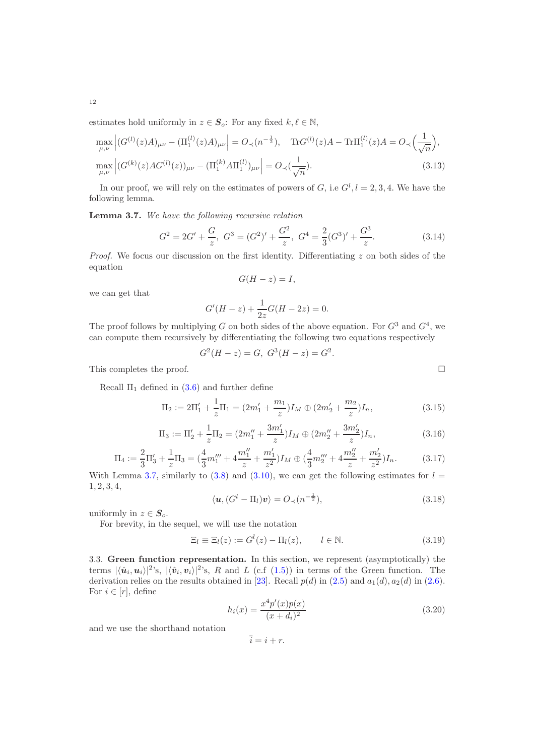estimates hold uniformly in  $z \in S_o$ : For any fixed  $k, \ell \in \mathbb{N}$ ,

$$
\max_{\mu,\nu} \left| (G^{(l)}(z)A)_{\mu\nu} - (\Pi_1^{(l)}(z)A)_{\mu\nu} \right| = O_{\prec}(n^{-\frac{1}{2}}), \quad \text{Tr} G^{(l)}(z)A - \text{Tr}\Pi_1^{(l)}(z)A = O_{\prec}\left(\frac{1}{\sqrt{n}}\right),
$$
\n
$$
\max_{\mu,\nu} \left| (G^{(k)}(z)AG^{(l)}(z))_{\mu\nu} - (\Pi_1^{(k)}A\Pi_1^{(l)})_{\mu\nu} \right| = O_{\prec}\left(\frac{1}{\sqrt{n}}\right). \tag{3.13}
$$

In our proof, we will rely on the estimates of powers of G, i.e  $G^l$ ,  $l = 2, 3, 4$ . We have the following lemma.

<span id="page-11-1"></span>Lemma 3.7. We have the following recursive relation

<span id="page-11-6"></span>
$$
G2 = 2G' + \frac{G}{z}, G3 = (G2)' + \frac{G2}{z}, G4 = \frac{2}{3}(G3)' + \frac{G3}{z}.
$$
 (3.14)

*Proof.* We focus our discussion on the first identity. Differentiating  $z$  on both sides of the equation

$$
G(H-z)=I,
$$

we can get that

$$
G'(H - z) + \frac{1}{2z}G(H - 2z) = 0.
$$

The proof follows by multiplying G on both sides of the above equation. For  $G^3$  and  $G^4$ , we can compute them recursively by differentiating the following two equations respectively

$$
G2(H - z) = G, G3(H - z) = G2.
$$

This completes the proof.  $\Box$ 

Recall  $\Pi_1$  defined in [\(3.6\)](#page-10-0) and further define

$$
\Pi_2 := 2\Pi_1' + \frac{1}{z}\Pi_1 = (2m_1' + \frac{m_1}{z})I_M \oplus (2m_2' + \frac{m_2}{z})I_n,
$$
\n(3.15)

$$
\Pi_3 := \Pi'_2 + \frac{1}{z}\Pi_2 = (2m''_1 + \frac{3m'_1}{z})I_M \oplus (2m''_2 + \frac{3m'_2}{z})I_n,
$$
\n(3.16)

$$
\Pi_4 := \frac{2}{3}\Pi'_3 + \frac{1}{z}\Pi_3 = (\frac{4}{3}m_1''' + 4\frac{m_1''}{z} + \frac{m_1'}{z^2})I_M \oplus (\frac{4}{3}m_2''' + 4\frac{m_2''}{z} + \frac{m_2'}{z^2})I_n.
$$
 (3.17)

With Lemma [3.7,](#page-11-1) similarly to  $(3.8)$  and  $(3.10)$ , we can get the following estimates for  $l =$ 1, 2, 3, 4,

<span id="page-11-7"></span>
$$
\langle \mathbf{u}, (G^l - \Pi_l)\mathbf{v} \rangle = O_{\prec}(n^{-\frac{1}{2}}),\tag{3.18}
$$

uniformly in  $z \in S_o$ .

For brevity, in the sequel, we will use the notation

$$
\Xi_l \equiv \Xi_l(z) := G^l(z) - \Pi_l(z), \qquad l \in \mathbb{N}.
$$
\n(3.19)

<span id="page-11-0"></span>3.3. Green function representation. In this section, we represent (asymptotically) the terms  $|\langle \hat{\boldsymbol{u}}_i, \boldsymbol{u}_i\rangle|^2$ 's,  $|\langle \hat{\boldsymbol{v}}_i, \boldsymbol{v}_i\rangle|^2$ 's, R and L (c.f [\(1.5\)](#page-1-0)) in terms of the Green function. The derivation relies on the results obtained in [\[23\]](#page-49-0). Recall  $p(d)$  in [\(2.5\)](#page-4-2) and  $a_1(d)$ ,  $a_2(d)$  in [\(2.6\)](#page-4-3). For  $i \in [r]$ , define

<span id="page-11-3"></span>
$$
h_i(x) = \frac{x^4 p'(x) p(x)}{(x+d_i)^2}
$$
\n(3.20)

and we use the shorthand notation

$$
\bar{i} = i + r.
$$

<span id="page-11-5"></span><span id="page-11-4"></span><span id="page-11-2"></span>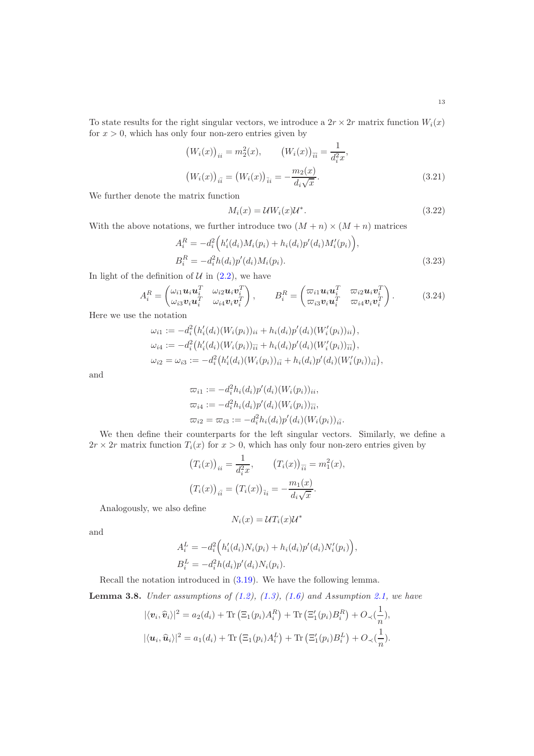To state results for the right singular vectors, we introduce a  $2r \times 2r$  matrix function  $W_i(x)$ for  $x > 0$ , which has only four non-zero entries given by

$$
(W_i(x))_{ii} = m_2^2(x), \qquad (W_i(x))_{\overline{ii}} = \frac{1}{d_i^2 x},
$$

$$
(W_i(x))_{i\overline{i}} = (W_i(x))_{\overline{i}i} = -\frac{m_2(x)}{d_i \sqrt{x}}.
$$
(3.21)

We further denote the matrix function

<span id="page-12-3"></span><span id="page-12-2"></span><span id="page-12-1"></span>
$$
M_i(x) = \mathcal{U}W_i(x)\mathcal{U}^*.
$$
\n(3.22)

With the above notations, we further introduce two  $(M + n) \times (M + n)$  matrices

$$
A_i^R = -d_i^2 \Big( h_i'(d_i) M_i(p_i) + h_i(d_i) p'(d_i) M_i'(p_i) \Big),
$$
  
\n
$$
B_i^R = -d_i^2 h(d_i) p'(d_i) M_i(p_i).
$$
\n(3.23)

In light of the definition of  $U$  in  $(2.2)$ , we have

$$
A_i^R = \begin{pmatrix} \omega_{i1} \mathbf{u}_i \mathbf{u}_i^T & \omega_{i2} \mathbf{u}_i \mathbf{v}_i^T \\ \omega_{i3} \mathbf{v}_i \mathbf{u}_i^T & \omega_{i4} \mathbf{v}_i \mathbf{v}_i^T \end{pmatrix}, \qquad B_i^R = \begin{pmatrix} \varpi_{i1} \mathbf{u}_i \mathbf{u}_i^T & \varpi_{i2} \mathbf{u}_i \mathbf{v}_i^T \\ \varpi_{i3} \mathbf{v}_i \mathbf{u}_i^T & \varpi_{i4} \mathbf{v}_i \mathbf{v}_i^T \end{pmatrix}.
$$
 (3.24)

Here we use the notation

$$
\omega_{i1} := -d_i^2 \big( h_i'(d_i)(W_i(p_i))_{ii} + h_i(d_i)p'(d_i)(W_i'(p_i))_{ii} \big),
$$
  
\n
$$
\omega_{i4} := -d_i^2 \big( h_i'(d_i)(W_i(p_i))_{\bar{i}\bar{i}} + h_i(d_i)p'(d_i)(W_i'(p_i))_{\bar{i}\bar{i}} \big),
$$
  
\n
$$
\omega_{i2} = \omega_{i3} := -d_i^2 \big( h_i'(d_i)(W_i(p_i))_{i\bar{i}} + h_i(d_i)p'(d_i)(W_i'(p_i))_{i\bar{i}} \big),
$$

and

$$
\varpi_{i1} := -d_i^2 h_i(d_i) p'(d_i) (W_i(p_i))_{ii},
$$
  
\n
$$
\varpi_{i4} := -d_i^2 h_i(d_i) p'(d_i) (W_i(p_i))_{\overline{i}\overline{i}},
$$
  
\n
$$
\varpi_{i2} = \varpi_{i3} := -d_i^2 h_i(d_i) p'(d_i) (W_i(p_i))_{\overline{i}\overline{i}}.
$$

We then define their counterparts for the left singular vectors. Similarly, we define a  $2r \times 2r$  matrix function  $T_i(x)$  for  $x > 0$ , which has only four non-zero entries given by

$$
(T_i(x))_{ii} = \frac{1}{d_i^2 x}, \qquad (T_i(x))_{\overline{ii}} = m_1^2(x),
$$

$$
(T_i(x))_{i\overline{i}} = (T_i(x))_{\overline{i}i} = -\frac{m_1(x)}{d_i\sqrt{x}}.
$$

Analogously, we also define

$$
N_i(x) = \mathcal{U}T_i(x)\mathcal{U}^*
$$

and

$$
A_i^L = -d_i^2 \Big( h_i'(d_i) N_i(p_i) + h_i(d_i) p'(d_i) N_i'(p_i) \Big),
$$
  
\n
$$
B_i^L = -d_i^2 h(d_i) p'(d_i) N_i(p_i).
$$

Recall the notation introduced in [\(3.19\)](#page-11-2). We have the following lemma.

<span id="page-12-0"></span>**Lemma 3.8.** Under assumptions of  $(1.2)$ ,  $(1.3)$ ,  $(1.6)$  and Assumption [2.1,](#page-4-0) we have

$$
|\langle \mathbf{v}_i, \widehat{\mathbf{v}}_i \rangle|^2 = a_2(d_i) + \text{Tr} \left( \Xi_1(p_i) A_i^R \right) + \text{Tr} \left( \Xi'_1(p_i) B_i^R \right) + O_{\prec}(\frac{1}{n}),
$$
  

$$
|\langle \mathbf{u}_i, \widehat{\mathbf{u}}_i \rangle|^2 = a_1(d_i) + \text{Tr} \left( \Xi_1(p_i) A_i^L \right) + \text{Tr} \left( \Xi'_1(p_i) B_i^L \right) + O_{\prec}(\frac{1}{n}).
$$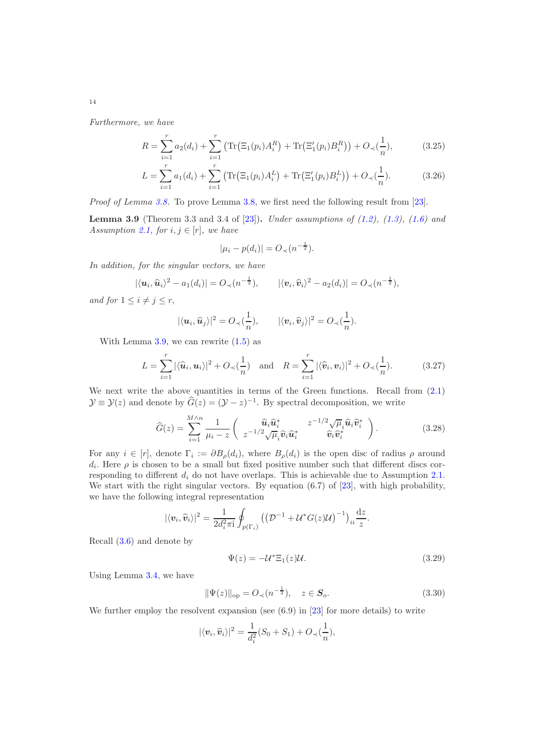Furthermore, we have

$$
R = \sum_{i=1}^{r} a_2(d_i) + \sum_{i=1}^{r} \left( \text{Tr} \left( \Xi_1(p_i) A_i^R \right) + \text{Tr} \left( \Xi_1'(p_i) B_i^R \right) \right) + O_{\prec}(\frac{1}{n}),\tag{3.25}
$$

$$
L = \sum_{i=1}^{r} a_1(d_i) + \sum_{i=1}^{r} \left( \text{Tr}(\Xi_1(p_i) A_i^L) + \text{Tr}(\Xi_1'(p_i) B_i^L) \right) + O_{\prec}(\frac{1}{n}).
$$
 (3.26)

Proof of Lemma [3.8.](#page-12-0) To prove Lemma [3.8,](#page-12-0) we first need the following result from [\[23\]](#page-49-0).

<span id="page-13-0"></span>**Lemma 3.9** (Theorem 3.3 and 3.4 of [\[23\]](#page-49-0)). Under assumptions of  $(1.2)$ ,  $(1.3)$ ,  $(1.6)$  and Assumption [2.1,](#page-4-0) for  $i, j \in [r]$ , we have

$$
|\mu_i - p(d_i)| = O_{\prec}(n^{-\frac{1}{2}}).
$$

In addition, for the singular vectors, we have

$$
|\langle \mathbf{u}_i, \widehat{\mathbf{u}}_i \rangle^2 - a_1(d_i)| = O_{\prec}(n^{-\frac{1}{2}}), \qquad |\langle \mathbf{v}_i, \widehat{\mathbf{v}}_i \rangle^2 - a_2(d_i)| = O_{\prec}(n^{-\frac{1}{2}}),
$$

and for  $1 \leq i \neq j \leq r$ ,

$$
|\langle u_i, \widehat{u}_j \rangle|^2 = O_{\prec}(\frac{1}{n}), \qquad |\langle v_i, \widehat{v}_j \rangle|^2 = O_{\prec}(\frac{1}{n}).
$$

With Lemma [3.9,](#page-13-0) we can rewrite  $(1.5)$  as

<span id="page-13-1"></span>
$$
L = \sum_{i=1}^{r} |\langle \widehat{\boldsymbol{u}}_i, \boldsymbol{u}_i \rangle|^2 + O_{\prec}(\frac{1}{n}) \quad \text{and} \quad R = \sum_{i=1}^{r} |\langle \widehat{\boldsymbol{v}}_i, \boldsymbol{v}_i \rangle|^2 + O_{\prec}(\frac{1}{n}). \tag{3.27}
$$

We next write the above quantities in terms of the Green functions. Recall from  $(2.1)$  $\mathcal{Y} \equiv \mathcal{Y}(z)$  and denote by  $\widehat{G}(z) = (\mathcal{Y} - z)^{-1}$ . By spectral decomposition, we write

$$
\widehat{G}(z) = \sum_{i=1}^{M \wedge n} \frac{1}{\mu_i - z} \begin{pmatrix} \widehat{\boldsymbol{u}}_i \widehat{\boldsymbol{u}}_i^* & z^{-1/2} \sqrt{\mu}_i \widehat{\boldsymbol{u}}_i \widehat{\boldsymbol{v}}_i^* \\ z^{-1/2} \sqrt{\mu}_i \widehat{\boldsymbol{v}}_i \widehat{\boldsymbol{u}}_i^* & \widehat{\boldsymbol{v}}_i \widehat{\boldsymbol{v}}_i^* \end{pmatrix} . \tag{3.28}
$$

For any  $i \in [r]$ , denote  $\Gamma_i := \partial B_{\rho}(d_i)$ , where  $B_{\rho}(d_i)$  is the open disc of radius  $\rho$  around  $d_i$ . Here  $\rho$  is chosen to be a small but fixed positive number such that different discs corresponding to different  $d_i$  do not have overlaps. This is achievable due to Assumption [2.1.](#page-4-0) We start with the right singular vectors. By equation  $(6.7)$  of  $[23]$ , with high probability, we have the following integral representation

$$
|\langle v_i, \widehat{v}_i \rangle|^2 = \frac{1}{2d_i^2 \pi i} \oint_{p(\Gamma_i)} \left( \left( \mathcal{D}^{-1} + \mathcal{U}^* G(z) \mathcal{U} \right)^{-1} \right)_{ii} \frac{dz}{z}.
$$

Recall [\(3.6\)](#page-10-0) and denote by

$$
\Psi(z) = -\mathcal{U}^* \Xi_1(z) \mathcal{U}.
$$
\n(3.29)

Using Lemma [3.4,](#page-10-3) we have

$$
\|\Psi(z)\|_{\text{op}} = O_{\prec}(n^{-\frac{1}{2}}), \quad z \in \mathbf{S}_o.
$$
 (3.30)

We further employ the resolvent expansion (see  $(6.9)$  in [\[23\]](#page-49-0) for more details) to write

$$
|\langle v_i, \widehat{v}_i \rangle|^2 = \frac{1}{d_i^2} (S_0 + S_1) + O_{\prec}(\frac{1}{n}),
$$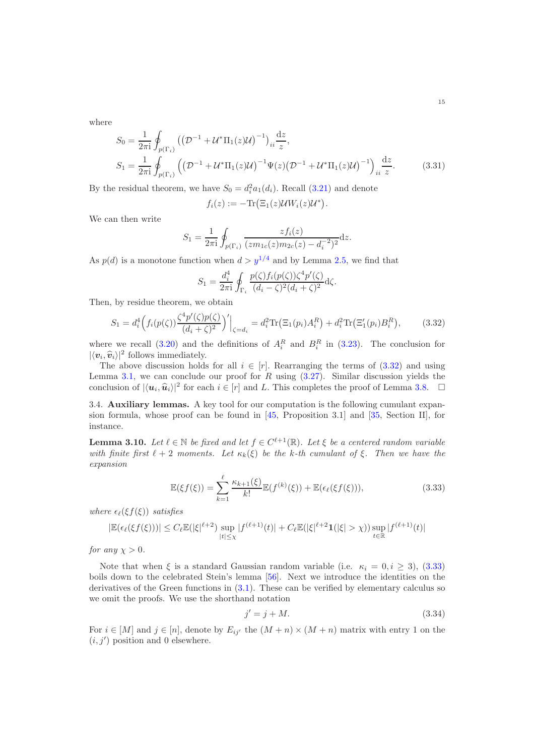where

$$
S_0 = \frac{1}{2\pi i} \oint_{p(\Gamma_i)} \left( \left( \mathcal{D}^{-1} + \mathcal{U}^* \Pi_1(z) \mathcal{U} \right)^{-1} \right)_{ii} \frac{dz}{z},
$$
  
\n
$$
S_1 = \frac{1}{2\pi i} \oint_{p(\Gamma_i)} \left( \left( \mathcal{D}^{-1} + \mathcal{U}^* \Pi_1(z) \mathcal{U} \right)^{-1} \Psi(z) \left( \mathcal{D}^{-1} + \mathcal{U}^* \Pi_1(z) \mathcal{U} \right)^{-1} \right)_{ii} \frac{dz}{z}.
$$
\n(3.31)

By the residual theorem, we have  $S_0 = d_i^2 a_1(d_i)$ . Recall [\(3.21\)](#page-12-1) and denote

$$
f_i(z) := -\text{Tr}(\Xi_1(z)\mathcal{U}W_i(z)\mathcal{U}^*).
$$

We can then write

$$
S_1 = \frac{1}{2\pi i} \oint_{p(\Gamma_i)} \frac{z f_i(z)}{(z m_{1c}(z) m_{2c}(z) - d_i^{-2})^2} dz.
$$

As  $p(d)$  is a monotone function when  $d > y^{1/4}$  and by Lemma [2.5,](#page-4-2) we find that

<span id="page-14-1"></span>
$$
S_1 = \frac{d_i^4}{2\pi i} \oint_{\Gamma_i} \frac{p(\zeta) f_i(p(\zeta)) \zeta^4 p'(\zeta)}{(d_i - \zeta)^2 (d_i + \zeta)^2} d\zeta.
$$

Then, by residue theorem, we obtain

$$
S_1 = d_i^4 \Big( f_i(p(\zeta)) \frac{\zeta^4 p'(\zeta) p(\zeta)}{(d_i + \zeta)^2} \Big)' \Big|_{\zeta = d_i} = d_i^2 \text{Tr} \big( \Xi_1(p_i) A_i^R \big) + d_i^2 \text{Tr} \big( \Xi_1'(p_i) B_i^R \big), \tag{3.32}
$$

where we recall  $(3.20)$  and the definitions of  $A_i^R$  and  $B_i^R$  in  $(3.23)$ . The conclusion for  $|\langle v_i, \hat{v}_i \rangle|^2$  follows immediately.

The above discussion holds for all  $i \in [r]$ . Rearranging the terms of  $(3.32)$  and using Lemma [3.1,](#page-9-1) we can conclude our proof for  $R$  using  $(3.27)$ . Similar discussion yields the conclusion of  $|\langle u_i, \hat{u}_i \rangle|^2$  for each  $i \in [r]$  and L. This completes the proof of Lemma [3.8.](#page-12-0)  $\Box$ 

<span id="page-14-0"></span>3.4. Auxiliary lemmas. A key tool for our computation is the following cumulant expansion formula, whose proof can be found in [\[45,](#page-50-25) Proposition 3.1] and [\[35](#page-50-26), Section II], for instance.

<span id="page-14-4"></span>**Lemma 3.10.** Let  $\ell \in \mathbb{N}$  be fixed and let  $f \in C^{\ell+1}(\mathbb{R})$ . Let  $\xi$  be a centered random variable with finite first  $\ell + 2$  moments. Let  $\kappa_k(\xi)$  be the k-th cumulant of  $\xi$ . Then we have the expansion

$$
\mathbb{E}(\xi f(\xi)) = \sum_{k=1}^{\ell} \frac{\kappa_{k+1}(\xi)}{k!} \mathbb{E}(f^{(k)}(\xi)) + \mathbb{E}(\epsilon_{\ell}(\xi f(\xi))), \tag{3.33}
$$

where  $\epsilon_{\ell}(\xi f(\xi))$  satisfies

$$
|\mathbb{E}(\epsilon_{\ell}(\xi f(\xi)))| \leq C_{\ell} \mathbb{E}(|\xi|^{\ell+2}) \sup_{|t| \leq \chi} |f^{(\ell+1)}(t)| + C_{\ell} \mathbb{E}(|\xi|^{\ell+2} \mathbf{1}(|\xi| > \chi)) \sup_{t \in \mathbb{R}} |f^{(\ell+1)}(t)|
$$

for any  $\chi > 0$ .

Note that when  $\xi$  is a standard Gaussian random variable (i.e.  $\kappa_i = 0, i \geq 3$ ), [\(3.33\)](#page-14-2) boils down to the celebrated Stein's lemma [\[56](#page-50-27)]. Next we introduce the identities on the derivatives of the Green functions in  $(3.1)$ . These can be verified by elementary calculus so we omit the proofs. We use the shorthand notation

<span id="page-14-3"></span><span id="page-14-2"></span>
$$
j' = j + M.\tag{3.34}
$$

For  $i \in [M]$  and  $j \in [n]$ , denote by  $E_{ij'}$  the  $(M+n) \times (M+n)$  matrix with entry 1 on the  $(i, j')$  position and 0 elsewhere.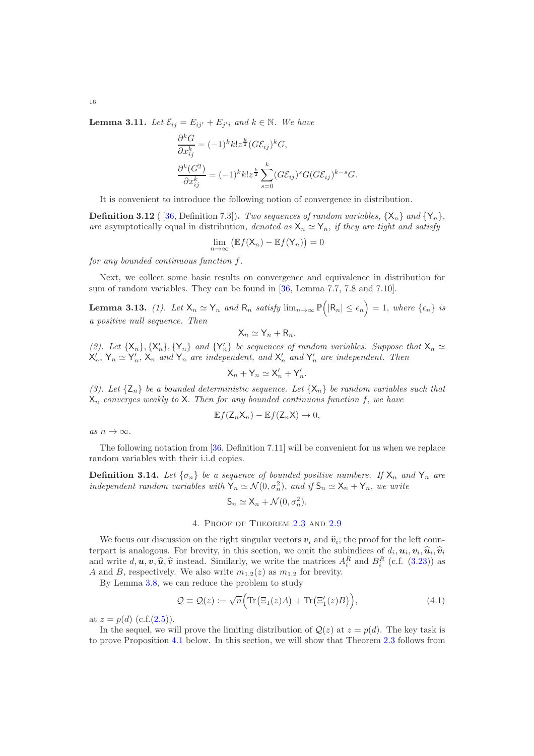<span id="page-15-3"></span>**Lemma 3.11.** Let  $\mathcal{E}_{ij} = E_{ij'} + E_{j'i}$  and  $k \in \mathbb{N}$ . We have

$$
\frac{\partial^k G}{\partial x_{ij}^k} = (-1)^k k! z^{\frac{k}{2}} (G \mathcal{E}_{ij})^k G,
$$
  

$$
\frac{\partial^k (G^2)}{\partial x_{ij}^k} = (-1)^k k! z^{\frac{k}{2}} \sum_{s=0}^k (G \mathcal{E}_{ij})^s G (G \mathcal{E}_{ij})^{k-s} G.
$$

It is convenient to introduce the following notion of convergence in distribution.

**Definition 3.12** ([36, Definition 7.3]). Two sequences of random variables,  $\{X_n\}$  and  $\{Y_n\}$ . are asymptotically equal in distribution, denoted as  $X_n \simeq Y_n$ , if they are tight and satisfy

$$
\lim_{n\to\infty}\big(\mathbb{E}f(\mathsf{X}_n)-\mathbb{E}f(\mathsf{Y}_n)\big)=0
$$

for any bounded continuous function f.

Next, we collect some basic results on convergence and equivalence in distribution for sum of random variables. They can be found in [\[36](#page-50-5), Lemma 7.7, 7.8 and 7.10].

<span id="page-15-2"></span>**Lemma 3.13.** (1). Let  $X_n \simeq Y_n$  and  $R_n$  satisfy  $\lim_{n\to\infty} \mathbb{P}(|R_n| \leq \epsilon_n) = 1$ , where  $\{\epsilon_n\}$  is a positive null sequence. Then

$$
X_n \simeq Y_n + R_n.
$$

(2). Let  $\{X_n\}$ ,  $\{X'_n\}$ ,  $\{Y_n\}$  and  $\{Y'_n\}$  be sequences of random variables. Suppose that  $X_n \simeq X'_n$ ,  $Y_n \simeq Y'_n$ ,  $X_n$  and  $Y_n$  are independent, and  $X'_n$  and  $Y'_n$  are independent. Then

$$
X_n + Y_n \simeq X'_n + Y'_n.
$$

(3). Let  $\{Z_n\}$  be a bounded deterministic sequence. Let  $\{X_n\}$  be random variables such that  $X_n$  converges weakly to X. Then for any bounded continuous function f, we have

$$
\mathbb{E}f(\mathsf{Z}_n\mathsf{X}_n)-\mathbb{E}f(\mathsf{Z}_n\mathsf{X})\to 0,
$$

as  $n \to \infty$ .

The following notation from [\[36,](#page-50-5) Definition 7.11] will be convenient for us when we replace random variables with their i.i.d copies.

**Definition 3.14.** Let  $\{\sigma_n\}$  be a sequence of bounded positive numbers. If  $X_n$  and  $Y_n$  are independent random variables with  $Y_n \simeq \mathcal{N}(0, \sigma_n^2)$ , and if  $\mathsf{S}_n \simeq \mathsf{X}_n + \mathsf{Y}_n$ , we write

<span id="page-15-1"></span>
$$
\mathsf{S}_n \simeq \mathsf{X}_n + \mathcal{N}(0, \sigma_n^2).
$$

# 4. Proof of Theorem [2.3](#page-5-0) and [2.9](#page-6-1)

<span id="page-15-0"></span>We focus our discussion on the right singular vectors  $v_i$  and  $\hat{v}_i$ ; the proof for the left coun-<br>graphs is analyzed. For her in this section, are smith the subjection of due to  $\hat{v}_i \hat{v}_i$ . terpart is analogous. For brevity, in this section, we omit the subindices of  $d_i, \mathbf{u}_i, \mathbf{v}_i, \hat{\mathbf{u}}_i, \hat{\mathbf{v}}_i$ and write  $d, u, v, \hat{u}, \hat{v}$  instead. Similarly, we write the matrices  $A_i^R$  and  $B_i^R$  (c.f. [\(3.23\)](#page-12-2)) as A and B, respectively. We also write  $m_{1,2}(z)$  as  $m_{1,2}$  for brevity.

By Lemma [3.8,](#page-12-0) we can reduce the problem to study

$$
Q \equiv Q(z) := \sqrt{n} \Big( \text{Tr} \big( \Xi_1(z) A \big) + \text{Tr} \big( \Xi'_1(z) B \big) \Big), \tag{4.1}
$$

at  $z = p(d)$  (c.f.[\(2.5\)](#page-4-2)).

In the sequel, we will prove the limiting distribution of  $\mathcal{Q}(z)$  at  $z = p(d)$ . The key task is to prove Proposition [4.1](#page-17-0) below. In this section, we will show that Theorem [2.3](#page-5-0) follows from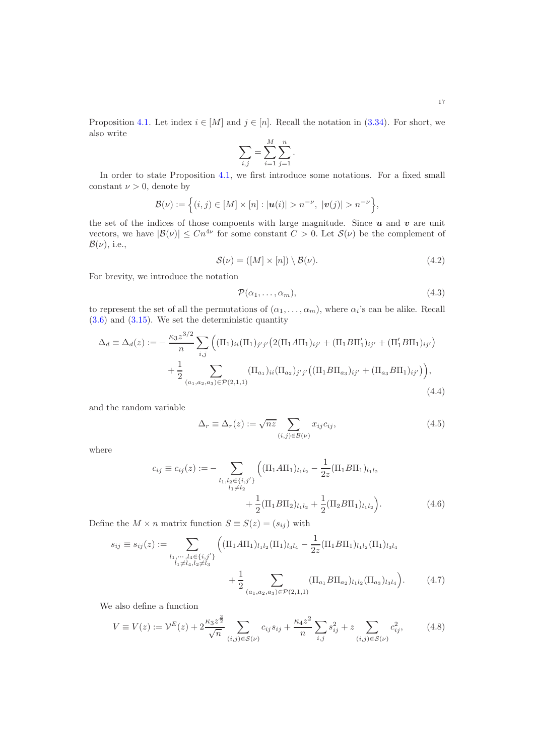Proposition [4.1.](#page-17-0) Let index  $i \in [M]$  and  $j \in [n]$ . Recall the notation in [\(3.34\)](#page-14-3). For short, we also write

$$
\sum_{i,j} = \sum_{i=1}^{M} \sum_{j=1}^{n}.
$$

In order to state Proposition [4.1,](#page-17-0) we first introduce some notations. For a fixed small constant  $\nu > 0$ , denote by

$$
\mathcal{B}(\nu) := \left\{ (i,j) \in [M] \times [n] : |\mathbf{u}(i)| > n^{-\nu}, \ |\mathbf{v}(j)| > n^{-\nu} \right\},\
$$

the set of the indices of those compoents with large magnitude. Since  $u$  and  $v$  are unit vectors, we have  $|\mathcal{B}(\nu)| \leq Cn^{4\nu}$  for some constant  $C > 0$ . Let  $\mathcal{S}(\nu)$  be the complement of  $\mathcal{B}(\nu)$ , i.e.,

$$
\mathcal{S}(\nu) = ([M] \times [n]) \setminus \mathcal{B}(\nu). \tag{4.2}
$$

For brevity, we introduce the notation

<span id="page-16-6"></span><span id="page-16-5"></span><span id="page-16-1"></span><span id="page-16-0"></span>
$$
\mathcal{P}(\alpha_1,\ldots,\alpha_m),\tag{4.3}
$$

to represent the set of all the permutations of  $(\alpha_1, \ldots, \alpha_m)$ , where  $\alpha_i$ 's can be alike. Recall  $(3.6)$  and  $(3.15)$ . We set the deterministic quantity

$$
\Delta_d \equiv \Delta_d(z) := -\frac{\kappa_3 z^{3/2}}{n} \sum_{i,j} \left( (\Pi_1)_{ii} (\Pi_1)_{j'j'} \left( 2(\Pi_1 A \Pi_1)_{ij'} + (\Pi_1 B \Pi_1')_{ij'} + (\Pi_1' B \Pi_1)_{ij'} \right) \right. \\
\left. + \frac{1}{2} \sum_{(a_1, a_2, a_3) \in \mathcal{P}(2, 1, 1)} (\Pi_{a_1})_{ii} (\Pi_{a_2})_{j'j'} \left( (\Pi_1 B \Pi_{a_3})_{ij'} + (\Pi_{a_3} B \Pi_1)_{ij'} \right) \right),\tag{4.4}
$$

and the random variable

<span id="page-16-4"></span><span id="page-16-3"></span><span id="page-16-2"></span>
$$
\Delta_r \equiv \Delta_r(z) := \sqrt{nz} \sum_{(i,j) \in \mathcal{B}(\nu)} x_{ij} c_{ij}, \tag{4.5}
$$

where

$$
c_{ij} \equiv c_{ij}(z) := - \sum_{\substack{l_1, l_2 \in \{i, j'\} \\ l_1 \neq l_2}} \left( (\Pi_1 A \Pi_1)_{l_1 l_2} - \frac{1}{2z} (\Pi_1 B \Pi_1)_{l_1 l_2} + \frac{1}{2} (\Pi_1 B \Pi_2)_{l_1 l_2} + \frac{1}{2} (\Pi_1 B \Pi_1)_{l_1 l_2} \right).
$$
(4.6)

Define the  $M \times n$  matrix function  $S \equiv S(z) = (s_{ij})$  with

$$
s_{ij} \equiv s_{ij}(z) := \sum_{\substack{l_1, \dots, l_4 \in \{i, j'\} \\ l_1 \neq l_4, l_2 \neq l_3}} \left( (\Pi_1 A \Pi_1)_{l_1 l_2} (\Pi_1)_{l_3 l_4} - \frac{1}{2z} (\Pi_1 B \Pi_1)_{l_1 l_2} (\Pi_1)_{l_3 l_4} + \frac{1}{2} \sum_{(a_1, a_2, a_3) \in \mathcal{P}(2, 1, 1)} (\Pi_{a_1} B \Pi_{a_2})_{l_1 l_2} (\Pi_{a_3})_{l_3 l_4} \right). \tag{4.7}
$$

We also define a function

$$
V \equiv V(z) := \mathcal{V}^{E}(z) + 2\frac{\kappa_{3}z^{\frac{3}{2}}}{\sqrt{n}} \sum_{(i,j)\in\mathcal{S}(\nu)} c_{ij}s_{ij} + \frac{\kappa_{4}z^{2}}{n} \sum_{i,j} s_{ij}^{2} + z \sum_{(i,j)\in\mathcal{S}(\nu)} c_{ij}^{2},
$$
(4.8)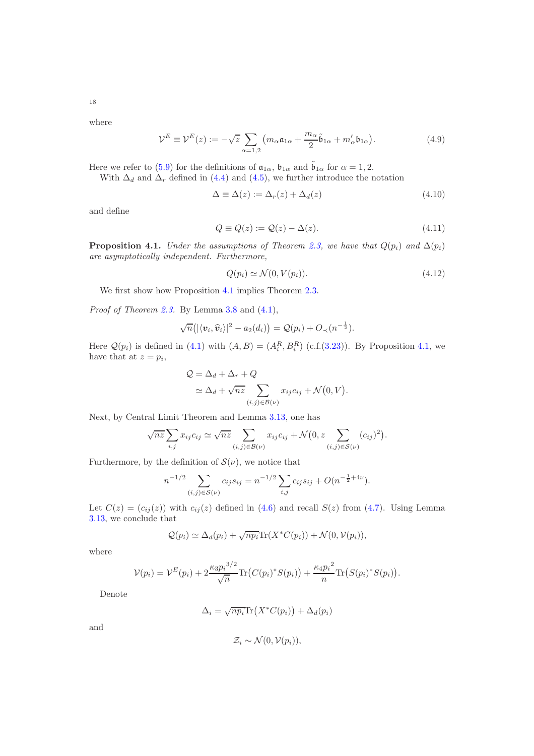where

$$
\mathcal{V}^E \equiv \mathcal{V}^E(z) := -\sqrt{z} \sum_{\alpha=1,2} \left( m_\alpha \mathfrak{a}_{1\alpha} + \frac{m_\alpha}{2} \tilde{\mathfrak{b}}_{1\alpha} + m'_\alpha \mathfrak{b}_{1\alpha} \right). \tag{4.9}
$$

Here we refer to [\(5.9\)](#page-21-0) for the definitions of  $\mathfrak{a}_{1\alpha}$ ,  $\mathfrak{b}_{1\alpha}$  and  $\tilde{\mathfrak{b}}_{1\alpha}$  for  $\alpha = 1, 2$ .

With  $\Delta_d$  and  $\Delta_r$  defined in [\(4.4\)](#page-16-0) and [\(4.5\)](#page-16-1), we further introduce the notation

<span id="page-17-4"></span><span id="page-17-2"></span>
$$
\Delta \equiv \Delta(z) := \Delta_r(z) + \Delta_d(z) \tag{4.10}
$$

and define

$$
Q \equiv Q(z) := Q(z) - \Delta(z). \tag{4.11}
$$

<span id="page-17-0"></span>**Proposition 4.1.** Under the assumptions of Theorem [2.3,](#page-5-0) we have that  $Q(p_i)$  and  $\Delta(p_i)$ are asymptotically independent. Furthermore,

<span id="page-17-3"></span><span id="page-17-1"></span>
$$
Q(p_i) \simeq \mathcal{N}(0, V(p_i)). \tag{4.12}
$$

We first show how Proposition [4.1](#page-17-0) implies Theorem [2.3.](#page-5-0)

Proof of Theorem [2.3.](#page-5-0) By Lemma [3.8](#page-12-0) and [\(4.1\)](#page-15-1),

$$
\sqrt{n}(|\langle v_i, \widehat{v}_i \rangle|^2 - a_2(d_i)) = \mathcal{Q}(p_i) + O_{\prec}(n^{-\frac{1}{2}}).
$$

Here  $\mathcal{Q}(p_i)$  is defined in [\(4.1\)](#page-15-1) with  $(A, B) = (A_i^R, B_i^R)$  (c.f.[\(3.23\)](#page-12-2)). By Proposition [4.1,](#page-17-0) we have that at  $z = p_i$ ,

$$
Q = \Delta_d + \Delta_r + Q
$$
  
\n
$$
\simeq \Delta_d + \sqrt{nz} \sum_{(i,j) \in \mathcal{B}(\nu)} x_{ij} c_{ij} + \mathcal{N}(0, V).
$$

Next, by Central Limit Theorem and Lemma [3.13,](#page-15-2) one has

$$
\sqrt{nz} \sum_{i,j} x_{ij} c_{ij} \simeq \sqrt{nz} \sum_{(i,j) \in \mathcal{B}(\nu)} x_{ij} c_{ij} + \mathcal{N}(0, z \sum_{(i,j) \in \mathcal{S}(\nu)} (c_{ij})^2).
$$

Furthermore, by the definition of  $\mathcal{S}(\nu)$ , we notice that

$$
n^{-1/2} \sum_{(i,j)\in S(\nu)} c_{ij} s_{ij} = n^{-1/2} \sum_{i,j} c_{ij} s_{ij} + O(n^{-\frac{1}{2}+4\nu}).
$$

Let  $C(z) = (c_{ij}(z))$  with  $c_{ij}(z)$  defined in [\(4.6\)](#page-16-2) and recall  $S(z)$  from [\(4.7\)](#page-16-3). Using Lemma [3.13,](#page-15-2) we conclude that

$$
Q(p_i) \simeq \Delta_d(p_i) + \sqrt{np_i} \text{Tr}(X^*C(p_i)) + \mathcal{N}(0, \mathcal{V}(p_i)),
$$

where

$$
\mathcal{V}(p_i) = \mathcal{V}^E(p_i) + 2\frac{\kappa_3 p_i^{3/2}}{\sqrt{n}} \text{Tr}\big(C(p_i)^* S(p_i)\big) + \frac{\kappa_4 p_i^2}{n} \text{Tr}\big(S(p_i)^* S(p_i)\big).
$$

Denote

$$
\Delta_i = \sqrt{np_i} \text{Tr}\left(X^*C(p_i)\right) + \Delta_d(p_i)
$$

and

$$
\mathcal{Z}_i \sim \mathcal{N}(0, \mathcal{V}(p_i)),
$$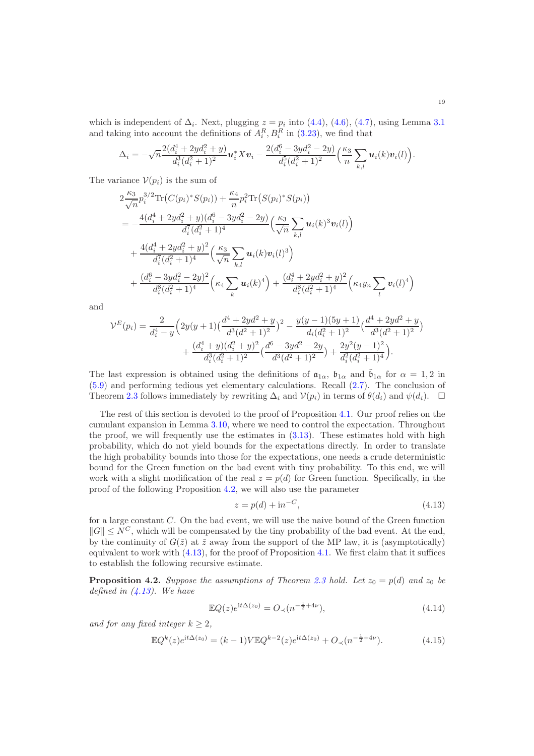which is independent of  $\Delta_i$ . Next, plugging  $z = p_i$  into [\(4.4\)](#page-16-0), [\(4.6\)](#page-16-2), [\(4.7\)](#page-16-3), using Lemma [3.1](#page-9-1) and taking into account the definitions of  $A_i^R$ ,  $B_i^R$  in [\(3.23\)](#page-12-2), we find that

$$
\Delta_i = -\sqrt{n} \frac{2(d_i^4 + 2yd_i^2 + y)}{d_i^3(d_i^2 + 1)^2} \mathbf{u}_i^* X \mathbf{v}_i - \frac{2(d_i^6 - 3yd_i^2 - 2y)}{d_i^5(d_i^2 + 1)^2} \left(\frac{\kappa_3}{n} \sum_{k,l} \mathbf{u}_i(k) \mathbf{v}_i(l)\right).
$$

The variance  $V(p_i)$  is the sum of

$$
2\frac{\kappa_3}{\sqrt{n}}p_i^{3/2}\text{Tr}\big(C(p_i)^*S(p_i)\big)+\frac{\kappa_4}{n}p_i^2\text{Tr}\big(S(p_i)^*S(p_i)\big) = -\frac{4(d_i^4+2yd_i^2+y)(d_i^6-3yd_i^2-2y)}{d_i^7(d_i^2+1)^4}\Big(\frac{\kappa_3}{\sqrt{n}}\sum_{k,l}\boldsymbol{u}_i(k)^3\boldsymbol{v}_i(l)\Big) +\frac{4(d_i^4+2yd_i^2+y)^2}{d_i^7(d_i^2+1)^4}\Big(\frac{\kappa_3}{\sqrt{n}}\sum_{k,l}\boldsymbol{u}_i(k)\boldsymbol{v}_i(l)^3\Big) +\frac{(d_i^6-3yd_i^2-2y)^2}{d_i^8(d_i^2+1)^4}\Big(\kappa_4\sum_k\boldsymbol{u}_i(k)^4\Big)+\frac{(d_i^4+2yd_i^2+y)^2}{d_i^8(d_i^2+1)^4}\Big(\kappa_4y_n\sum_l\boldsymbol{v}_i(l)^4\Big)
$$

and

$$
\mathcal{V}^{E}(p_{i}) = \frac{2}{d_{i}^{4} - y} \Big( 2y(y+1) \left( \frac{d^{4} + 2y d^{2} + y}{d^{3} (d^{2} + 1)^{2}} \right)^{2} - \frac{y(y-1)(5y+1)}{d_{i} (d_{i}^{2} + 1)^{2}} \left( \frac{d^{4} + 2y d^{2} + y}{d^{3} (d^{2} + 1)^{2}} \right) + \frac{(d_{i}^{4} + y)(d_{i}^{2} + y)^{2}}{d_{i}^{3} (d_{i}^{2} + 1)^{2}} \left( \frac{d^{6} - 3y d^{2} - 2y}{d^{3} (d^{2} + 1)^{2}} \right) + \frac{2y^{2}(y-1)^{2}}{d_{i}^{2} (d_{i}^{2} + 1)^{4}} \Big).
$$

The last expression is obtained using the definitions of  $\mathfrak{a}_{1\alpha}$ ,  $\mathfrak{b}_{1\alpha}$  and  $\mathfrak{b}_{1\alpha}$  for  $\alpha = 1, 2$  in [\(5.9\)](#page-21-0) and performing tedious yet elementary calculations. Recall [\(2.7\)](#page-4-4). The conclusion of Theorem [2.3](#page-5-0) follows immediately by rewriting  $\Delta_i$  and  $\mathcal{V}(p_i)$  in terms of  $\theta(d_i)$  and  $\psi(d_i)$ .  $\Box$ 

The rest of this section is devoted to the proof of Proposition [4.1.](#page-17-0) Our proof relies on the cumulant expansion in Lemma [3.10,](#page-14-4) where we need to control the expectation. Throughout the proof, we will frequently use the estimates in  $(3.13)$ . These estimates hold with high probability, which do not yield bounds for the expectations directly. In order to translate the high probability bounds into those for the expectations, one needs a crude deterministic bound for the Green function on the bad event with tiny probability. To this end, we will work with a slight modification of the real  $z = p(d)$  for Green function. Specifically, in the proof of the following Proposition [4.2,](#page-18-0) we will also use the parameter

<span id="page-18-2"></span><span id="page-18-1"></span>
$$
z = p(d) + \mathrm{i}n^{-C},\tag{4.13}
$$

for a large constant C. On the bad event, we will use the naive bound of the Green function  $||G|| < N^C$ , which will be compensated by the tiny probability of the bad event. At the end, by the continuity of  $G(\tilde{z})$  at  $\tilde{z}$  away from the support of the MP law, it is (asymptotically) equivalent to work with  $(4.13)$ , for the proof of Proposition [4.1.](#page-17-0) We first claim that it suffices to establish the following recursive estimate.

<span id="page-18-0"></span>**Proposition 4.2.** Suppose the assumptions of Theorem [2.3](#page-5-0) hold. Let  $z_0 = p(d)$  and  $z_0$  be defined in  $(4.13)$ . We have

$$
\mathbb{E}Q(z)e^{it\Delta(z_0)} = O_{\prec}(n^{-\frac{1}{2}+4\nu}),\tag{4.14}
$$

and for any fixed integer  $k \geq 2$ ,

<span id="page-18-3"></span>
$$
\mathbb{E}Q^{k}(z)e^{it\Delta(z_{0})} = (k-1)V\mathbb{E}Q^{k-2}(z)e^{it\Delta(z_{0})} + O_{\prec}(n^{-\frac{1}{2}+4\nu}).
$$
\n(4.15)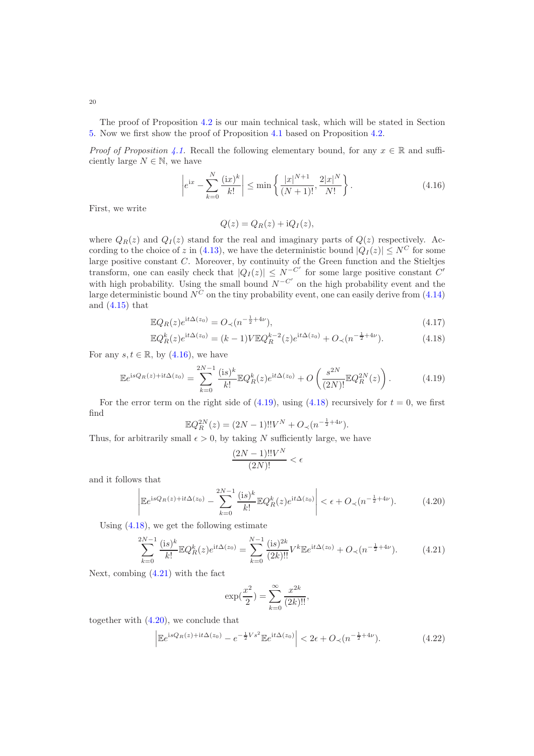The proof of Proposition [4.2](#page-18-0) is our main technical task, which will be stated in Section [5.](#page-20-0) Now we first show the proof of Proposition [4.1](#page-17-0) based on Proposition [4.2.](#page-18-0)

*Proof of Proposition [4.1.](#page-17-0)* Recall the following elementary bound, for any  $x \in \mathbb{R}$  and sufficiently large  $N \in \mathbb{N}$ , we have

<span id="page-19-0"></span>
$$
\left| e^{ix} - \sum_{k=0}^{N} \frac{(\text{i}x)^k}{k!} \right| \le \min \left\{ \frac{|x|^{N+1}}{(N+1)!}, \frac{2|x|^N}{N!} \right\}. \tag{4.16}
$$

First, we write

$$
Q(z) = Q_R(z) + iQ_I(z),
$$

where  $Q_R(z)$  and  $Q_I(z)$  stand for the real and imaginary parts of  $Q(z)$  respectively. Ac-cording to the choice of z in [\(4.13\)](#page-18-1), we have the deterministic bound  $|Q_I(z)| \leq N^C$  for some large positive constant C. Moreover, by continuity of the Green function and the Stieltjes transform, one can easily check that  $|Q_I(z)| \leq N^{-C'}$  for some large positive constant C' with high probability. Using the small bound  $N^{-C'}$  on the high probability event and the large deterministic bound  $N^C$  on the tiny probability event, one can easily derive from [\(4.14\)](#page-18-2) and  $(4.15)$  that

$$
\mathbb{E}Q_R(z)e^{it\Delta(z_0)} = O_{\prec}(n^{-\frac{1}{2}+4\nu}),\tag{4.17}
$$

$$
\mathbb{E}Q_R^k(z)e^{it\Delta(z_0)} = (k-1)V\mathbb{E}Q_R^{k-2}(z)e^{it\Delta(z_0)} + O_\prec(n^{-\frac{1}{2}+4\nu}).\tag{4.18}
$$

For any  $s, t \in \mathbb{R}$ , by  $(4.16)$ , we have

$$
\mathbb{E}e^{\mathrm{i}sQ_R(z)+\mathrm{i}t\Delta(z_0)} = \sum_{k=0}^{2N-1} \frac{(\mathrm{i}s)^k}{k!} \mathbb{E}Q_R^k(z)e^{\mathrm{i}t\Delta(z_0)} + O\left(\frac{s^{2N}}{(2N)!} \mathbb{E}Q_R^{2N}(z)\right). \tag{4.19}
$$

For the error term on the right side of  $(4.19)$ , using  $(4.18)$  recursively for  $t = 0$ , we first find

$$
\mathbb{E}Q_R^{2N}(z) = (2N-1)!!V^N + O_\prec(n^{-\frac{1}{2}+4\nu}).
$$

Thus, for arbitrarily small  $\epsilon > 0$ , by taking N sufficiently large, we have

<span id="page-19-4"></span><span id="page-19-2"></span><span id="page-19-1"></span>
$$
\frac{(2N-1)!!V^N}{(2N)!} < \epsilon
$$

and it follows that

$$
\left| \mathbb{E} e^{\mathrm{i}sQ_R(z) + \mathrm{i}t\Delta(z_0)} - \sum_{k=0}^{2N-1} \frac{(\mathrm{i}s)^k}{k!} \mathbb{E} Q_R^k(z) e^{\mathrm{i}t\Delta(z_0)} \right| < \epsilon + O_\prec(n^{-\frac{1}{2} + 4\nu}).\tag{4.20}
$$

Using [\(4.18\)](#page-19-2), we get the following estimate

<span id="page-19-3"></span>
$$
\sum_{k=0}^{2N-1} \frac{(\text{is})^k}{k!} \mathbb{E} Q_R^k(z) e^{\text{i}t\Delta(z_0)} = \sum_{k=0}^{N-1} \frac{(\text{is})^{2k}}{(2k)!!} V^k \mathbb{E} e^{\text{i}t\Delta(z_0)} + O_\prec(n^{-\frac{1}{2}+4\nu}).\tag{4.21}
$$

Next, combing [\(4.21\)](#page-19-3) with the fact

$$
\exp(\frac{x^2}{2}) = \sum_{k=0}^{\infty} \frac{x^{2k}}{(2k)!!},
$$

together with [\(4.20\)](#page-19-4), we conclude that

<span id="page-19-5"></span>
$$
\left| \mathbb{E} e^{isQ_R(z) + it\Delta(z_0)} - e^{-\frac{1}{2}Vs^2} \mathbb{E} e^{it\Delta(z_0)} \right| < 2\epsilon + O_\prec(n^{-\frac{1}{2} + 4\nu}).\tag{4.22}
$$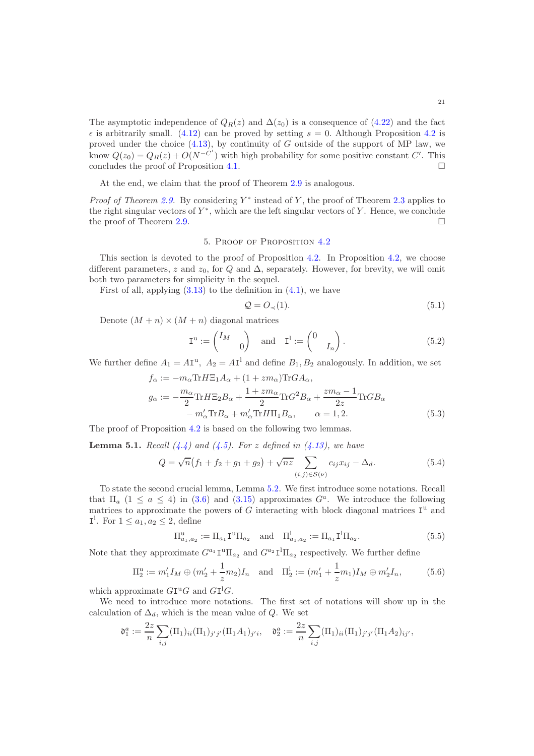The asymptotic independence of  $Q_R(z)$  and  $\Delta(z_0)$  is a consequence of [\(4.22\)](#page-19-5) and the fact  $\epsilon$  is arbitrarily small. [\(4.12\)](#page-17-1) can be proved by setting  $s = 0$ . Although Proposition [4.2](#page-18-0) is proved under the choice  $(4.13)$ , by continuity of G outside of the support of MP law, we know  $Q(z_0) = Q_R(z) + O(N^{-C'})$  with high probability for some positive constant C'. This concludes the proof of Proposition [4.1.](#page-17-0)

At the end, we claim that the proof of Theorem [2.9](#page-6-1) is analogous.

*Proof of Theorem [2.9.](#page-6-1)* By considering  $Y^*$  instead of Y, the proof of Theorem [2.3](#page-5-0) applies to the right singular vectors of  $Y^*$ , which are the left singular vectors of Y. Hence, we conclude the proof of Theorem [2.9.](#page-6-1)

# 5. Proof of Proposition [4.2](#page-18-0)

<span id="page-20-0"></span>This section is devoted to the proof of Proposition [4.2.](#page-18-0) In Proposition [4.2,](#page-18-0) we choose different parameters, z and  $z_0$ , for Q and  $\Delta$ , separately. However, for brevity, we will omit both two parameters for simplicity in the sequel.

First of all, applying  $(3.13)$  to the definition in  $(4.1)$ , we have

<span id="page-20-4"></span><span id="page-20-2"></span><span id="page-20-1"></span>
$$
\mathcal{Q} = O_{\prec}(1). \tag{5.1}
$$

Denote  $(M + n) \times (M + n)$  diagonal matrices

$$
\mathbf{I}^{\mathrm{u}} := \begin{pmatrix} I_M & \\ & 0 \end{pmatrix} \quad \text{and} \quad \mathbf{I}^{\mathrm{l}} := \begin{pmatrix} 0 & \\ & I_n \end{pmatrix} . \tag{5.2}
$$

We further define  $A_1 = A\mathbf{I}^{\mathrm{u}}$ ,  $A_2 = A\mathbf{I}^{\mathrm{l}}$  and define  $B_1, B_2$  analogously. In addition, we set

$$
f_{\alpha} := -m_{\alpha} \text{Tr} H \Xi_1 A_{\alpha} + (1 + zm_{\alpha}) \text{Tr} G A_{\alpha},
$$
  
\n
$$
g_{\alpha} := -\frac{m_{\alpha}}{2} \text{Tr} H \Xi_2 B_{\alpha} + \frac{1 + zm_{\alpha}}{2} \text{Tr} G^2 B_{\alpha} + \frac{zm_{\alpha} - 1}{2z} \text{Tr} G B_{\alpha}
$$
  
\n
$$
-m_{\alpha}' \text{Tr} B_{\alpha} + m_{\alpha}' \text{Tr} H \Pi_1 B_{\alpha}, \qquad \alpha = 1, 2.
$$
\n(5.3)

The proof of Proposition [4.2](#page-18-0) is based on the following two lemmas.

<span id="page-20-3"></span>**Lemma 5.1.** Recall  $(4.4)$  and  $(4.5)$ . For z defined in  $(4.13)$ , we have

$$
Q = \sqrt{n}(f_1 + f_2 + g_1 + g_2) + \sqrt{nz} \sum_{(i,j) \in S(\nu)} c_{ij} x_{ij} - \Delta_d.
$$
 (5.4)

To state the second crucial lemma, Lemma [5.2.](#page-22-0) We first introduce some notations. Recall that  $\Pi_a$  (1  $\le a \le 4$ ) in [\(3.6\)](#page-10-0) and [\(3.15\)](#page-11-4) approximates  $G^a$ . We introduce the following matrices to approximate the powers of  $G$  interacting with block diagonal matrices  $I^u$  and  $I^1$ . For  $1 \le a_1, a_2 \le 2$ , define

<span id="page-20-6"></span><span id="page-20-5"></span>
$$
\Pi_{a_1, a_2}^{\mathbf{u}} := \Pi_{a_1} \mathbf{I}^{\mathbf{u}} \Pi_{a_2} \quad \text{and} \quad \Pi_{a_1, a_2}^{\mathbf{l}} := \Pi_{a_1} \mathbf{I}^{\mathbf{l}} \Pi_{a_2}.
$$
 (5.5)

Note that they approximate  $G^{a_1} \mathbf{I}^{\mathbf{u}} \Pi_{a_2}$  and  $G^{a_2} \mathbf{I}^{\mathbf{l}} \Pi_{a_2}$  respectively. We further define

$$
\Pi_2^{\mathbf{u}} := m_1' I_M \oplus (m_2' + \frac{1}{z} m_2) I_n \quad \text{and} \quad \Pi_2^{\mathbf{l}} := (m_1' + \frac{1}{z} m_1) I_M \oplus m_2' I_n,\tag{5.6}
$$

which approximate  $GI^{\mathrm{u}}G$  and  $GI^{\mathrm{l}}G$ .

We need to introduce more notations. The first set of notations will show up in the calculation of  $\Delta_d$ , which is the mean value of Q. We set

$$
\mathfrak{d}_1^a := \frac{2z}{n} \sum_{i,j} (\Pi_1)_{ii} (\Pi_1)_{j'j'} (\Pi_1 A_1)_{j'i}, \quad \mathfrak{d}_2^a := \frac{2z}{n} \sum_{i,j} (\Pi_1)_{ii} (\Pi_1)_{j'j'} (\Pi_1 A_2)_{ij'},
$$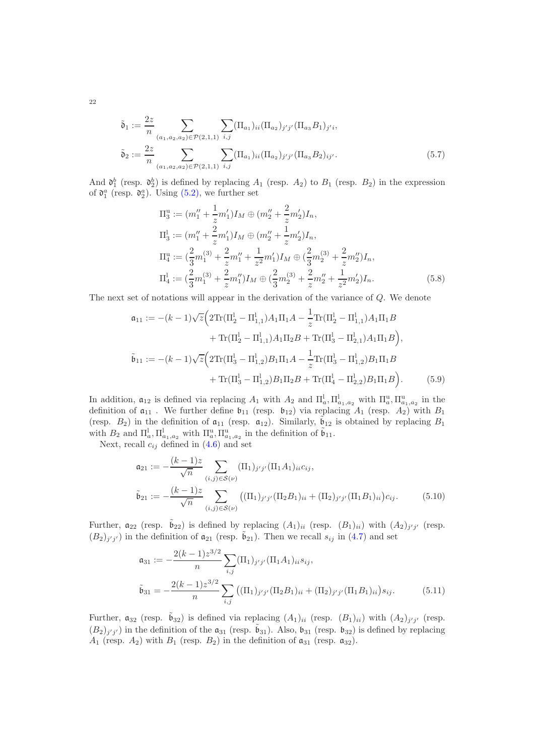$$
\tilde{\mathfrak{d}}_1 := \frac{2z}{n} \sum_{(a_1, a_2, a_2) \in \mathcal{P}(2, 1, 1)} \sum_{i, j} (\Pi_{a_1})_{ii} (\Pi_{a_2})_{j'j'} (\Pi_{a_3} B_1)_{j'i},
$$
  

$$
\tilde{\mathfrak{d}}_2 := \frac{2z}{n} \sum_{(a_1, a_2, a_2) \in \mathcal{P}(2, 1, 1)} \sum_{i, j} (\Pi_{a_1})_{ii} (\Pi_{a_2})_{j'j'} (\Pi_{a_3} B_2)_{ij'}.
$$
\n
$$
(5.7)
$$

And  $\mathfrak{d}_1^b$  (resp.  $\mathfrak{d}_2^b$ ) is defined by replacing  $A_1$  (resp.  $A_2$ ) to  $B_1$  (resp.  $B_2$ ) in the expression of  $\mathfrak{d}_1^a$  (resp.  $\mathfrak{d}_2^a$ ). Using [\(5.2\)](#page-20-1), we further set

<span id="page-21-1"></span>
$$
\Pi_3^{\mathrm{u}} := (m_1'' + \frac{1}{z}m_1')I_M \oplus (m_2'' + \frac{2}{z}m_2')I_n,
$$
  
\n
$$
\Pi_3^{\mathrm{l}} := (m_1'' + \frac{2}{z}m_1')I_M \oplus (m_2'' + \frac{1}{z}m_2')I_n,
$$
  
\n
$$
\Pi_4^{\mathrm{u}} := (\frac{2}{3}m_1^{(3)} + \frac{2}{z}m_1'' + \frac{1}{z^2}m_1')I_M \oplus (\frac{2}{3}m_2^{(3)} + \frac{2}{z}m_2'')I_n,
$$
  
\n
$$
\Pi_4^{\mathrm{l}} := (\frac{2}{3}m_1^{(3)} + \frac{2}{z}m_1'')I_M \oplus (\frac{2}{3}m_2^{(3)} + \frac{2}{z}m_2'' + \frac{1}{z^2}m_2')I_n.
$$
\n(5.8)

The next set of notations will appear in the derivation of the variance of Q. We denote

<span id="page-21-0"></span>
$$
\mathfrak{a}_{11} := -(k-1)\sqrt{z} \Big( 2 \text{Tr}(\Pi_2^1 - \Pi_{1,1}^1) A_1 \Pi_1 A - \frac{1}{z} \text{Tr}(\Pi_2^1 - \Pi_{1,1}^1) A_1 \Pi_1 B
$$
  
+  $\text{Tr}(\Pi_2^1 - \Pi_{1,1}^1) A_1 \Pi_2 B + \text{Tr}(\Pi_3^1 - \Pi_{2,1}^1) A_1 \Pi_1 B \Big),$   

$$
\tilde{\mathfrak{b}}_{11} := -(k-1)\sqrt{z} \Big( 2 \text{Tr}(\Pi_3^1 - \Pi_{1,2}^1) B_1 \Pi_1 A - \frac{1}{z} \text{Tr}(\Pi_3^1 - \Pi_{1,2}^1) B_1 \Pi_1 B
$$
  
+  $\text{Tr}(\Pi_3^1 - \Pi_{1,2}^1) B_1 \Pi_2 B + \text{Tr}(\Pi_4^1 - \Pi_{2,2}^1) B_1 \Pi_1 B \Big).$  (5.9)

In addition,  $a_{12}$  is defined via replacing  $A_1$  with  $A_2$  and  $\Pi_a^1, \Pi_{a_1,a_2}^1$  with  $\Pi_a^u, \Pi_{a_1,a_2}^u$  in the definition of  $a_{11}$ . We further define  $b_{11}$  (resp.  $b_{12}$ ) via replacing  $A_1$  (resp.  $A_2$ ) with  $B_1$ (resp.  $B_2$ ) in the definition of  $a_{11}$  (resp.  $a_{12}$ ). Similarly,  $\tilde{b}_{12}$  is obtained by replacing  $B_1$ with  $B_2$  and  $\Pi_a^1, \Pi_{a_1,a_2}^1$  with  $\Pi_a^u, \Pi_{a_1,a_2}^u$  in the definition of  $\tilde{\mathfrak{b}}_{11}$ .

Next, recall  $c_{ij}$  defined in  $(4.6)$  and set

<span id="page-21-2"></span>
$$
\mathfrak{a}_{21} := -\frac{(k-1)z}{\sqrt{n}} \sum_{(i,j)\in S(\nu)} (\Pi_1)_{j'j'} (\Pi_1 A_1)_{ii} c_{ij},
$$
\n
$$
\tilde{\mathfrak{b}}_{21} := -\frac{(k-1)z}{\sqrt{n}} \sum_{(i,j)\in S(\nu)} ((\Pi_1)_{j'j'} (\Pi_2 B_1)_{ii} + (\Pi_2)_{j'j'} (\Pi_1 B_1)_{ii}) c_{ij}.
$$
\n(5.10)

Further,  $a_{22}$  (resp.  $\tilde{b}_{22}$ ) is defined by replacing  $(A_1)_{ii}$  (resp.  $(B_1)_{ii}$ ) with  $(A_2)_{j'j'}$  (resp.  $(B_2)_{j'j'}$  in the definition of  $\mathfrak{a}_{21}$  (resp.  $\tilde{\mathfrak{b}}_{21}$ ). Then we recall  $s_{ij}$  in [\(4.7\)](#page-16-3) and set

<span id="page-21-3"></span>
$$
\mathfrak{a}_{31} := -\frac{2(k-1)z^{3/2}}{n} \sum_{i,j} (\Pi_1)_{j'j'} (\Pi_1 A_1)_{ii} s_{ij},
$$
  

$$
\tilde{\mathfrak{b}}_{31} = -\frac{2(k-1)z^{3/2}}{n} \sum_{i,j} ((\Pi_1)_{j'j'} (\Pi_2 B_1)_{ii} + (\Pi_2)_{j'j'} (\Pi_1 B_1)_{ii}) s_{ij}.
$$
 (5.11)

Further,  $\mathfrak{a}_{32}$  (resp.  $\tilde{\mathfrak{b}}_{32}$ ) is defined via replacing  $(A_1)_{ii}$  (resp.  $(B_1)_{ii}$ ) with  $(A_2)_{j'j'}$  (resp.  $(B_2)_{j'j'}$  in the definition of the  $\mathfrak{a}_{31}$  (resp.  $\tilde{\mathfrak{b}}_{31}$ ). Also,  $\mathfrak{b}_{31}$  (resp.  $\mathfrak{b}_{32}$ ) is defined by replacing  $A_1$  (resp.  $A_2$ ) with  $B_1$  (resp.  $B_2$ ) in the definition of  $a_{31}$  (resp.  $a_{32}$ ).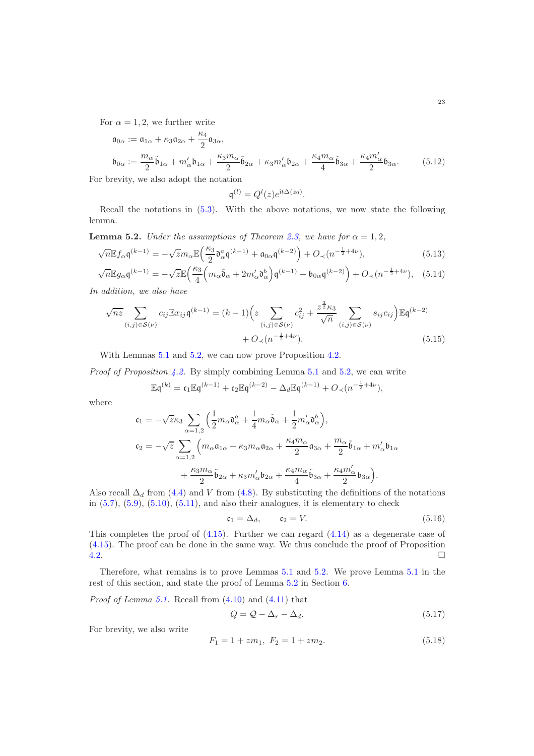For  $\alpha = 1, 2$ , we further write

$$
\mathfrak{a}_{0\alpha} := \mathfrak{a}_{1\alpha} + \kappa_3 \mathfrak{a}_{2\alpha} + \frac{\kappa_4}{2} \mathfrak{a}_{3\alpha},
$$
  
\n
$$
\mathfrak{b}_{0\alpha} := \frac{m_\alpha}{2} \tilde{\mathfrak{b}}_{1\alpha} + m'_\alpha \mathfrak{b}_{1\alpha} + \frac{\kappa_3 m_\alpha}{2} \tilde{\mathfrak{b}}_{2\alpha} + \kappa_3 m'_\alpha \mathfrak{b}_{2\alpha} + \frac{\kappa_4 m_\alpha}{4} \tilde{\mathfrak{b}}_{3\alpha} + \frac{\kappa_4 m'_\alpha}{2} \mathfrak{b}_{3\alpha}.
$$
 (5.12)

For brevity, we also adopt the notation

<span id="page-22-6"></span><span id="page-22-5"></span><span id="page-22-4"></span><span id="page-22-3"></span>
$$
\mathfrak{q}^{(l)}=Q^l(z)e^{\mathrm{i} t\Delta(z_0)}.
$$

Recall the notations in [\(5.3\)](#page-20-2). With the above notations, we now state the following lemma.

<span id="page-22-0"></span>**Lemma 5.2.** Under the assumptions of Theorem [2.3,](#page-5-0) we have for  $\alpha = 1, 2$ ,

$$
\sqrt{n} \mathbb{E} f_{\alpha} \mathfrak{q}^{(k-1)} = -\sqrt{z} m_{\alpha} \mathbb{E} \left( \frac{\kappa_3}{2} \mathfrak{d}_{\alpha}^a \mathfrak{q}^{(k-1)} + \mathfrak{a}_{0\alpha} \mathfrak{q}^{(k-2)} \right) + O_{\prec} (n^{-\frac{1}{2}+4\nu}),\tag{5.13}
$$

$$
\sqrt{n} \mathbb{E} g_{\alpha} \mathfrak{q}^{(k-1)} = -\sqrt{z} \mathbb{E} \left( \frac{\kappa_3}{4} \left( m_{\alpha} \tilde{\mathfrak{d}}_{\alpha} + 2 m_{\alpha}' \mathfrak{d}_{\alpha}^b \right) \mathfrak{q}^{(k-1)} + \mathfrak{b}_{0\alpha} \mathfrak{q}^{(k-2)} \right) + O_{\prec} (n^{-\frac{1}{2} + 4\nu}), \quad (5.14)
$$

In addition, we also have

$$
\sqrt{nz} \sum_{(i,j)\in S(\nu)} c_{ij} \mathbb{E} x_{ij} \mathfrak{q}^{(k-1)} = (k-1) \Big( z \sum_{(i,j)\in S(\nu)} c_{ij}^2 + \frac{z^{\frac{3}{2}} \kappa_3}{\sqrt{n}} \sum_{(i,j)\in S(\nu)} s_{ij} c_{ij} \Big) \mathbb{E} \mathfrak{q}^{(k-2)} + O_{\prec}(n^{-\frac{1}{2}+4\nu}).
$$
\n(5.15)

With Lemmas [5.1](#page-20-3) and [5.2,](#page-22-0) we can now prove Proposition [4.2.](#page-18-0)

*Proof of Proposition [4.2.](#page-18-0)* By simply combining Lemma [5.1](#page-20-3) and [5.2,](#page-22-0) we can write

$$
\mathbb{E} \mathfrak{q}^{(k)} = \mathfrak{c}_1 \mathbb{E} \mathfrak{q}^{(k-1)} + \mathfrak{c}_2 \mathbb{E} \mathfrak{q}^{(k-2)} - \Delta_d \mathbb{E} \mathfrak{q}^{(k-1)} + O_\prec(n^{-\frac{1}{2}+4\nu}),
$$

where

$$
\begin{split} \mathfrak{c}_1 &= -\sqrt{z}\kappa_3\sum_{\alpha=1,2}\Big(\frac{1}{2}m_\alpha\mathfrak{d}_\alpha^a + \frac{1}{4}m_\alpha\tilde{\mathfrak{d}}_\alpha + \frac{1}{2}m'_\alpha\mathfrak{d}_\alpha^b\Big), \\ \mathfrak{c}_2 &= -\sqrt{z}\sum_{\alpha=1,2}\Big(m_\alpha\mathfrak{a}_{1\alpha} + \kappa_3m_\alpha\mathfrak{a}_{2\alpha} + \frac{\kappa_4m_\alpha}{2}\mathfrak{a}_{3\alpha} + \frac{m_\alpha}{2}\tilde{\mathfrak{b}}_{1\alpha} + m'_\alpha\mathfrak{b}_{1\alpha} \\ &+ \frac{\kappa_3m_\alpha}{2}\tilde{\mathfrak{b}}_{2\alpha} + \kappa_3m'_\alpha\mathfrak{b}_{2\alpha} + \frac{\kappa_4m_\alpha}{4}\tilde{\mathfrak{b}}_{3\alpha} + \frac{\kappa_4m'_\alpha}{2}\mathfrak{b}_{3\alpha}\Big). \end{split}
$$

Also recall  $\Delta_d$  from [\(4.4\)](#page-16-0) and V from [\(4.8\)](#page-16-4). By substituting the definitions of the notations in  $(5.7)$ ,  $(5.9)$ ,  $(5.10)$ ,  $(5.11)$ , and also their analogues, it is elementary to check

$$
\mathfrak{c}_1 = \Delta_d, \qquad \mathfrak{c}_2 = V. \tag{5.16}
$$

This completes the proof of  $(4.15)$ . Further we can regard  $(4.14)$  as a degenerate case of [\(4.15\)](#page-18-3). The proof can be done in the same way. We thus conclude the proof of Proposition  $\Box$ 

Therefore, what remains is to prove Lemmas [5.1](#page-20-3) and [5.2.](#page-22-0) We prove Lemma [5.1](#page-20-3) in the rest of this section, and state the proof of Lemma [5.2](#page-22-0) in Section [6.](#page-23-0)

*Proof of Lemma [5.1.](#page-20-3)* Recall from  $(4.10)$  and  $(4.11)$  that

<span id="page-22-2"></span>
$$
Q = Q - \Delta_r - \Delta_d. \tag{5.17}
$$

For brevity, we also write

<span id="page-22-1"></span>
$$
F_1 = 1 + zm_1, \ F_2 = 1 + zm_2. \tag{5.18}
$$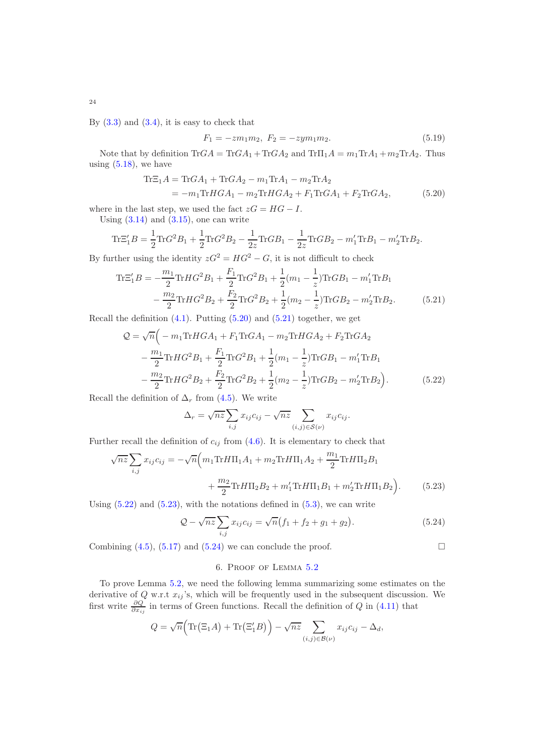By  $(3.3)$  and  $(3.4)$ , it is easy to check that

<span id="page-23-6"></span><span id="page-23-1"></span>
$$
F_1 = -z m_1 m_2, \ F_2 = -z y m_1 m_2. \tag{5.19}
$$

Note that by definition  $\text{Tr}GA = \text{Tr}GA_1 + \text{Tr}GA_2$  and  $\text{Tr}\Pi_1A = m_1\text{Tr}A_1 + m_2\text{Tr}A_2$ . Thus using  $(5.18)$ , we have

$$
\begin{aligned} \text{Tr}\Xi_1 A &= \text{Tr}GA_1 + \text{Tr}GA_2 - m_1 \text{Tr}A_1 - m_2 \text{Tr}A_2 \\ &= -m_1 \text{Tr}HGA_1 - m_2 \text{Tr}HGA_2 + F_1 \text{Tr}GA_1 + F_2 \text{Tr}GA_2, \end{aligned} \tag{5.20}
$$

where in the last step, we used the fact  $zG = HG - I$ .

Using  $(3.14)$  and  $(3.15)$ , one can write

$$
\text{Tr}\Xi_1'B = \frac{1}{2}\text{Tr}G^2B_1 + \frac{1}{2}\text{Tr}G^2B_2 - \frac{1}{2z}\text{Tr}GB_1 - \frac{1}{2z}\text{Tr}GB_2 - m_1'\text{Tr}B_1 - m_2'\text{Tr}B_2.
$$

By further using the identity  $zG^2 = HG^2 - G$ , it is not difficult to check

$$
\text{Tr}\Xi_1'B = -\frac{m_1}{2}\text{Tr}HG^2B_1 + \frac{F_1}{2}\text{Tr}G^2B_1 + \frac{1}{2}(m_1 - \frac{1}{z})\text{Tr}GB_1 - m_1'\text{Tr}B_1
$$

$$
-\frac{m_2}{2}\text{Tr}HG^2B_2 + \frac{F_2}{2}\text{Tr}G^2B_2 + \frac{1}{2}(m_2 - \frac{1}{z})\text{Tr}GB_2 - m_2'\text{Tr}B_2.
$$
(5.21)

Recall the definition  $(4.1)$ . Putting  $(5.20)$  and  $(5.21)$  together, we get

$$
Q = \sqrt{n} \Big( -m_1 \text{Tr} H G A_1 + F_1 \text{Tr} G A_1 - m_2 \text{Tr} H G A_2 + F_2 \text{Tr} G A_2 - \frac{m_1}{2} \text{Tr} H G^2 B_1 + \frac{F_1}{2} \text{Tr} G^2 B_1 + \frac{1}{2} (m_1 - \frac{1}{z}) \text{Tr} G B_1 - m_1' \text{Tr} B_1 - \frac{m_2}{2} \text{Tr} H G^2 B_2 + \frac{F_2}{2} \text{Tr} G^2 B_2 + \frac{1}{2} (m_2 - \frac{1}{z}) \text{Tr} G B_2 - m_2' \text{Tr} B_2 \Big). \tag{5.22}
$$

Recall the definition of  $\Delta_r$  from [\(4.5\)](#page-16-1). We write

$$
\Delta_r = \sqrt{nz} \sum_{i,j} x_{ij} c_{ij} - \sqrt{nz} \sum_{(i,j) \in S(\nu)} x_{ij} c_{ij}.
$$

Further recall the definition of  $c_{ij}$  from [\(4.6\)](#page-16-2). It is elementary to check that

$$
\sqrt{nz} \sum_{i,j} x_{ij} c_{ij} = -\sqrt{n} \Big( m_1 \text{Tr} H \Pi_1 A_1 + m_2 \text{Tr} H \Pi_1 A_2 + \frac{m_1}{2} \text{Tr} H \Pi_2 B_1 + \frac{m_2}{2} \text{Tr} H \Pi_2 B_2 + m_1' \text{Tr} H \Pi_1 B_1 + m_2' \text{Tr} H \Pi_1 B_2 \Big). \tag{5.23}
$$

Using  $(5.22)$  and  $(5.23)$ , with the notations defined in  $(5.3)$ , we can write

$$
Q - \sqrt{nz} \sum_{i,j} x_{ij} c_{ij} = \sqrt{n} (f_1 + f_2 + g_1 + g_2).
$$
 (5.24)

<span id="page-23-0"></span>Combining  $(4.5)$ ,  $(5.17)$  and  $(5.24)$  we can conclude the proof.

<span id="page-23-5"></span><span id="page-23-4"></span><span id="page-23-3"></span><span id="page-23-2"></span>
$$
\Box
$$

# 6. Proof of Lemma [5.2](#page-22-0)

To prove Lemma [5.2,](#page-22-0) we need the following lemma summarizing some estimates on the derivative of Q w.r.t  $x_{ij}$ 's, which will be frequently used in the subsequent discussion. We first write  $\frac{\partial Q}{\partial x_{ij}}$  in terms of Green functions. Recall the definition of Q in [\(4.11\)](#page-17-3) that

$$
Q = \sqrt{n} \Big( \text{Tr} \big( \Xi_1 A \big) + \text{Tr} \big( \Xi'_1 B \big) \Big) - \sqrt{nz} \sum_{(i,j) \in \mathcal{B}(\nu)} x_{ij} c_{ij} - \Delta_d,
$$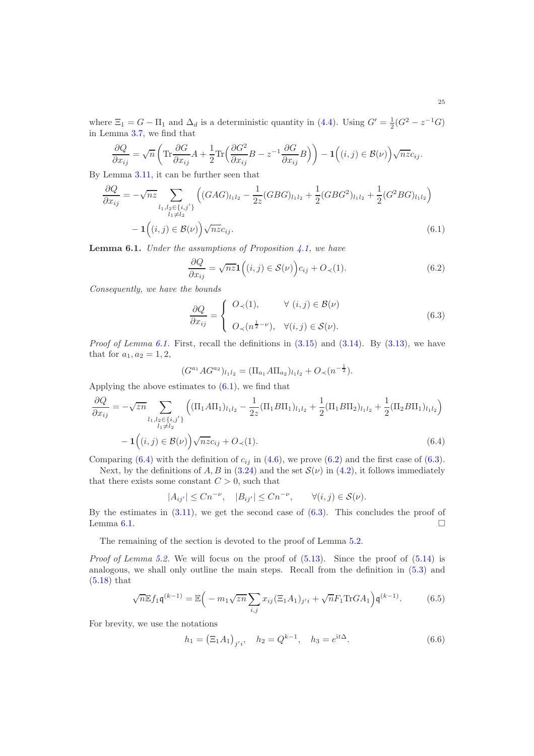where  $\Xi_1 = G - \Pi_1$  and  $\Delta_d$  is a deterministic quantity in [\(4.4\)](#page-16-0). Using  $G' = \frac{1}{2}(G^2 - z^{-1}G)$ in Lemma [3.7,](#page-11-1) we find that

$$
\frac{\partial Q}{\partial x_{ij}} = \sqrt{n} \left( \text{Tr} \frac{\partial G}{\partial x_{ij}} A + \frac{1}{2} \text{Tr} \left( \frac{\partial G^2}{\partial x_{ij}} B - z^{-1} \frac{\partial G}{\partial x_{ij}} B \right) \right) - \mathbf{1} \left( (i, j) \in \mathcal{B}(\nu) \right) \sqrt{n z c_{ij}}.
$$

By Lemma [3.11,](#page-15-3) it can be further seen that

$$
\frac{\partial Q}{\partial x_{ij}} = -\sqrt{nz} \sum_{\substack{l_1, l_2 \in \{i, j'\} \\ l_1 \neq l_2}} \left( (GAG)_{l_1 l_2} - \frac{1}{2z} (GBG)_{l_1 l_2} + \frac{1}{2} (GBG^2)_{l_1 l_2} + \frac{1}{2} (G^2 BG)_{l_1 l_2} \right) \n- \mathbf{1} \left( (i, j) \in \mathcal{B}(\nu) \right) \sqrt{nz} c_{ij}.
$$
\n(6.1)

<span id="page-24-0"></span>**Lemma 6.1.** Under the assumptions of Proposition  $4.1$ , we have

<span id="page-24-3"></span><span id="page-24-1"></span>
$$
\frac{\partial Q}{\partial x_{ij}} = \sqrt{nz} \mathbf{1}\Big((i,j) \in \mathcal{S}(\nu)\Big)c_{ij} + O_{\prec}(1). \tag{6.2}
$$

Consequently, we have the bounds

<span id="page-24-4"></span>
$$
\frac{\partial Q}{\partial x_{ij}} = \begin{cases} \n O_{\prec}(1), & \forall (i,j) \in \mathcal{B}(\nu) \\ \n O_{\prec}(n^{\frac{1}{2}-\nu}), & \forall (i,j) \in \mathcal{S}(\nu). \n \end{cases} \tag{6.3}
$$

*Proof of Lemma [6.1.](#page-24-0)* First, recall the definitions in  $(3.15)$  and  $(3.14)$ . By  $(3.13)$ , we have that for  $a_1, a_2 = 1, 2,$ 

<span id="page-24-2"></span>
$$
(G^{a_1} A G^{a_2})_{l_1 l_2} = (\Pi_{a_1} A \Pi_{a_2})_{l_1 l_2} + O_{\prec} (n^{-\frac{1}{2}}).
$$

Applying the above estimates to  $(6.1)$ , we find that

$$
\frac{\partial Q}{\partial x_{ij}} = -\sqrt{2n} \sum_{\substack{l_1, l_2 \in \{i, j'\} \\ l_1 \neq l_2}} \left( (\Pi_1 A \Pi_1)_{l_1 l_2} - \frac{1}{2z} (\Pi_1 B \Pi_1)_{l_1 l_2} + \frac{1}{2} (\Pi_1 B \Pi_2)_{l_1 l_2} + \frac{1}{2} (\Pi_2 B \Pi_1)_{l_1 l_2} \right)
$$

$$
- \mathbf{1} \Big( (i, j) \in \mathcal{B}(\nu) \Big) \sqrt{n z} c_{ij} + O_{\prec}(1). \tag{6.4}
$$

Comparing [\(6.4\)](#page-24-2) with the definition of  $c_{ij}$  in [\(4.6\)](#page-16-2), we prove [\(6.2\)](#page-24-3) and the first case of [\(6.3\)](#page-24-4).

Next, by the definitions of A, B in  $(3.24)$  and the set  $\mathcal{S}(\nu)$  in  $(4.2)$ , it follows immediately that there exists some constant  $C > 0$ , such that

$$
|A_{ij'}| \leq Cn^{-\nu}, \quad |B_{ij'}| \leq Cn^{-\nu}, \qquad \forall (i,j) \in \mathcal{S}(\nu).
$$

By the estimates in  $(3.11)$ , we get the second case of  $(6.3)$ . This concludes the proof of Lemma [6.1.](#page-24-0)  $\Box$ 

The remaining of the section is devoted to the proof of Lemma [5.2.](#page-22-0)

*Proof of Lemma [5.2.](#page-22-0)* We will focus on the proof of  $(5.13)$ . Since the proof of  $(5.14)$  is analogous, we shall only outline the main steps. Recall from the definition in [\(5.3\)](#page-20-2) and [\(5.18\)](#page-22-1) that

$$
\sqrt{n} \mathbb{E} f_1 \mathfrak{q}^{(k-1)} = \mathbb{E} \Big( -m_1 \sqrt{zn} \sum_{i,j} x_{ij} (\Xi_1 A_1)_{j'i} + \sqrt{n} F_1 \text{Tr} G A_1 \Big) \mathfrak{q}^{(k-1)}.
$$
 (6.5)

For brevity, we use the notations

<span id="page-24-6"></span><span id="page-24-5"></span>
$$
h_1 = (\Xi_1 A_1)_{j'i}, \quad h_2 = Q^{k-1}, \quad h_3 = e^{\mathrm{i}t\Delta}.
$$
 (6.6)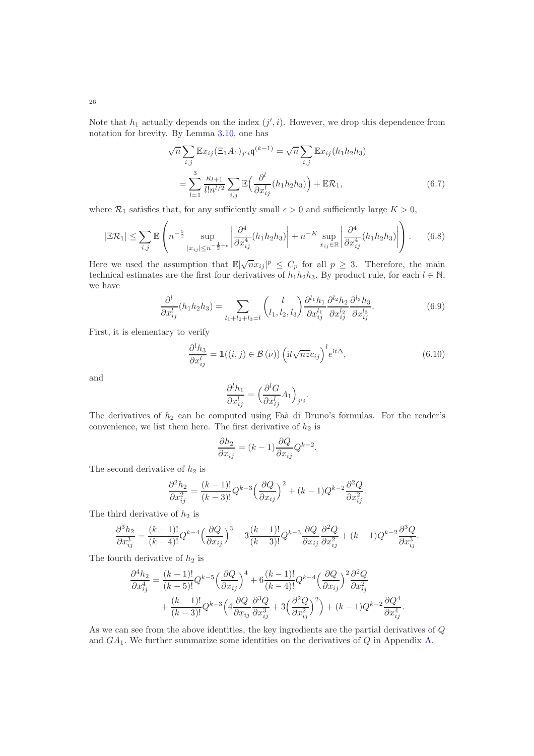Note that  $h_1$  actually depends on the index  $(j', i)$ . However, we drop this dependence from notation for brevity. By Lemma [3.10,](#page-14-4) one has

<span id="page-25-1"></span>
$$
\sqrt{n} \sum_{i,j} \mathbb{E} x_{ij} (\Xi_1 A_1)_{j'i} \mathfrak{q}^{(k-1)} = \sqrt{n} \sum_{i,j} \mathbb{E} x_{ij} (h_1 h_2 h_3)
$$

$$
= \sum_{l=1}^3 \frac{\kappa_{l+1}}{l! n^{l/2}} \sum_{i,j} \mathbb{E} \Big( \frac{\partial^l}{\partial x_{ij}^l} (h_1 h_2 h_3) \Big) + \mathbb{E} \mathcal{R}_1,
$$
(6.7)

where  $\mathcal{R}_1$  satisfies that, for any sufficiently small  $\epsilon > 0$  and sufficiently large  $K > 0$ ,

<span id="page-25-2"></span>
$$
|\mathbb{E}\mathcal{R}_1| \leq \sum_{i,j} \mathbb{E}\left(n^{-\frac{5}{2}} \sup_{|x_{ij}|\leq n^{-\frac{1}{2}+\epsilon}} \left|\frac{\partial^4}{\partial x_{ij}^4}(h_1h_2h_3)\right| + n^{-K} \sup_{x_{ij}\in\mathbb{R}} \left|\frac{\partial^4}{\partial x_{ij}^4}(h_1h_2h_3)\right|\right).
$$
 (6.8)

Here we used the assumption that  $\mathbb{E}|\sqrt{n}x_{ij}|^p \leq C_p$  for all  $p \geq 3$ . Therefore, the main technical estimates are the first four derivatives of  $h_1h_2h_3$ . By product rule, for each  $l \in \mathbb{N}$ , we have

$$
\frac{\partial^l}{\partial x_{ij}^l}(h_1h_2h_3) = \sum_{l_1+l_2+l_3=l} \binom{l}{l_1,l_2,l_3} \frac{\partial^{l_1}h_1}{\partial x_{ij}^{l_1}} \frac{\partial^{l_2}h_2}{\partial x_{ij}^{l_2}} \frac{\partial^{l_3}h_3}{\partial x_{ij}^{l_3}}.
$$
(6.9)

First, it is elementary to verify

$$
\frac{\partial^l h_3}{\partial x_{ij}^l} = \mathbf{1}((i,j) \in \mathcal{B}(\nu)) \left(\mathrm{i}t\sqrt{nz}c_{ij}\right)^l e^{\mathrm{i}t\Delta},\tag{6.10}
$$

<span id="page-25-0"></span>.

and

$$
\frac{\partial^l h_1}{\partial x_{ij}^l} = \Big(\frac{\partial^l G}{\partial x_{ij}^l} A_1\Big)_{j'i}.
$$

The derivatives of  $h_2$  can be computed using Faà di Bruno's formulas. For the reader's convenience, we list them here. The first derivative of  $h_2$  is

$$
\frac{\partial h_2}{\partial x_{ij}} = (k-1) \frac{\partial Q}{\partial x_{ij}} Q^{k-2}.
$$

The second derivative of  $h_2$  is

$$
\frac{\partial^2 h_2}{\partial x_{ij}^2} = \frac{(k-1)!}{(k-3)!} Q^{k-3} \left(\frac{\partial Q}{\partial x_{ij}}\right)^2 + (k-1) Q^{k-2} \frac{\partial^2 Q}{\partial x_{ij}^2}
$$

The third derivative of  $h_2$  is

$$
\frac{\partial^3 h_2}{\partial x_{ij}^3} = \frac{(k-1)!}{(k-4)!} Q^{k-4} \left(\frac{\partial Q}{\partial x_{ij}}\right)^3 + 3 \frac{(k-1)!}{(k-3)!} Q^{k-3} \frac{\partial Q}{\partial x_{ij}} \frac{\partial^2 Q}{\partial x_{ij}^2} + (k-1) Q^{k-2} \frac{\partial^3 Q}{\partial x_{ij}^3}.
$$

The fourth derivative of  $h_2$  is

$$
\frac{\partial^4 h_2}{\partial x_{ij}^4} = \frac{(k-1)!}{(k-5)!} Q^{k-5} \left(\frac{\partial Q}{\partial x_{ij}}\right)^4 + 6 \frac{(k-1)!}{(k-4)!} Q^{k-4} \left(\frac{\partial Q}{\partial x_{ij}}\right)^2 \frac{\partial^2 Q}{\partial x_{ij}^2} \n+ \frac{(k-1)!}{(k-3)!} Q^{k-3} \left(4 \frac{\partial Q}{\partial x_{ij}} \frac{\partial^3 Q}{\partial x_{ij}^3} + 3 \left(\frac{\partial^2 Q}{\partial x_{ij}^2}\right)^2\right) + (k-1) Q^{k-2} \frac{\partial Q^4}{\partial x_{ij}^4}.
$$

As we can see from the above identities, the key ingredients are the partial derivatives of Q and GA1. We further summarize some identities on the derivatives of Q in Appendix [A.](#page-47-0)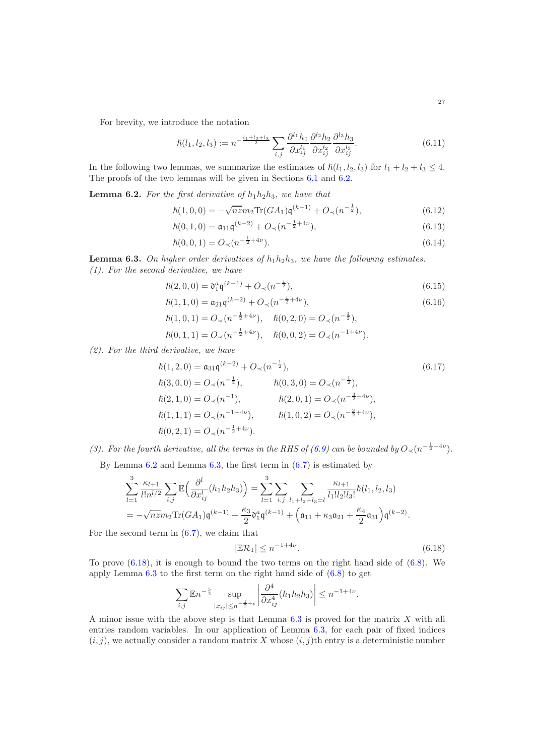For brevity, we introduce the notation

$$
\hbar(l_1, l_2, l_3) := n^{-\frac{l_1 + l_2 + l_3}{2}} \sum_{i,j} \frac{\partial^{l_1} h_1}{\partial x_{ij}^{l_1}} \frac{\partial^{l_2} h_2}{\partial x_{ij}^{l_2}} \frac{\partial^{l_3} h_3}{\partial x_{ij}^{l_3}}.
$$
\n(6.11)

In the following two lemmas, we summarize the estimates of  $\hbar(l_1, l_2, l_3)$  for  $l_1 + l_2 + l_3 \leq 4$ . The proofs of the two lemmas will be given in Sections [6.1](#page-30-0) and [6.2.](#page-34-0)

<span id="page-26-0"></span>**Lemma 6.2.** For the first derivative of  $h_1h_2h_3$ , we have that

$$
\hbar(1,0,0) = -\sqrt{nz}m_2 \text{Tr}(GA_1)\mathbf{q}^{(k-1)} + O_{\prec}(n^{-\frac{1}{2}}),\tag{6.12}
$$

$$
\hbar(0,1,0) = \mathfrak{a}_{11}\mathfrak{q}^{(k-2)} + O_{\prec}(n^{-\frac{1}{2}+4\nu}),\tag{6.13}
$$

$$
\hbar(0,0,1) = O_{\prec}(n^{-\frac{1}{2}+4\nu}).\tag{6.14}
$$

<span id="page-26-1"></span>**Lemma 6.3.** On higher order derivatives of  $h_1h_2h_3$ , we have the following estimates. (1). For the second derivative, we have

$$
\hbar(2,0,0) = \mathfrak{d}_1^a \mathfrak{q}^{(k-1)} + O_\prec(n^{-\frac{1}{2}}),\tag{6.15}
$$

$$
\hbar(1,1,0) = \mathfrak{a}_{21}\mathfrak{q}^{(k-2)} + O_{\prec}(n^{-\frac{1}{2}+4\nu}),\tag{6.16}
$$

<span id="page-26-8"></span><span id="page-26-7"></span><span id="page-26-6"></span><span id="page-26-5"></span><span id="page-26-4"></span><span id="page-26-3"></span><sup>−</sup> <sup>1</sup>

$$
\begin{aligned}\n\hbar(1,0,1) &= O_{\prec}(n^{-\frac{1}{2}+4\nu}), \quad \hbar(0,2,0) = O_{\prec}(n^{-\frac{1}{2}}), \\
\hbar(0,1,1) &= O_{\prec}(n^{-\frac{1}{2}+4\nu}), \quad \hbar(0,0,2) = O_{\prec}(n^{-1+4\nu}).\n\end{aligned}
$$

(2). For the third derivative, we have

$$
\begin{aligned}\n\hbar(1,2,0) &= \mathfrak{a}_{31}\mathfrak{q}^{(k-2)} + O_{\prec}(n^{-\frac{1}{2}}), \\
\hbar(3,0,0) &= O_{\prec}(n^{-\frac{1}{2}}), \\
\hbar(2,1,0) &= O_{\prec}(n^{-1}), \\
\hbar(1,1,1) &= O_{\prec}(n^{-1+4\nu}), \\
\hbar(0,2,1) &= O_{\prec}(n^{-\frac{3}{2}+4\nu}), \\
\hbar(0,2,1) &= O_{\prec}(n^{-\frac{1}{2}+4\nu}).\n\end{aligned}
$$
\n(6.17)\n
$$
\begin{aligned}\n\hbar(0,3,0) &= O_{\prec}(n^{-\frac{1}{2}}), \\
\hbar(2,0,1) &= O_{\prec}(n^{-\frac{3}{2}+4\nu}), \\
\hbar(1,0,2) &= O_{\prec}(n^{-\frac{3}{2}+4\nu}), \\
\hbar(0,2,1) &= O_{\prec}(n^{-\frac{1}{2}+4\nu}).\n\end{aligned}
$$

(3). For the fourth derivative, all the terms in the RHS of [\(6.9\)](#page-25-0) can be bounded by  $O_{\prec} (n^{-\frac{1}{2}+4\nu}).$ 

By Lemma  $6.2$  and Lemma  $6.3$ , the first term in  $(6.7)$  is estimated by

$$
\sum_{l=1}^{3} \frac{\kappa_{l+1}}{l!n^{l/2}} \sum_{i,j} \mathbb{E}\Big(\frac{\partial^l}{\partial x_{ij}^l}(h_1 h_2 h_3)\Big) = \sum_{l=1}^{3} \sum_{i,j} \sum_{l_1+l_2+l_3=l} \frac{\kappa_{l+1}}{l_1! l_2! l_3!} \hbar(l_1, l_2, l_3)
$$
  
=  $-\sqrt{n} \mathbb{E} m_2 \text{Tr}(GA_1) \mathfrak{q}^{(k-1)} + \frac{\kappa_3}{2} \mathfrak{d}_1^a \mathfrak{q}^{(k-1)} + \left(\mathfrak{a}_{11} + \kappa_3 \mathfrak{a}_{21} + \frac{\kappa_4}{2} \mathfrak{a}_{31}\right) \mathfrak{q}^{(k-2)}.$ 

For the second term in  $(6.7)$ , we claim that

<span id="page-26-2"></span>
$$
|\mathbb{E}\mathcal{R}_1| \le n^{-1+4\nu}.\tag{6.18}
$$

To prove  $(6.18)$ , it is enough to bound the two terms on the right hand side of  $(6.8)$ . We apply Lemma  $6.3$  to the first term on the right hand side of  $(6.8)$  to get

$$
\sum_{i,j} \mathbb{E} n^{-\frac{5}{2}} \sup_{|x_{ij}| \le n^{-\frac{1}{2}+\epsilon}} \left| \frac{\partial^4}{\partial x_{ij}^4} (h_1 h_2 h_3) \right| \le n^{-1+4\nu}.
$$

A minor issue with the above step is that Lemma  $6.3$  is proved for the matrix  $X$  with all entries random variables. In our application of Lemma [6.3,](#page-26-1) for each pair of fixed indices  $(i, j)$ , we actually consider a random matrix X whose  $(i, j)$ th entry is a deterministic number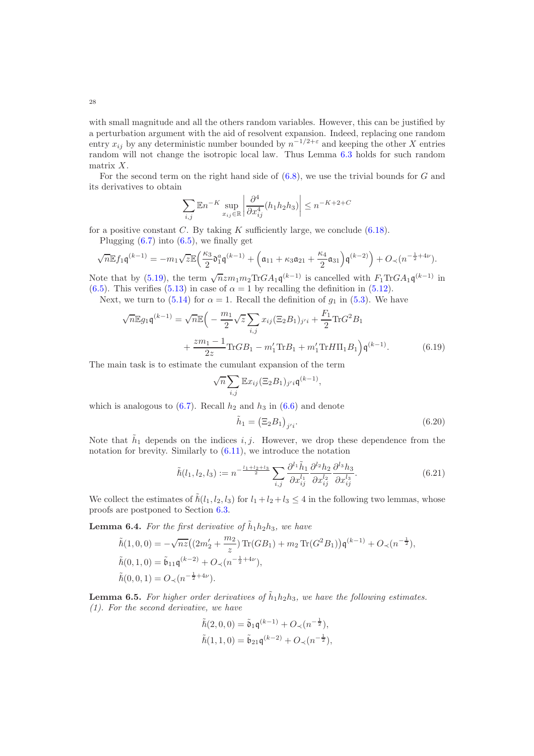with small magnitude and all the others random variables. However, this can be justified by a perturbation argument with the aid of resolvent expansion. Indeed, replacing one random entry  $x_{ij}$  by any deterministic number bounded by  $n^{-1/2+\epsilon}$  and keeping the other X entries random will not change the isotropic local law. Thus Lemma [6.3](#page-26-1) holds for such random matrix X.

For the second term on the right hand side of  $(6.8)$ , we use the trivial bounds for G and its derivatives to obtain

$$
\left|\sum_{i,j} \mathbb{E} n^{-K} \sup_{x_{ij} \in \mathbb{R}} \left| \frac{\partial^4}{\partial x_{ij}^4} (h_1 h_2 h_3) \right| \leq n^{-K+2+C}
$$

for a positive constant C. By taking K sufficiently large, we conclude  $(6.18)$ .

Plugging  $(6.7)$  into  $(6.5)$ , we finally get

√

$$
\sqrt{n} \mathbb{E} f_1 \mathfrak{q}^{(k-1)} = -m_1 \sqrt{z} \mathbb{E} \Big( \frac{\kappa_3}{2} \mathfrak{d}_1^a \mathfrak{q}^{(k-1)} + \Big( \mathfrak{a}_{11} + \kappa_3 \mathfrak{a}_{21} + \frac{\kappa_4}{2} \mathfrak{a}_{31} \Big) \mathfrak{q}^{(k-2)} \Big) + O_\prec(n^{-\frac{1}{2} + 4\nu}).
$$

Note that by [\(5.19\)](#page-23-6), the term  $\sqrt{n} z m_1 m_2 \text{Tr} G A_1 \mathfrak{q}^{(k-1)}$  is cancelled with  $F_1 \text{Tr} G A_1 \mathfrak{q}^{(k-1)}$  in [\(6.5\)](#page-24-5). This verifies [\(5.13\)](#page-22-3) in case of  $\alpha = 1$  by recalling the definition in [\(5.12\)](#page-22-5).

Next, we turn to [\(5.14\)](#page-22-4) for  $\alpha = 1$ . Recall the definition of  $g_1$  in [\(5.3\)](#page-20-2). We have

$$
\sqrt{n} \mathbb{E} g_1 \mathfrak{q}^{(k-1)} = \sqrt{n} \mathbb{E} \left( -\frac{m_1}{2} \sqrt{z} \sum_{i,j} x_{ij} (\Xi_2 B_1)_{j'i} + \frac{F_1}{2} \text{Tr} G^2 B_1 + \frac{zm_1 - 1}{2z} \text{Tr} GB_1 - m_1' \text{Tr} B_1 + m_1' \text{Tr} H \Pi_1 B_1 \right) \mathfrak{q}^{(k-1)}.
$$
 (6.19)

The main task is to estimate the cumulant expansion of the term

$$
\sqrt{n}\sum_{i,j}\mathbb{E}x_{ij}(\Xi_2B_1)_{j'i}\mathfrak{q}^{(k-1)},
$$

which is analogous to  $(6.7)$ . Recall  $h_2$  and  $h_3$  in  $(6.6)$  and denote

<span id="page-27-3"></span><span id="page-27-1"></span><span id="page-27-0"></span>
$$
\tilde{h}_1 = \left(\Xi_2 B_1\right)_{j'i}.\tag{6.20}
$$

Note that  $\tilde{h}_1$  depends on the indices i, j. However, we drop these dependence from the notation for brevity. Similarly to [\(6.11\)](#page-26-3), we introduce the notation

$$
\tilde{\hbar}(l_1, l_2, l_3) := n^{-\frac{l_1 + l_2 + l_3}{2}} \sum_{i,j} \frac{\partial^{l_1} \tilde{h}_1}{\partial x_{ij}^{l_1}} \frac{\partial^{l_2} h_2}{\partial x_{ij}^{l_2}} \frac{\partial^{l_3} h_3}{\partial x_{ij}^{l_3}}.
$$
\n(6.21)

We collect the estimates of  $\tilde{h}(l_1, l_2, l_3)$  for  $l_1 + l_2 + l_3 \leq 4$  in the following two lemmas, whose proofs are postponed to Section [6.3.](#page-38-0)

<span id="page-27-2"></span>**Lemma 6.4.** For the first derivative of  $\tilde{h}_1 h_2 h_3$ , we have

$$
\tilde{\hbar}(1,0,0) = -\sqrt{nz}((2m_2' + \frac{m_2}{z}) \operatorname{Tr}(GB_1) + m_2 \operatorname{Tr}(G^2B_1)) \mathfrak{q}^{(k-1)} + O_{\prec}(n^{-\frac{1}{2}}),
$$
  
\n
$$
\tilde{\hbar}(0,1,0) = \tilde{\mathfrak{b}}_{11} \mathfrak{q}^{(k-2)} + O_{\prec}(n^{-\frac{1}{2}+4\nu}),
$$
  
\n
$$
\tilde{\hbar}(0,0,1) = O_{\prec}(n^{-\frac{1}{2}+4\nu}).
$$

<span id="page-27-4"></span>**Lemma 6.5.** For higher order derivatives of  $\tilde{h}_1 h_2 h_3$ , we have the following estimates. (1). For the second derivative, we have

$$
\tilde{\hbar}(2,0,0) = \tilde{\mathfrak{d}}_1 \mathfrak{q}^{(k-1)} + O_{\prec}(n^{-\frac{1}{2}}),
$$
  

$$
\tilde{\hbar}(1,1,0) = \tilde{\mathfrak{b}}_{21} \mathfrak{q}^{(k-2)} + O_{\prec}(n^{-\frac{1}{2}}),
$$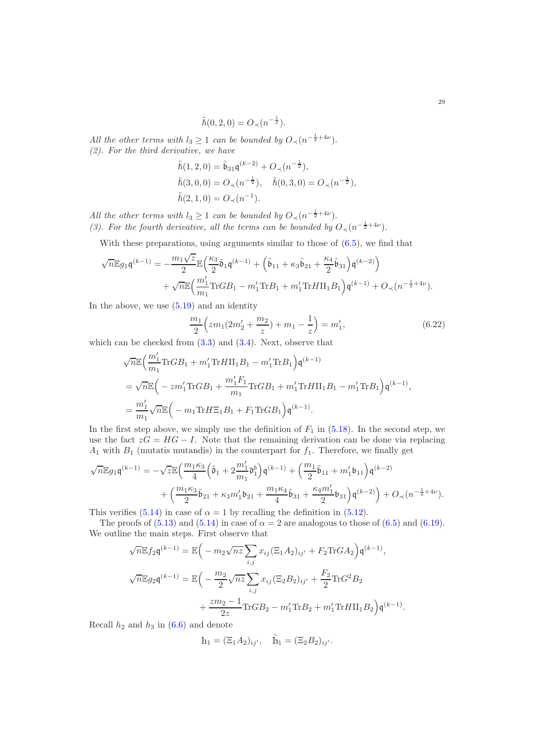$$
\tilde{\hbar}(0,2,0) = O_{\prec}(n^{-\frac{1}{2}}).
$$

All the other terms with  $l_3 \geq 1$  can be bounded by  $O_{\prec} (n^{-\frac{1}{2}+4\nu}).$ (2). For the third derivative, we have

$$
\tilde{\hbar}(1,2,0) = \tilde{\mathfrak{b}}_{31}\mathfrak{q}^{(k-2)} + O_{\prec}(n^{-\frac{1}{2}}), \n\tilde{\hbar}(3,0,0) = O_{\prec}(n^{-\frac{1}{2}}), \quad \tilde{\hbar}(0,3,0) = O_{\prec}(n^{-\frac{1}{2}}), \n\tilde{\hbar}(2,1,0) = O_{\prec}(n^{-1}).
$$

All the other terms with  $l_3 \geq 1$  can be bounded by  $O_{\prec} (n^{-\frac{1}{2}+4\nu}).$ (3). For the fourth derivative, all the terms can be bounded by  $O_{\prec}(n^{-\frac{1}{2}+4\nu}).$ 

With these preparations, using arguments similar to those of  $(6.5)$ , we find that

$$
\begin{aligned} \sqrt{n} \mathbb{E} g_1 \mathfrak{q}^{(k-1)} & = - \frac{m_1 \sqrt{z}}{2} \mathbb{E} \Big( \frac{\kappa_3}{2} \tilde{\mathfrak{d}}_1 \mathfrak{q}^{(k-1)} + \Big( \tilde{\mathfrak{b}}_{11} + \kappa_3 \tilde{\mathfrak{b}}_{21} + \frac{\kappa_4}{2} \tilde{\mathfrak{b}}_{31} \Big) \mathfrak{q}^{(k-2)} \Big) \\ & \quad + \sqrt{n} \mathbb{E} \Big( \frac{m_1'}{m_1} \text{Tr} G B_1 - m_1' \text{Tr} B_1 + m_1' \text{Tr} H \Pi_1 B_1 \Big) \mathfrak{q}^{(k-1)} + O_\prec (n^{-\frac{1}{2} + 4\nu}). \end{aligned}
$$

In the above, we use  $(5.19)$  and an identity

<span id="page-28-0"></span>
$$
\frac{m_1}{2}\left(zm_1(2m'_2+\frac{m_2}{z})+m_1-\frac{1}{z}\right)=m'_1,\tag{6.22}
$$

which can be checked from  $(3.3)$  and  $(3.4)$ . Next, observe that

$$
\sqrt{n}\mathbb{E}\Big(\frac{m'_1}{m_1}\text{Tr}GB_1 + m'_1\text{Tr}H\Pi_1B_1 - m'_1\text{Tr}B_1\Big) \mathfrak{q}^{(k-1)} \n= \sqrt{n}\mathbb{E}\Big(-zm'_1\text{Tr}GB_1 + \frac{m'_1F_1}{m_1}\text{Tr}GB_1 + m'_1\text{Tr}H\Pi_1B_1 - m'_1\text{Tr}B_1\Big) \mathfrak{q}^{(k-1)}, \n= \frac{m'_1}{m_1}\sqrt{n}\mathbb{E}\Big(-m_1\text{Tr}H\Xi_1B_1 + F_1\text{Tr}GB_1\Big) \mathfrak{q}^{(k-1)}.
$$

In the first step above, we simply use the definition of  $F_1$  in [\(5.18\)](#page-22-1). In the second step, we use the fact  $zG = HG - I$ . Note that the remaining derivation can be done via replacing  $A_1$  with  $B_1$  (mutatis mutandis) in the counterpart for  $f_1$ . Therefore, we finally get

$$
\sqrt{n} \mathbb{E} g_1 \mathfrak{q}^{(k-1)} = -\sqrt{z} \mathbb{E} \Big( \frac{m_1 \kappa_3}{4} \Big( \tilde{\mathfrak{d}}_1 + 2 \frac{m_1'}{m_1} \mathfrak{d}_1^b \Big) \mathfrak{q}^{(k-1)} + \Big( \frac{m_1}{2} \tilde{\mathfrak{b}}_{11} + m_1' \mathfrak{b}_{11} \Big) \mathfrak{q}^{(k-2)} + \Big( \frac{m_1 \kappa_3}{2} \tilde{\mathfrak{b}}_{21} + \kappa_3 m_1' \mathfrak{b}_{21} + \frac{m_1 \kappa_4}{4} \tilde{\mathfrak{b}}_{31} + \frac{\kappa_4 m_1'}{2} \mathfrak{b}_{31} \Big) \mathfrak{q}^{(k-2)} \Big) + O_{\prec} (n^{-\frac{1}{2} + 4\nu}).
$$

This verifies [\(5.14\)](#page-22-4) in case of  $\alpha = 1$  by recalling the definition in [\(5.12\)](#page-22-5).

The proofs of  $(5.13)$  and  $(5.14)$  in case of  $\alpha = 2$  are analogous to those of  $(6.5)$  and  $(6.19)$ . We outline the main steps. First observe that

$$
\sqrt{n} \mathbb{E} f_2 \mathfrak{q}^{(k-1)} = \mathbb{E} \Big( -m_2 \sqrt{nz} \sum_{i,j} x_{ij} (\Xi_1 A_2)_{ij'} + F_2 \text{Tr} G A_2 \Big) \mathfrak{q}^{(k-1)},
$$
  

$$
\sqrt{n} \mathbb{E} g_2 \mathfrak{q}^{(k-1)} = \mathbb{E} \Big( -\frac{m_2}{2} \sqrt{nz} \sum_{i,j} x_{ij} (\Xi_2 B_2)_{ij'} + \frac{F_2}{2} \text{Tr} G^2 B_2
$$
  

$$
+ \frac{zm_2 - 1}{2z} \text{Tr} G B_2 - m_1' \text{Tr} B_2 + m_1' \text{Tr} H \Pi_1 B_2 \Big) \mathfrak{q}^{(k-1)}.
$$

Recall  $h_2$  and  $h_3$  in [\(6.6\)](#page-24-6) and denote

$$
h_1 = (\Xi_1 A_2)_{ij'}
$$
,  $\tilde{h}_1 = (\Xi_2 B_2)_{ij'}$ .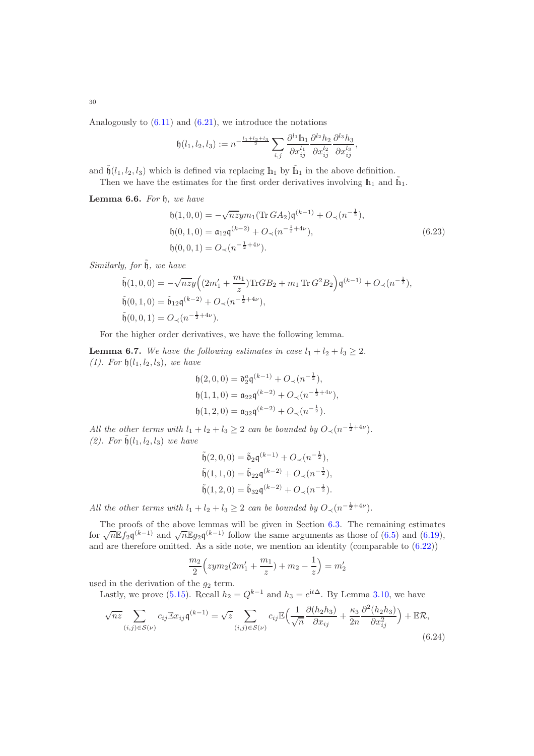Analogously to  $(6.11)$  and  $(6.21)$ , we introduce the notations

$$
\mathfrak{h}(l_1,l_2,l_3) := n^{-\frac{l_1+l_2+l_3}{2}} \sum_{i,j} \frac{\partial^{l_1} \mathbb{h}_1}{\partial x_{ij}^{l_1}} \frac{\partial^{l_2} h_2}{\partial x_{ij}^{l_2}} \frac{\partial^{l_3} h_3}{\partial x_{ij}^{l_3}},
$$

and  $\tilde{b}(l_1, l_2, l_3)$  which is defined via replacing  $h_1$  by  $\tilde{h}_1$  in the above definition.

Then we have the estimates for the first order derivatives involving  $h_1$  and  $\tilde{h}_1$ .

<span id="page-29-2"></span>Lemma 6.6. For  $\natural$ , we have

<span id="page-29-3"></span>
$$
\begin{aligned}\n\mathfrak{h}(1,0,0) &= -\sqrt{n}z y m_1 (\text{Tr } G A_2) \mathfrak{q}^{(k-1)} + O_{\prec}(n^{-\frac{1}{2}}), \\
\mathfrak{h}(0,1,0) &= \mathfrak{a}_{12} \mathfrak{q}^{(k-2)} + O_{\prec}(n^{-\frac{1}{2}+4\nu}), \\
\mathfrak{h}(0,0,1) &= O_{\prec}(n^{-\frac{1}{2}+4\nu}).\n\end{aligned}\n\tag{6.23}
$$

Similarly, for  $\tilde{\mathfrak{h}}$ , we have

$$
\label{eq:tilde:1} \begin{split} &\tilde{\mathfrak{h}}(1,0,0)=-\sqrt{nz}y\Big((2m_1'+\frac{m_1}{z})\text{Tr}GB_2+m_1\,\text{Tr}\,G^2B_2\Big)\mathfrak{q}^{(k-1)}+O_\prec(n^{-\frac{1}{2}}),\\ &\tilde{\mathfrak{h}}(0,1,0)=\tilde{\mathfrak{b}}_{12}\mathfrak{q}^{(k-2)}+O_\prec(n^{-\frac{1}{2}+4\nu}),\\ &\tilde{\mathfrak{h}}(0,0,1)=O_\prec(n^{-\frac{1}{2}+4\nu}). \end{split}
$$

For the higher order derivatives, we have the following lemma.

<span id="page-29-1"></span>**Lemma 6.7.** We have the following estimates in case  $l_1 + l_2 + l_3 \geq 2$ . (1). For  $h(l_1, l_2, l_3)$ , we have

$$
h(2,0,0) = \mathfrak{d}_2^a \mathfrak{q}^{(k-1)} + O_\prec(n^{-\frac{1}{2}}),
$$
  
\n
$$
h(1,1,0) = \mathfrak{a}_{22} \mathfrak{q}^{(k-2)} + O_\prec(n^{-\frac{1}{2}+4\nu}),
$$
  
\n
$$
h(1,2,0) = \mathfrak{a}_{32} \mathfrak{q}^{(k-2)} + O_\prec(n^{-\frac{1}{2}}).
$$

All the other terms with  $l_1 + l_2 + l_3 \geq 2$  can be bounded by  $O_{\prec} (n^{-\frac{1}{2} + 4\nu}).$ (2). For  $\tilde{\mathfrak{h}}(l_1, l_2, l_3)$  we have

$$
\tilde{\mathfrak{h}}(2,0,0) = \tilde{\mathfrak{d}}_2 \mathfrak{q}^{(k-1)} + O_{\prec}(n^{-\frac{1}{2}}),
$$
  
\n
$$
\tilde{\mathfrak{h}}(1,1,0) = \tilde{\mathfrak{b}}_{22} \mathfrak{q}^{(k-2)} + O_{\prec}(n^{-\frac{1}{2}}),
$$
  
\n
$$
\tilde{\mathfrak{h}}(1,2,0) = \tilde{\mathfrak{b}}_{32} \mathfrak{q}^{(k-2)} + O_{\prec}(n^{-\frac{1}{2}}).
$$

All the other terms with  $l_1 + l_2 + l_3 \geq 2$  can be bounded by  $O_{\prec} (n^{-\frac{1}{2} + 4\nu}).$ 

The proofs of the above lemmas will be given in Section [6.3.](#page-38-0) The remaining estimates for  $\sqrt{n} \mathbb{E} f_2 \mathfrak{q}^{(k-1)}$  and  $\sqrt{n} \mathbb{E} g_2 \mathfrak{q}^{(k-1)}$  follow the same arguments as those of [\(6.5\)](#page-24-5) and [\(6.19\)](#page-27-0), and are therefore omitted. As a side note, we mention an identity (comparable to  $(6.22)$ )

<span id="page-29-0"></span>
$$
\frac{m_2}{2}\left( zym_2(2m'_1 + \frac{m_1}{z}) + m_2 - \frac{1}{z} \right) = m'_2
$$

used in the derivation of the  $g_2$  term.

Lastly, we prove [\(5.15\)](#page-22-6). Recall  $h_2 = Q^{k-1}$  and  $h_3 = e^{it\Delta}$ . By Lemma [3.10,](#page-14-4) we have

$$
\sqrt{nz} \sum_{(i,j)\in\mathcal{S}(\nu)} c_{ij} \mathbb{E} x_{ij} \mathfrak{q}^{(k-1)} = \sqrt{z} \sum_{(i,j)\in\mathcal{S}(\nu)} c_{ij} \mathbb{E} \Big( \frac{1}{\sqrt{n}} \frac{\partial (h_2 h_3)}{\partial x_{ij}} + \frac{\kappa_3}{2n} \frac{\partial^2 (h_2 h_3)}{\partial x_{ij}^2} \Big) + \mathbb{E} \mathcal{R},\tag{6.24}
$$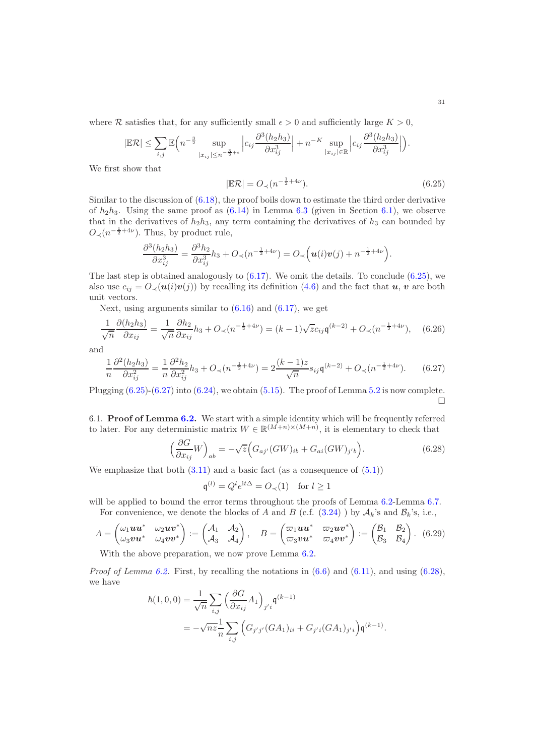where R satisfies that, for any sufficiently small  $\epsilon > 0$  and sufficiently large  $K > 0$ ,

$$
|\mathbb{E}\mathcal{R}| \leq \sum_{i,j} \mathbb{E}\Big(n^{-\frac{3}{2}} \sup_{|x_{ij}|\leq n^{-\frac{3}{2}+\epsilon}} \Big| c_{ij} \frac{\partial^3(h_2h_3)}{\partial x_{ij}^3} \Big| + n^{-K} \sup_{|x_{ij}|\in \mathbb{R}} \Big| c_{ij} \frac{\partial^3(h_2h_3)}{\partial x_{ij}^3} \Big| \Big).
$$

We first show that

<span id="page-30-1"></span>
$$
|\mathbb{E}\mathcal{R}| = O_{\prec}(n^{-\frac{1}{2}+4\nu}).\tag{6.25}
$$

Similar to the discussion of  $(6.18)$ , the proof boils down to estimate the third order derivative of  $h_2h_3$ . Using the same proof as  $(6.14)$  in Lemma [6.3](#page-26-1) (given in Section [6.1\)](#page-30-0), we observe that in the derivatives of  $h_2h_3$ , any term containing the derivatives of  $h_3$  can bounded by  $O_{\prec}(n^{-\frac{1}{2}+4\nu})$ . Thus, by product rule,

$$
\frac{\partial^3(h_2h_3)}{\partial x_{ij}^3} = \frac{\partial^3 h_2}{\partial x_{ij}^3}h_3 + O_\prec(n^{-\frac{1}{2}+4\nu}) = O_\prec\left(\mathbf{u}(i)\mathbf{v}(j) + n^{-\frac{1}{2}+4\nu}\right).
$$

The last step is obtained analogously to  $(6.17)$ . We omit the details. To conclude  $(6.25)$ , we also use  $c_{ij} = O_{\prec}(\mathbf{u}(i)\mathbf{v}(j))$  by recalling its definition [\(4.6\)](#page-16-2) and the fact that  $\mathbf{u}, \mathbf{v}$  are both unit vectors.

Next, using arguments similar to  $(6.16)$  and  $(6.17)$ , we get

$$
\frac{1}{\sqrt{n}} \frac{\partial (h_2 h_3)}{\partial x_{ij}} = \frac{1}{\sqrt{n}} \frac{\partial h_2}{\partial x_{ij}} h_3 + O_{\prec} (n^{-\frac{1}{2} + 4\nu}) = (k - 1)\sqrt{z}c_{ij}\mathfrak{q}^{(k-2)} + O_{\prec} (n^{-\frac{1}{2} + 4\nu}), \quad (6.26)
$$

and

$$
\frac{1}{n}\frac{\partial^2(h_2h_3)}{\partial x_{ij}^2} = \frac{1}{n}\frac{\partial^2 h_2}{\partial x_{ij}^2}h_3 + O_\prec(n^{-\frac{1}{2}+4\nu}) = 2\frac{(k-1)z}{\sqrt{n}}s_{ij}\mathfrak{q}^{(k-2)} + O_\prec(n^{-\frac{1}{2}+4\nu}).\tag{6.27}
$$

Plugging  $(6.25)-(6.27)$  $(6.25)-(6.27)$  into  $(6.24)$ , we obtain  $(5.15)$ . The proof of Lemma [5.2](#page-22-0) is now complete.  $\Box$ 

<span id="page-30-0"></span>6.1. Proof of Lemma [6.2.](#page-26-0) We start with a simple identity which will be frequently referred to later. For any deterministic matrix  $W \in \mathbb{R}^{(M+n)\times (M+n)}$ , it is elementary to check that

<span id="page-30-3"></span>
$$
\left(\frac{\partial G}{\partial x_{ij}}W\right)_{ab} = -\sqrt{z}\Big(G_{aj'}(GW)_{ib} + G_{ai}(GW)_{j'b}\Big). \tag{6.28}
$$

We emphasize that both  $(3.11)$  and a basic fact (as a consequence of  $(5.1)$ )

<span id="page-30-4"></span><span id="page-30-2"></span>
$$
\mathfrak{q}^{(l)} = Q^l e^{\mathrm{i} t \Delta} = O_{\prec}(1) \quad \text{for } l \ge 1
$$

will be applied to bound the error terms throughout the proofs of Lemma [6.2-](#page-26-0)Lemma [6.7.](#page-29-1) For convenience, we denote the blocks of A and B (c.f.  $(3.24)$ ) by  $\mathcal{A}_k$ 's and  $\mathcal{B}_k$ 's, i.e.,

$$
A = \begin{pmatrix} \omega_1 \mathbf{u} \mathbf{u}^* & \omega_2 \mathbf{u} \mathbf{v}^* \\ \omega_3 \mathbf{v} \mathbf{u}^* & \omega_4 \mathbf{v} \mathbf{v}^* \end{pmatrix} := \begin{pmatrix} \mathcal{A}_1 & \mathcal{A}_2 \\ \mathcal{A}_3 & \mathcal{A}_4 \end{pmatrix}, \quad B = \begin{pmatrix} \varpi_1 \mathbf{u} \mathbf{u}^* & \varpi_2 \mathbf{u} \mathbf{v}^* \\ \varpi_3 \mathbf{v} \mathbf{u}^* & \varpi_4 \mathbf{v} \mathbf{v}^* \end{pmatrix} := \begin{pmatrix} \mathcal{B}_1 & \mathcal{B}_2 \\ \mathcal{B}_3 & \mathcal{B}_4 \end{pmatrix}. \tag{6.29}
$$

With the above preparation, we now prove Lemma [6.2.](#page-26-0)

*Proof of Lemma [6.2.](#page-26-0)* First, by recalling the notations in  $(6.6)$  and  $(6.11)$ , and using  $(6.28)$ , we have

$$
\begin{aligned} \hbar(1,0,0)&=\frac{1}{\sqrt{n}}\sum_{i,j}\Big(\frac{\partial G}{\partial x_{ij}}A_1\Big)_{j'i}\mathfrak{q}^{(k-1)}\\ &=-\sqrt{nz}\frac{1}{n}\sum_{i,j}\Big(G_{j'j'}(GA_1)_{ii}+G_{j'i}(GA_1)_{j'i}\Big)\mathfrak{q}^{(k-1)}. \end{aligned}
$$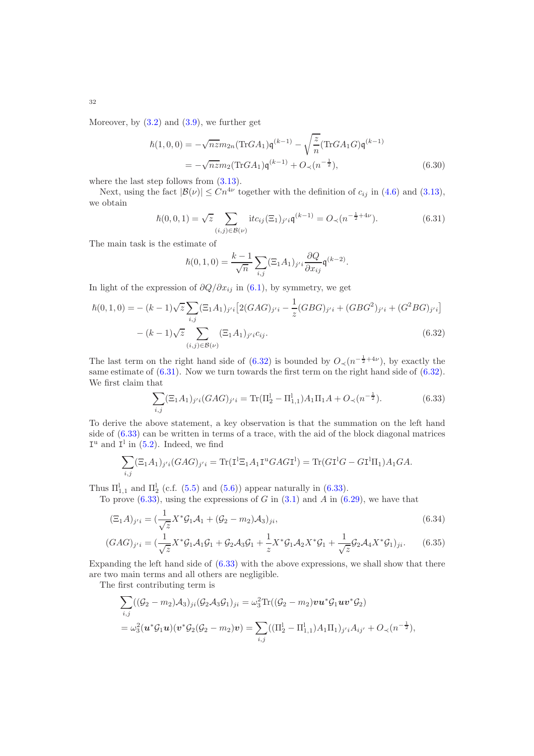Moreover, by  $(3.2)$  and  $(3.9)$ , we further get

$$
\hbar(1,0,0) = -\sqrt{n}z m_{2n} (\text{Tr}GA_1) \mathbf{q}^{(k-1)} - \sqrt{\frac{z}{n}} (\text{Tr}GA_1G) \mathbf{q}^{(k-1)}
$$
  
=  $-\sqrt{n}z m_2 (\text{Tr}GA_1) \mathbf{q}^{(k-1)} + O_\prec(n^{-\frac{1}{2}}),$  (6.30)

where the last step follows from  $(3.13)$ .

Next, using the fact  $|\mathcal{B}(\nu)| \leq C n^{4\nu}$  together with the definition of  $c_{ij}$  in [\(4.6\)](#page-16-2) and [\(3.13\)](#page-11-5), we obtain

$$
\hbar(0,0,1) = \sqrt{z} \sum_{(i,j)\in\mathcal{B}(\nu)} \text{i}tc_{ij}(\Xi_1)_{j'i}\mathfrak{q}^{(k-1)} = O_{\prec}(n^{-\frac{1}{2}+4\nu}).\tag{6.31}
$$

The main task is the estimate of

<span id="page-31-5"></span><span id="page-31-1"></span><span id="page-31-0"></span>
$$
\hbar(0,1,0)=\frac{k-1}{\sqrt{n}}\sum_{i,j}(\Xi_1A_1)_{j'i}\frac{\partial Q}{\partial x_{ij}}\mathfrak{q}^{(k-2)}.
$$

In light of the expression of  $\partial Q/\partial x_{ij}$  in [\(6.1\)](#page-24-1), by symmetry, we get

$$
\hbar(0,1,0) = -(k-1)\sqrt{z} \sum_{i,j} (\Xi_1 A_1)_{j'i} \left[ 2(GAG)_{j'i} - \frac{1}{z} (GBG)_{j'i} + (GBG^2)_{j'i} + (G^2 BG)_{j'i} \right]
$$

$$
-(k-1)\sqrt{z} \sum_{(i,j) \in \mathcal{B}(\nu)} (\Xi_1 A_1)_{j'i} c_{ij}.
$$
(6.32)

The last term on the right hand side of [\(6.32\)](#page-31-0) is bounded by  $O_{\prec}(n^{-\frac{1}{2}+4\nu})$ , by exactly the same estimate of  $(6.31)$ . Now we turn towards the first term on the right hand side of  $(6.32)$ . We first claim that

<span id="page-31-4"></span><span id="page-31-3"></span><span id="page-31-2"></span>
$$
\sum_{i,j} (\Xi_1 A_1)_{j'i} (GAG)_{j'i} = \text{Tr}(\Pi_2^1 - \Pi_{1,1}^1) A_1 \Pi_1 A + O_{\prec} (n^{-\frac{1}{2}}). \tag{6.33}
$$

To derive the above statement, a key observation is that the summation on the left hand side of  $(6.33)$  can be written in terms of a trace, with the aid of the block diagonal matrices  $I^u$  and  $I^l$  in [\(5.2\)](#page-20-1). Indeed, we find

$$
\sum_{i,j} (\Xi_1 A_1)_{j'i} (GAG)_{j'i} = \text{Tr}(\mathbf{I}^1 \Xi_1 A_1 \mathbf{I}^{\mathbf{u}} GAG \mathbf{I}^1) = \text{Tr}(G\mathbf{I}^1 G - G\mathbf{I}^1 \Pi_1) A_1 G A.
$$

Thus  $\Pi_{1,1}^{\text{l}}$  and  $\Pi_{2}^{\text{l}}$  (c.f. [\(5.5\)](#page-20-5) and [\(5.6\)](#page-20-6)) appear naturally in [\(6.33\)](#page-31-2).

To prove  $(6.33)$ , using the expressions of G in  $(3.1)$  and A in  $(6.29)$ , we have that

$$
(\Xi_1 A)_{j'i} = \left(\frac{1}{\sqrt{z}} X^* \mathcal{G}_1 \mathcal{A}_1 + (\mathcal{G}_2 - m_2) \mathcal{A}_3\right)_{ji},\tag{6.34}
$$

$$
(GAG)_{j'i} = \left(\frac{1}{\sqrt{z}}X^*\mathcal{G}_1\mathcal{A}_1\mathcal{G}_1 + \mathcal{G}_2\mathcal{A}_3\mathcal{G}_1 + \frac{1}{z}X^*\mathcal{G}_1\mathcal{A}_2X^*\mathcal{G}_1 + \frac{1}{\sqrt{z}}\mathcal{G}_2\mathcal{A}_4X^*\mathcal{G}_1\right)_{ji}.\tag{6.35}
$$

Expanding the left hand side of [\(6.33\)](#page-31-2) with the above expressions, we shall show that there are two main terms and all others are negligible.

The first contributing term is

$$
\sum_{i,j} ((\mathcal{G}_2 - m_2) \mathcal{A}_3)_{ji} (\mathcal{G}_2 \mathcal{A}_3 \mathcal{G}_1)_{ji} = \omega_3^2 \text{Tr}((\mathcal{G}_2 - m_2) \mathbf{v} \mathbf{u}^* \mathcal{G}_1 \mathbf{u} \mathbf{v}^* \mathcal{G}_2)
$$
  
=  $\omega_3^2 (\mathbf{u}^* \mathcal{G}_1 \mathbf{u}) (\mathbf{v}^* \mathcal{G}_2 (\mathcal{G}_2 - m_2) \mathbf{v}) = \sum_{i,j} ((\Pi_2^1 - \Pi_{1,1}^1) A_1 \Pi_1)_{j'i} A_{ij'} + O_{\prec} (n^{-\frac{1}{2}}),$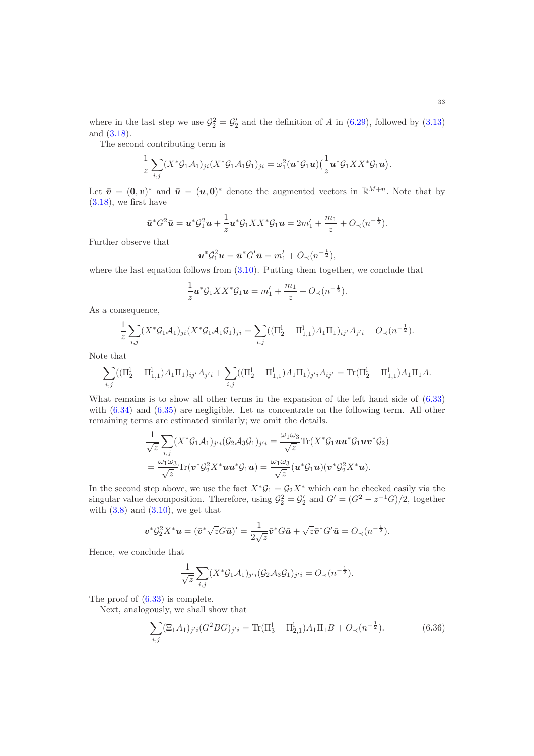where in the last step we use  $\mathcal{G}_2^2 = \mathcal{G}_2'$  and the definition of A in [\(6.29\)](#page-30-4), followed by [\(3.13\)](#page-11-5) and [\(3.18\)](#page-11-7).

The second contributing term is

$$
\frac{1}{z}\sum_{i,j}(X^*\mathcal{G}_1\mathcal{A}_1)_{ji}(X^*\mathcal{G}_1\mathcal{A}_1\mathcal{G}_1)_{ji}=\omega_1^2(\boldsymbol{u}^*\mathcal{G}_1\boldsymbol{u})(\frac{1}{z}\boldsymbol{u}^*\mathcal{G}_1XX^*\mathcal{G}_1\boldsymbol{u}).
$$

Let  $\bar{v} = (0, v)^*$  and  $\bar{u} = (u, 0)^*$  denote the augmented vectors in  $\mathbb{R}^{M+n}$ . Note that by  $(3.18)$ , we first have

$$
\bar{\boldsymbol{u}}^*\boldsymbol{G}^2\bar{\boldsymbol{u}} = \boldsymbol{u}^*\mathcal{G}_1^2\boldsymbol{u} + \frac{1}{z}\boldsymbol{u}^*\mathcal{G}_1XX^*\mathcal{G}_1\boldsymbol{u} = 2m_1' + \frac{m_1}{z} + O_\prec(n^{-\frac{1}{2}}).
$$

Further observe that

$$
\mathbf{u}^*\mathcal{G}_1^2\mathbf{u} = \bar{\mathbf{u}}^*\mathcal{G}'\bar{\mathbf{u}} = m_1' + O_\prec(n^{-\frac{1}{2}}),
$$

where the last equation follows from [\(3.10\)](#page-10-5). Putting them together, we conclude that

$$
\frac{1}{z}\mathbf{u}^*\mathcal{G}_1XX^*\mathcal{G}_1\mathbf{u}=m_1'+\frac{m_1}{z}+O_\prec(n^{-\frac{1}{2}}).
$$

As a consequence,

$$
\frac{1}{z}\sum_{i,j}(X^*\mathcal{G}_1\mathcal{A}_1)_{ji}(X^*\mathcal{G}_1\mathcal{A}_1\mathcal{G}_1)_{ji} = \sum_{i,j}((\Pi_2^1 - \Pi_{1,1}^1)A_1\Pi_1)_{ij'}A_{j'i} + O_{\prec}(n^{-\frac{1}{2}}).
$$

Note that

$$
\sum_{i,j} ((\Pi^{\rm l}_2-\Pi^{\rm l}_{1,1})A_1\Pi_1)_{ij'}A_{j'i}+\sum_{i,j} ((\Pi^{\rm l}_2-\Pi^{\rm l}_{1,1})A_1\Pi_1)_{j'i}A_{ij'}={\rm Tr}(\Pi^{\rm l}_2-\Pi^{\rm l}_{1,1})A_1\Pi_1A.
$$

What remains is to show all other terms in the expansion of the left hand side of [\(6.33\)](#page-31-2) with  $(6.34)$  and  $(6.35)$  are negligible. Let us concentrate on the following term. All other remaining terms are estimated similarly; we omit the details.

$$
\frac{1}{\sqrt{z}}\sum_{i,j}(X^*\mathcal{G}_1\mathcal{A}_1)_{j'i}(\mathcal{G}_2\mathcal{A}_3\mathcal{G}_1)_{j'i} = \frac{\omega_1\omega_3}{\sqrt{z}}\text{Tr}(X^*\mathcal{G}_1uu^*\mathcal{G}_1uv^*\mathcal{G}_2) \n= \frac{\omega_1\omega_3}{\sqrt{z}}\text{Tr}(v^*\mathcal{G}_2^2X^*uu^*\mathcal{G}_1u) = \frac{\omega_1\omega_3}{\sqrt{z}}(u^*\mathcal{G}_1u)(v^*\mathcal{G}_2^2X^*u).
$$

In the second step above, we use the fact  $X^*\mathcal{G}_1 = \mathcal{G}_2X^*$  which can be checked easily via the singular value decomposition. Therefore, using  $\mathcal{G}_2^2 = \mathcal{G}_2'$  and  $G' = (G^2 - z^{-1}G)/2$ , together with  $(3.8)$  and  $(3.10)$ , we get that

$$
\boldsymbol{v}^*\mathcal{G}_2^2 X^* \boldsymbol{u} = (\bar{\boldsymbol{v}}^*\sqrt{z}G\bar{\boldsymbol{u}})' = \frac{1}{2\sqrt{z}}\bar{\boldsymbol{v}}^*G\bar{\boldsymbol{u}} + \sqrt{z}\bar{\boldsymbol{v}}^*G'\bar{\boldsymbol{u}} = O_\prec(n^{-\frac{1}{2}}).
$$

Hence, we conclude that

<span id="page-32-0"></span>
$$
\frac{1}{\sqrt{z}}\sum_{i,j}(X^*\mathcal{G}_1\mathcal{A}_1)_{j'i}(\mathcal{G}_2\mathcal{A}_3\mathcal{G}_1)_{j'i}=O_\prec(n^{-\frac{1}{2}}).
$$

The proof of [\(6.33\)](#page-31-2) is complete.

Next, analogously, we shall show that

$$
\sum_{i,j} (\Xi_1 A_1)_{j'i} (G^2 BG)_{j'i} = \text{Tr}(\Pi_3^1 - \Pi_{2,1}^1) A_1 \Pi_1 B + O_{\prec} (n^{-\frac{1}{2}}). \tag{6.36}
$$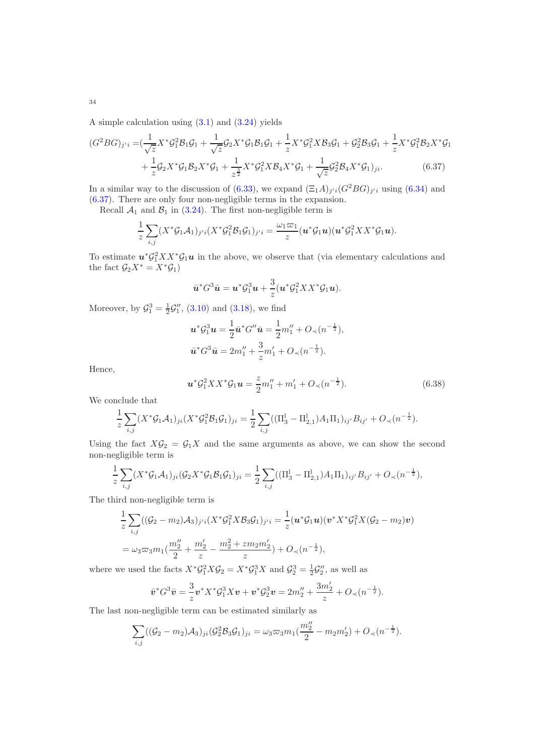A simple calculation using [\(3.1\)](#page-8-0) and [\(3.24\)](#page-12-3) yields

$$
(G^{2}BG)_{j'i} = \left(\frac{1}{\sqrt{z}}X^{*}\mathcal{G}_{1}^{2}\mathcal{B}_{1}\mathcal{G}_{1} + \frac{1}{\sqrt{z}}\mathcal{G}_{2}X^{*}\mathcal{G}_{1}\mathcal{B}_{1}\mathcal{G}_{1} + \frac{1}{z}X^{*}\mathcal{G}_{1}^{2}X\mathcal{B}_{3}\mathcal{G}_{1} + \mathcal{G}_{2}^{2}\mathcal{B}_{3}\mathcal{G}_{1} + \frac{1}{z}X^{*}\mathcal{G}_{1}^{2}\mathcal{B}_{2}X^{*}\mathcal{G}_{1} + \frac{1}{z}\mathcal{G}_{2}X^{*}\mathcal{G}_{1}\mathcal{B}_{2}X^{*}\mathcal{G}_{1} + \frac{1}{z^{3}}X^{*}\mathcal{G}_{1}^{2}X\mathcal{B}_{4}X^{*}\mathcal{G}_{1} + \frac{1}{\sqrt{z}}\mathcal{G}_{2}^{2}\mathcal{B}_{4}X^{*}\mathcal{G}_{1}\right)_{ji}.
$$
\n(6.37)

In a similar way to the discussion of [\(6.33\)](#page-31-2), we expand  $(\Xi_1 A)_{j'i} (G^2 BG)_{j'i}$  using [\(6.34\)](#page-31-3) and [\(6.37\)](#page-33-0). There are only four non-negligible terms in the expansion.

Recall  $A_1$  and  $B_1$  in [\(3.24\)](#page-12-3). The first non-negligible term is

$$
\frac{1}{z}\sum_{i,j}(X^*\mathcal{G}_1\mathcal{A}_1)_{j'i}(X^*\mathcal{G}_1^2\mathcal{B}_1\mathcal{G}_1)_{j'i}=\frac{\omega_1\varpi_1}{z}(\boldsymbol{u}^*\mathcal{G}_1\boldsymbol{u})(\boldsymbol{u}^*\mathcal{G}_1^2XX^*\mathcal{G}_1\boldsymbol{u}).
$$

To estimate  $u^* \mathcal{G}_1^2 X X^* \mathcal{G}_1 u$  in the above, we observe that (via elementary calculations and the fact  $\mathcal{G}_2 X^* = X^* \mathcal{G}_1$ 

<span id="page-33-0"></span>
$$
\bar{u}^*G^3\bar{u} = u^*\mathcal{G}_1^3u + \frac{3}{z}(u^*\mathcal{G}_1^2XX^*\mathcal{G}_1u).
$$

Moreover, by  $\mathcal{G}_1^3 = \frac{1}{2}\mathcal{G}_1''$ , [\(3.10\)](#page-10-5) and [\(3.18\)](#page-11-7), we find

$$
\mathbf{u}^*\mathcal{G}_1^3\mathbf{u} = \frac{1}{2}\bar{\mathbf{u}}^*\mathcal{G}''\bar{\mathbf{u}} = \frac{1}{2}m_1'' + O_\prec(n^{-\frac{1}{2}}),
$$
  

$$
\bar{\mathbf{u}}^*\mathcal{G}^3\bar{\mathbf{u}} = 2m_1'' + \frac{3}{z}m_1' + O_\prec(n^{-\frac{1}{2}}).
$$

Hence,

$$
\mathbf{u}^*\mathcal{G}_1^2 XX^*\mathcal{G}_1 \mathbf{u} = \frac{z}{2}m_1'' + m_1' + O_\prec(n^{-\frac{1}{2}}). \tag{6.38}
$$

We conclude that

$$
\frac{1}{z}\sum_{i,j}(X^*\mathcal{G}_1\mathcal{A}_1)_{ji}(X^*\mathcal{G}_1^2\mathcal{B}_1\mathcal{G}_1)_{ji} = \frac{1}{2}\sum_{i,j}((\Pi_3^{\rm I}-\Pi_{2,1}^{\rm I})A_1\Pi_1)_{ij'}B_{ij'} + O_{\prec}(n^{-\frac{1}{2}}).
$$

Using the fact  $X\mathcal{G}_2 = \mathcal{G}_1X$  and the same arguments as above, we can show the second non-negligible term is

$$
\frac{1}{z}\sum_{i,j}(X^*\mathcal{G}_1\mathcal{A}_1)_{ji}(\mathcal{G}_2X^*\mathcal{G}_1\mathcal{B}_1\mathcal{G}_1)_{ji} = \frac{1}{2}\sum_{i,j}((\Pi_3^1 - \Pi_{2,1}^1)A_1\Pi_1)_{ij'}B_{ij'} + O_{\prec}(n^{-\frac{1}{2}}),
$$

The third non-negligible term is

$$
\frac{1}{z} \sum_{i,j} ((\mathcal{G}_2 - m_2) \mathcal{A}_3)_{j'i} (X^* \mathcal{G}_1^2 X \mathcal{B}_3 \mathcal{G}_1)_{j'i} = \frac{1}{z} (\mathbf{u}^* \mathcal{G}_1 \mathbf{u}) (\mathbf{v}^* X^* \mathcal{G}_1^2 X (\mathcal{G}_2 - m_2) \mathbf{v})
$$
  
=  $\omega_3 \varpi_3 m_1 (\frac{m_2''}{2} + \frac{m_2'}{z} - \frac{m_2^2 + z m_2 m_2'}{z}) + O_\prec (n^{-\frac{1}{2}}),$ 

where we used the facts  $X^* \mathcal{G}_1^2 X \mathcal{G}_2 = X^* \mathcal{G}_1^3 X$  and  $\mathcal{G}_2^3 = \frac{1}{2} \mathcal{G}_2''$ , as well as

$$
\bar{v}^* G^3 \bar{v} = \frac{3}{z} v^* X^* \mathcal{G}_1^3 X v + v^* \mathcal{G}_2^3 v = 2m_2'' + \frac{3m_2'}{z} + O_{\prec}(n^{-\frac{1}{2}}).
$$

The last non-negligible term can be estimated similarly as

$$
\sum_{i,j} ((\mathcal{G}_2 - m_2) \mathcal{A}_3)_{ji} (\mathcal{G}_2^2 \mathcal{B}_3 \mathcal{G}_1)_{ji} = \omega_3 \varpi_3 m_1 (\frac{m_2''}{2} - m_2 m_2') + O_{\prec} (n^{-\frac{1}{2}}).
$$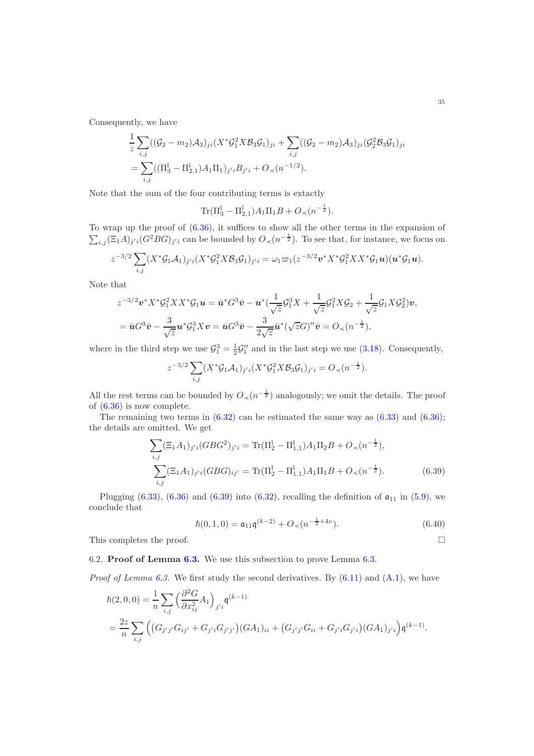Consequently, we have

$$
\frac{1}{z} \sum_{i,j} ((\mathcal{G}_2 - m_2) \mathcal{A}_3)_{ji} (X^* \mathcal{G}_1^2 X \mathcal{B}_3 \mathcal{G}_1)_{ji} + \sum_{i,j} ((\mathcal{G}_2 - m_2) \mathcal{A}_3)_{ji} (\mathcal{G}_2^2 \mathcal{B}_3 \mathcal{G}_1)_{ji}
$$
\n
$$
= \sum_{i,j} ((\Pi_3^1 - \Pi_{2,1}^1) \mathcal{A}_1 \Pi_1)_{j'i} B_{j'i} + O_\prec (n^{-1/2}).
$$

Note that the sum of the four contributing terms is extactly

$$
\text{Tr}(\Pi_3^{\text{l}} - \Pi_{2,1}^{\text{l}})A_1\Pi_1B + O_\prec(n^{-\frac{1}{2}}).
$$

To wrap up the proof of  $(6.36)$ , it suffices to show all the other terms in the expansion of  $\sum_{i,j} (\Xi_1 A)_{j'i} (G^2 BG)_{j'i}$  can be bounded by  $O_{\prec} (n^{-\frac{1}{2}})$ . To see that, for instance, we focus on

$$
z^{-3/2}\sum_{i,j}(X^*\mathcal{G}_1\mathcal{A}_1)_{j'i}(X^*\mathcal{G}_1^2X\mathcal{B}_3\mathcal{G}_1)_{j'i}=\omega_1\varpi_1(z^{-3/2}\boldsymbol{v}^*X^*\mathcal{G}_1^2XX^*\mathcal{G}_1\boldsymbol{u})(\boldsymbol{u}^*\mathcal{G}_1\boldsymbol{u}).
$$

Note that

$$
z^{-3/2} \mathbf{v}^* X^* \mathcal{G}_1^2 X X^* \mathcal{G}_1 \mathbf{u} = \bar{\mathbf{u}}^* G^3 \bar{\mathbf{v}} - \mathbf{u}^* (\frac{1}{\sqrt{z}} \mathcal{G}_1^3 X + \frac{1}{\sqrt{z}} \mathcal{G}_1^2 X \mathcal{G}_2 + \frac{1}{\sqrt{z}} \mathcal{G}_1 X \mathcal{G}_2^2) \mathbf{v},
$$
  
=  $\bar{\mathbf{u}} G^3 \bar{\mathbf{v}} - \frac{3}{\sqrt{z}} \mathbf{u}^* \mathcal{G}_1^3 X \mathbf{v} = \bar{\mathbf{u}} G^3 \bar{\mathbf{v}} - \frac{3}{2\sqrt{z}} \bar{\mathbf{u}}^* (\sqrt{z} G)'' \bar{\mathbf{v}} = O_x (n^{-\frac{1}{2}}),$ 

where in the third step we use  $\mathcal{G}_1^3 = \frac{1}{2}\mathcal{G}_1''$  and in the last step we use [\(3.18\)](#page-11-7). Consequently,

$$
z^{-3/2} \sum_{i,j} (X^* \mathcal{G}_1 \mathcal{A}_1)_{j'i} (X^* \mathcal{G}_1^2 X \mathcal{B}_3 \mathcal{G}_1)_{j'i} = O_{\prec}(n^{-\frac{1}{2}}).
$$

All the rest terms can be bounded by  $O_{\prec}(n^{-\frac{1}{2}})$  analogously; we omit the details. The proof of [\(6.36\)](#page-32-0) is now complete.

The remaining two terms in  $(6.32)$  can be estimated the same way as  $(6.33)$  and  $(6.36)$ ; the details are omitted. We get

$$
\sum_{i,j} (\Xi_1 A_1)_{j'i} (GBG^2)_{j'i} = \text{Tr}(\Pi_2^1 - \Pi_{1,1}^1) A_1 \Pi_2 B + O_{\prec} (n^{-\frac{1}{2}}),
$$
  

$$
\sum_{i,j} (\Xi_1 A_1)_{j'i} (GBG)_{ij'} = \text{Tr}(\Pi_2^1 - \Pi_{1,1}^1) A_1 \Pi_1 B + O_{\prec} (n^{-\frac{1}{2}}).
$$
 (6.39)

Plugging [\(6.33\)](#page-31-2), [\(6.36\)](#page-32-0) and [\(6.39\)](#page-34-1) into [\(6.32\)](#page-31-0), recalling the definition of  $a_{11}$  in [\(5.9\)](#page-21-0), we conclude that

<span id="page-34-1"></span>
$$
\hbar(0,1,0) = \mathfrak{a}_{11}\mathfrak{q}^{(k-2)} + O_{\prec}(n^{-\frac{1}{2}+4\nu}).\tag{6.40}
$$

This completes the proof.  $\Box$ 

<span id="page-34-0"></span>6.2. Proof of Lemma [6.3.](#page-26-1) We use this subsection to prove Lemma [6.3.](#page-26-1)

*Proof of Lemma [6.3.](#page-26-1)* We first study the second derivatives. By  $(6.11)$  and  $(A.1)$ , we have

$$
\begin{split} \hbar(2,0,0) &= \frac{1}{n} \sum_{i,j} \left( \frac{\partial^2 G}{\partial x_{ij}^2} A_1 \right)_{j'i} \mathfrak{q}^{(k-1)} \\ &= \frac{2z}{n} \sum_{i,j} \left( \left( G_{j'j'} G_{ij'} + G_{j'i} G_{j'j'} \right) (G A_1)_{ii} + \left( G_{j'j'} G_{ii} + G_{j'i} G_{j'i} \right) (G A_1)_{j'i} \right) \mathfrak{q}^{(k-1)}. \end{split}
$$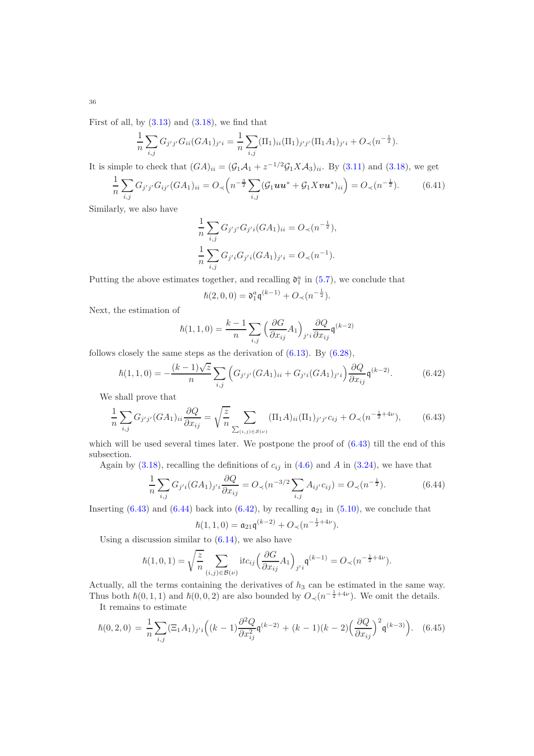First of all, by  $(3.13)$  and  $(3.18)$ , we find that

$$
\frac{1}{n}\sum_{i,j}G_{j'j'}G_{ii}(GA_1)_{j'i} = \frac{1}{n}\sum_{i,j}(\Pi_1)_{ii}(\Pi_1)_{j'j'}(\Pi_1A_1)_{j'i} + O_{\prec}(n^{-\frac{1}{2}}).
$$

It is simple to check that  $(GA)_{ii} = (\mathcal{G}_1 \mathcal{A}_1 + z^{-1/2} \mathcal{G}_1 X \mathcal{A}_3)_{ii}$ . By [\(3.11\)](#page-10-7) and [\(3.18\)](#page-11-7), we get

$$
\frac{1}{n}\sum_{i,j}G_{j'j'}G_{ij'}(GA_1)_{ii} = O_{\prec}\left(n^{-\frac{3}{2}}\sum_{i,j}(\mathcal{G}_1uu^* + \mathcal{G}_1Xvu^*)_{ii}\right) = O_{\prec}(n^{-\frac{1}{2}}).
$$
(6.41)

Similarly, we also have

$$
\frac{1}{n} \sum_{i,j} G_{j'j'} G_{j'i} (GA_1)_{ii} = O_{\prec}(n^{-\frac{1}{2}}),
$$
  

$$
\frac{1}{n} \sum_{i,j} G_{j'i} G_{j'i} (GA_1)_{j'i} = O_{\prec}(n^{-1}).
$$

Putting the above estimates together, and recalling  $\mathfrak{d}_1^a$  in [\(5.7\)](#page-21-1), we conclude that

<span id="page-35-2"></span><span id="page-35-0"></span>
$$
\hbar(2,0,0) = \mathfrak{d}_1^a \mathfrak{q}^{(k-1)} + O_{\prec}(n^{-\frac{1}{2}}).
$$

Next, the estimation of

$$
\hbar(1,1,0) = \frac{k-1}{n} \sum_{i,j} \left( \frac{\partial G}{\partial x_{ij}} A_1 \right)_{j'i} \frac{\partial Q}{\partial x_{ij}} \mathfrak{q}^{(k-2)}
$$

follows closely the same steps as the derivation of [\(6.13\)](#page-26-7). By [\(6.28\)](#page-30-3),

$$
\hbar(1,1,0) = -\frac{(k-1)\sqrt{z}}{n} \sum_{i,j} \left( G_{j'j'}(GA_1)_{ii} + G_{j'i}(GA_1)_{j'i} \right) \frac{\partial Q}{\partial x_{ij}} \mathfrak{q}^{(k-2)}.
$$
(6.42)

We shall prove that

$$
\frac{1}{n}\sum_{i,j} G_{j'j'}(GA_1)_{ii} \frac{\partial Q}{\partial x_{ij}} = \sqrt{\frac{z}{n}} \sum_{\sum_{(i,j)\in S(\nu)}} (\Pi_1 A)_{ii} (\Pi_1)_{j'j'} c_{ij} + O_{\prec}(n^{-\frac{1}{2}+4\nu}), \tag{6.43}
$$

which will be used several times later. We postpone the proof of  $(6.43)$  till the end of this subsection.

Again by [\(3.18\)](#page-11-7), recalling the definitions of  $c_{ij}$  in [\(4.6\)](#page-16-2) and A in [\(3.24\)](#page-12-3), we have that

$$
\frac{1}{n}\sum_{i,j} G_{j'i}(GA_1)_{j'i} \frac{\partial Q}{\partial x_{ij}} = O_{\prec}(n^{-3/2}\sum_{i,j} A_{ij'}c_{ij}) = O_{\prec}(n^{-\frac{1}{2}}). \tag{6.44}
$$

Inserting  $(6.43)$  and  $(6.44)$  back into  $(6.42)$ , by recalling  $\mathfrak{a}_{21}$  in  $(5.10)$ , we conclude that

<span id="page-35-3"></span><span id="page-35-1"></span>
$$
\hslash(1,1,0) = \mathfrak{a}_{21} \mathfrak{q}^{(k-2)} + O_\prec(n^{-\frac{1}{2}+4\nu}).
$$

Using a discussion similar to  $(6.14)$ , we also have

$$
\hbar(1,0,1) = \sqrt{\frac{z}{n}} \sum_{(i,j) \in \mathcal{B}(\nu)} \text{itc}_{ij} \left( \frac{\partial G}{\partial x_{ij}} A_1 \right)_{j'i} \mathfrak{q}^{(k-1)} = O_{\prec}(n^{-\frac{1}{2}+4\nu}).
$$

Actually, all the terms containing the derivatives of  $h_3$  can be estimated in the same way. Thus both  $\hbar(0,1,1)$  and  $\hbar(0,0,2)$  are also bounded by  $O_{\prec}(n^{-\frac{1}{2}+4\nu})$ . We omit the details. It remains to estimate

$$
\hbar(0,2,0) = \frac{1}{n} \sum_{i,j} (\Xi_1 A_1)_{j'i} \left( (k-1) \frac{\partial^2 Q}{\partial x_{ij}^2} \mathfrak{q}^{(k-2)} + (k-1)(k-2) \left( \frac{\partial Q}{\partial x_{ij}} \right)^2 \mathfrak{q}^{(k-3)} \right). \tag{6.45}
$$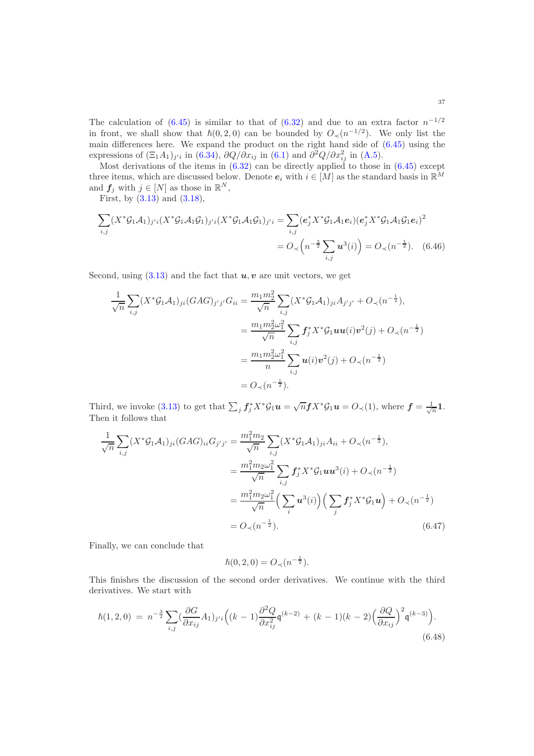The calculation of [\(6.45\)](#page-35-3) is similar to that of [\(6.32\)](#page-31-0) and due to an extra factor  $n^{-1/2}$ in front, we shall show that  $\hbar(0,2,0)$  can be bounded by  $O\lt (n^{-1/2})$ . We only list the main differences here. We expand the product on the right hand side of [\(6.45\)](#page-35-3) using the expressions of  $(\Xi_1 A_1)_{j'i}$  in [\(6.34\)](#page-31-3),  $\partial Q/\partial x_{ij}$  in [\(6.1\)](#page-24-1) and  $\partial^2 Q/\partial x_{ij}^2$  in [\(A.5\)](#page-48-4).

Most derivations of the items in [\(6.32\)](#page-31-0) can be directly applied to those in [\(6.45\)](#page-35-3) except three items, which are discussed below. Denote  $e_i$  with  $i \in [M]$  as the standard basis in  $\mathbb{R}^M$ and  $f_j$  with  $j \in [N]$  as those in  $\mathbb{R}^N$ ,

First, by  $(3.13)$  and  $(3.18)$ ,

$$
\sum_{i,j} (X^* \mathcal{G}_1 \mathcal{A}_1)_{j'i} (X^* \mathcal{G}_1 \mathcal{A}_1 \mathcal{G}_1)_{j'i} (X^* \mathcal{G}_1 \mathcal{A}_1 \mathcal{G}_1)_{j'i} = \sum_{i,j} (e_j^* X^* \mathcal{G}_1 \mathcal{A}_1 e_i) (e_j^* X^* \mathcal{G}_1 \mathcal{A}_1 \mathcal{G}_1 e_i)^2
$$
  
=  $O \left( n^{-\frac{3}{2}} \sum_{i,j} \mathbf{u}^3(i) \right) = O \left( n^{-\frac{1}{2}} \right).$  (6.46)

Second, using  $(3.13)$  and the fact that  $u, v$  are unit vectors, we get

$$
\frac{1}{\sqrt{n}} \sum_{i,j} (X^* \mathcal{G}_1 A_1)_{ji} (GAG)_{j'j'} G_{ii} = \frac{m_1 m_2^2}{\sqrt{n}} \sum_{i,j} (X^* \mathcal{G}_1 A_1)_{ji} A_{j'j'} + O_{\prec} (n^{-\frac{1}{2}}),
$$
  

$$
= \frac{m_1 m_2^2 \omega_1^2}{\sqrt{n}} \sum_{i,j} f_j^* X^* \mathcal{G}_1 \mathbf{u} \mathbf{u}(i) \mathbf{v}^2(j) + O_{\prec} (n^{-\frac{1}{2}})
$$
  

$$
= \frac{m_1 m_2^2 \omega_1^2}{n} \sum_{i,j} \mathbf{u}(i) \mathbf{v}^2(j) + O_{\prec} (n^{-\frac{1}{2}})
$$
  

$$
= O_{\prec} (n^{-\frac{1}{2}}).
$$

Third, we invoke [\(3.13\)](#page-11-5) to get that  $\sum_j f_j^* X^* \mathcal{G}_1 \boldsymbol{u} = \sqrt{n} f X^* \mathcal{G}_1 \boldsymbol{u} = O_{\prec}(1)$ , where  $f = \frac{1}{\sqrt{n}} \boldsymbol{1}$ . Then it follows that

$$
\frac{1}{\sqrt{n}} \sum_{i,j} (X^* \mathcal{G}_1 A_1)_{ji} (GAG)_{ii} G_{j'j'} = \frac{m_1^2 m_2}{\sqrt{n}} \sum_{i,j} (X^* \mathcal{G}_1 A_1)_{ji} A_{ii} + O_{\prec} (n^{-\frac{1}{2}}),
$$
  

$$
= \frac{m_1^2 m_2 \omega_1^2}{\sqrt{n}} \sum_{i,j} f_j^* X^* \mathcal{G}_1 u u^3(i) + O_{\prec} (n^{-\frac{1}{2}})
$$
  

$$
= \frac{m_1^2 m_2 \omega_1^2}{\sqrt{n}} \Big( \sum_i u^3(i) \Big) \Big( \sum_j f_j^* X^* \mathcal{G}_1 u \Big) + O_{\prec} (n^{-\frac{1}{2}})
$$
  

$$
= O_{\prec} (n^{-\frac{1}{2}}).
$$
 (6.47)

Finally, we can conclude that

<span id="page-36-1"></span><span id="page-36-0"></span>
$$
\hslash(0,2,0) = O_{\prec}(n^{-\frac{1}{2}}).
$$

This finishes the discussion of the second order derivatives. We continue with the third derivatives. We start with

$$
\hbar(1,2,0) = n^{-\frac{3}{2}} \sum_{i,j} \left( \frac{\partial G}{\partial x_{ij}} A_1 \right)_{j'i} \left( (k-1) \frac{\partial^2 Q}{\partial x_{ij}^2} \mathfrak{q}^{(k-2)} + (k-1)(k-2) \left( \frac{\partial Q}{\partial x_{ij}} \right)^2 \mathfrak{q}^{(k-3)} \right). \tag{6.48}
$$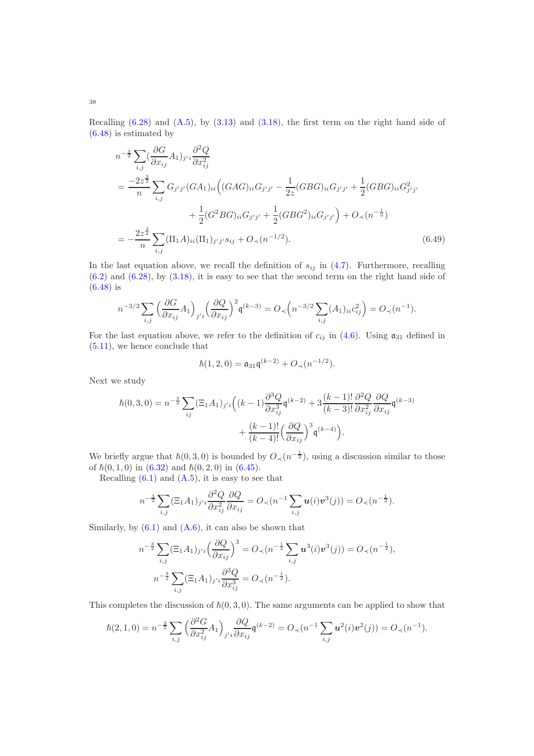Recalling  $(6.28)$  and  $(A.5)$ , by  $(3.13)$  and  $(3.18)$ , the first term on the right hand side of [\(6.48\)](#page-36-0) is estimated by

$$
n^{-\frac{3}{2}} \sum_{i,j} \left(\frac{\partial G}{\partial x_{ij}} A_{1}\right)_{j'i} \frac{\partial^{2} Q}{\partial x_{ij}^{2}}
$$
  
= 
$$
\frac{-2z^{\frac{3}{2}}}{n} \sum_{i,j} G_{j'j'} (GA_{1})_{ii} \left( (GAG)_{ii} G_{j'j'} - \frac{1}{2z} (GBG)_{ii} G_{j'j'} + \frac{1}{2} (GBG)_{ii} G_{j'j'} + \frac{1}{2} (GBG)_{ii} G_{j'j'} + \frac{1}{2} (GBG)_{ii} G_{j'j'} + \frac{1}{2} (GBG^{2})_{ii} G_{j'j'} + \frac{1}{2} (GBG^{2})_{ii} G_{j'j'} \right) + O_{\prec}(n^{-\frac{1}{2}})
$$
  
= 
$$
-\frac{2z^{\frac{3}{2}}}{n} \sum_{i,j} (\Pi_{1} A)_{ii} (\Pi_{1})_{j'j'} s_{ij} + O_{\prec}(n^{-1/2}). \tag{6.49}
$$

In the last equation above, we recall the definition of  $s_{ij}$  in [\(4.7\)](#page-16-3). Furthermore, recalling  $(6.2)$  and  $(6.28)$ , by  $(3.18)$ , it is easy to see that the second term on the right hand side of [\(6.48\)](#page-36-0) is

$$
n^{-3/2} \sum_{i,j} \left( \frac{\partial G}{\partial x_{ij}} A_1 \right)_{j'i} \left( \frac{\partial Q}{\partial x_{ij}} \right)^2 \mathfrak{q}^{(k-3)} = O_{\prec} \left( n^{-3/2} \sum_{i,j} (A_1)_{ii} c_{ij}^2 \right) = O_{\prec} (n^{-1}).
$$

For the last equation above, we refer to the definition of  $c_{ij}$  in [\(4.6\)](#page-16-2). Using  $\mathfrak{a}_{31}$  defined in [\(5.11\)](#page-21-3), we hence conclude that

<span id="page-37-0"></span>
$$
\hbar(1,2,0) = \mathfrak{a}_{31}\mathfrak{q}^{(k-2)} + O_{\prec}(n^{-1/2}).
$$

Next we study

$$
\hbar(0,3,0) = n^{-\frac{3}{2}} \sum_{ij} (\Xi_1 A_1)_{j'i} \left( (k-1) \frac{\partial^3 Q}{\partial x_{ij}^3} \mathfrak{q}^{(k-2)} + 3 \frac{(k-1)!}{(k-3)!} \frac{\partial^2 Q}{\partial x_{ij}^2} \frac{\partial Q}{\partial x_{ij}} \mathfrak{q}^{(k-3)} + \frac{(k-1)!}{(k-4)!} \left( \frac{\partial Q}{\partial x_{ij}} \right)^3 \mathfrak{q}^{(k-4)} \right).
$$

We briefly argue that  $\hbar(0,3,0)$  is bounded by  $O_{\prec}(n^{-\frac{1}{2}})$ , using a discussion similar to those of  $\hbar(0, 1, 0)$  in  $(6.32)$  and  $\hbar(0, 2, 0)$  in  $(6.45)$ .

Recalling  $(6.1)$  and  $(A.5)$ , it is easy to see that

$$
n^{-\frac{3}{2}}\sum_{i,j}(\Xi_1 A_1)_{j'i}\frac{\partial^2 Q}{\partial x_{ij}^2}\frac{\partial Q}{\partial x_{ij}} = O_{\prec}(n^{-1}\sum_{i,j}\boldsymbol{u}(i)\boldsymbol{v}^3(j)) = O_{\prec}(n^{-\frac{1}{2}}).
$$

Similarly, by  $(6.1)$  and  $(A.6)$ , it can also be shown that

$$
n^{-\frac{3}{2}} \sum_{i,j} (\Xi_1 A_1)_{j'i} \left(\frac{\partial Q}{\partial x_{ij}}\right)^3 = O_{\prec}(n^{-\frac{1}{2}} \sum_{i,j} \mathbf{u}^3(i) \mathbf{v}^3(j)) = O_{\prec}(n^{-\frac{1}{2}}),
$$
  

$$
n^{-\frac{3}{2}} \sum_{i,j} (\Xi_1 A_1)_{j'i} \frac{\partial^3 Q}{\partial x_{ij}^3} = O_{\prec}(n^{-\frac{1}{2}}).
$$

This completes the discussion of  $\hbar(0,3,0)$ . The same arguments can be applied to show that

$$
\hbar(2,1,0) = n^{-\frac{3}{2}} \sum_{i,j} \left( \frac{\partial^2 G}{\partial x_{ij}^2} A_1 \right)_{j'i} \frac{\partial Q}{\partial x_{ij}} \mathfrak{q}^{(k-2)} = O_{\prec}(n^{-1} \sum_{i,j} \mathbf{u}^2(i) \mathbf{v}^2(j)) = O_{\prec}(n^{-1}).
$$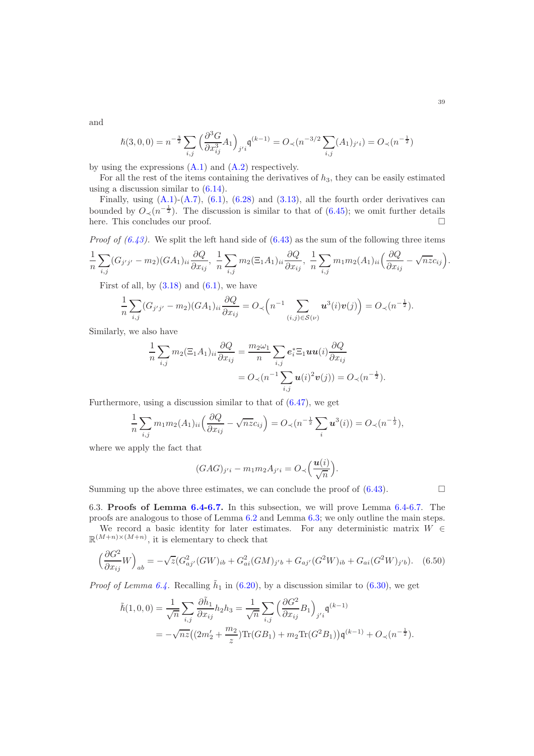and

$$
\hbar(3,0,0) = n^{-\frac{3}{2}} \sum_{i,j} \left( \frac{\partial^3 G}{\partial x_{ij}^3} A_1 \right)_{j'i} \mathfrak{q}^{(k-1)} = O_{\prec}(n^{-3/2} \sum_{i,j} (A_1)_{j'i}) = O_{\prec}(n^{-\frac{1}{2}})
$$

by using the expressions  $(A.1)$  and  $(A.2)$  respectively.

For all the rest of the items containing the derivatives of  $h_3$ , they can be easily estimated using a discussion similar to [\(6.14\)](#page-26-4).

Finally, using  $(A.1)-(A.7)$  $(A.1)-(A.7)$ ,  $(6.1)$ ,  $(6.28)$  and  $(3.13)$ , all the fourth order derivatives can bounded by  $O_{\prec}(n^{-\frac{1}{2}})$ . The discussion is similar to that of [\(6.45\)](#page-35-3); we omit further details here. This concludes our proof.

*Proof of*  $(6.43)$ *.* We split the left hand side of  $(6.43)$  as the sum of the following three items

$$
\frac{1}{n}\sum_{i,j}(G_{j'j'}-m_2)(GA_1)_{ii}\frac{\partial Q}{\partial x_{ij}},\ \frac{1}{n}\sum_{i,j}m_2(\Xi_1A_1)_{ii}\frac{\partial Q}{\partial x_{ij}},\ \frac{1}{n}\sum_{i,j}m_1m_2(A_1)_{ii}\left(\frac{\partial Q}{\partial x_{ij}}-\sqrt{nz}c_{ij}\right).
$$

First of all, by  $(3.18)$  and  $(6.1)$ , we have

$$
\frac{1}{n}\sum_{i,j}(G_{j'j'}-m_2)(GA_1)_{ii}\frac{\partial Q}{\partial x_{ij}}=O_{\prec}\left(n^{-1}\sum_{(i,j)\in S(\nu)}u^3(i)v(j)\right)=O_{\prec}(n^{-\frac{1}{2}}).
$$

Similarly, we also have

$$
\frac{1}{n}\sum_{i,j} m_2(\Xi_1 A_1)_{ii} \frac{\partial Q}{\partial x_{ij}} = \frac{m_2 \omega_1}{n} \sum_{i,j} e_i^* \Xi_1 \boldsymbol{u} \boldsymbol{u}(i) \frac{\partial Q}{\partial x_{ij}}
$$

$$
= O_{\prec} (n^{-1} \sum_{i,j} \boldsymbol{u}(i)^2 \boldsymbol{v}(j)) = O_{\prec} (n^{-\frac{1}{2}}).
$$

Furthermore, using a discussion similar to that of [\(6.47\)](#page-36-1), we get

$$
\frac{1}{n}\sum_{i,j} m_1 m_2(A_1)_{ii} \left(\frac{\partial Q}{\partial x_{ij}} - \sqrt{n z} c_{ij}\right) = O_{\prec}(n^{-\frac{1}{2}}\sum_i \mathbf{u}^3(i)) = O_{\prec}(n^{-\frac{1}{2}}),
$$

where we apply the fact that

$$
(GAG)_{j'i} - m_1 m_2 A_{j'i} = O_{\prec} \left( \frac{\boldsymbol{u}(i)}{\sqrt{n}} \right).
$$

Summing up the above three estimates, we can conclude the proof of  $(6.43)$ .

<span id="page-38-0"></span>6.3. Proofs of Lemma [6.4-](#page-27-2)[6.7.](#page-29-1) In this subsection, we will prove Lemma [6.4-](#page-27-2)[6.7.](#page-29-1) The proofs are analogous to those of Lemma [6.2](#page-26-0) and Lemma [6.3;](#page-26-1) we only outline the main steps. We record a basic identity for later estimates. For any deterministic matrix  $W \in$ 

 $\mathbb{R}^{(M+n)\times(M+n)}$ , it is elementary to check that

<span id="page-38-1"></span>
$$
\left(\frac{\partial G^2}{\partial x_{ij}}W\right)_{ab} = -\sqrt{z}(G_{aj'}^2(GW)_{ib} + G_{ai}^2(GM)_{j'b} + G_{aj'}(G^2W)_{ib} + G_{ai}(G^2W)_{j'b}).
$$
 (6.50)

*Proof of Lemma [6.4.](#page-27-2)* Recalling  $\tilde{h}_1$  in [\(6.20\)](#page-27-3), by a discussion similar to [\(6.30\)](#page-31-5), we get

$$
\tilde{h}(1,0,0) = \frac{1}{\sqrt{n}} \sum_{i,j} \frac{\partial \tilde{h}_1}{\partial x_{ij}} h_2 h_3 = \frac{1}{\sqrt{n}} \sum_{i,j} \left( \frac{\partial G^2}{\partial x_{ij}} B_1 \right)_{j'i} \mathfrak{q}^{(k-1)} \n= -\sqrt{nz} \left( (2m_2' + \frac{m_2}{z}) \text{Tr}(GB_1) + m_2 \text{Tr}(G^2 B_1) \right) \mathfrak{q}^{(k-1)} + O_{\prec}(n^{-\frac{1}{2}}).
$$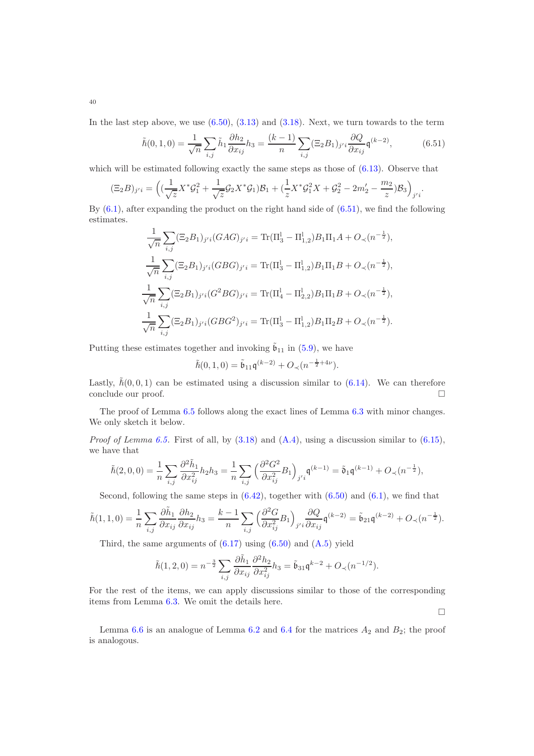In the last step above, we use  $(6.50)$ ,  $(3.13)$  and  $(3.18)$ . Next, we turn towards to the term

<span id="page-39-0"></span>
$$
\tilde{h}(0,1,0) = \frac{1}{\sqrt{n}} \sum_{i,j} \tilde{h}_1 \frac{\partial h_2}{\partial x_{ij}} h_3 = \frac{(k-1)}{n} \sum_{i,j} (\Xi_2 B_1)_{j'i} \frac{\partial Q}{\partial x_{ij}} \mathfrak{q}^{(k-2)},
$$
(6.51)

which will be estimated following exactly the same steps as those of  $(6.13)$ . Observe that

$$
(\Xi_2 B)_{j'i} = \left( (\frac{1}{\sqrt{z}} X^* \mathcal{G}_1^2 + \frac{1}{\sqrt{z}} \mathcal{G}_2 X^* \mathcal{G}_1) \mathcal{B}_1 + (\frac{1}{z} X^* \mathcal{G}_1^2 X + \mathcal{G}_2^2 - 2m_2' - \frac{m_2}{z}) \mathcal{B}_3 \right)_{j'i}.
$$

By  $(6.1)$ , after expanding the product on the right hand side of  $(6.51)$ , we find the following estimates.

$$
\frac{1}{\sqrt{n}} \sum_{i,j} (\Xi_2 B_1)_{j'i} (GAG)_{j'i} = \text{Tr}(\Pi_3^1 - \Pi_{1,2}^1) B_1 \Pi_1 A + O_{\prec} (n^{-\frac{1}{2}}),
$$
  

$$
\frac{1}{\sqrt{n}} \sum_{i,j} (\Xi_2 B_1)_{j'i} (GBG)_{j'i} = \text{Tr}(\Pi_3^1 - \Pi_{1,2}^1) B_1 \Pi_1 B + O_{\prec} (n^{-\frac{1}{2}}),
$$
  

$$
\frac{1}{\sqrt{n}} \sum_{i,j} (\Xi_2 B_1)_{j'i} (G^2 BG)_{j'i} = \text{Tr}(\Pi_4^1 - \Pi_{2,2}^1) B_1 \Pi_1 B + O_{\prec} (n^{-\frac{1}{2}}),
$$
  

$$
\frac{1}{\sqrt{n}} \sum_{i,j} (\Xi_2 B_1)_{j'i} (GBG^2)_{j'i} = \text{Tr}(\Pi_3^1 - \Pi_{1,2}^1) B_1 \Pi_2 B + O_{\prec} (n^{-\frac{1}{2}}).
$$

Putting these estimates together and invoking  $\tilde{b}_{11}$  in [\(5.9\)](#page-21-0), we have

$$
\tilde{h}(0,1,0) = \tilde{\mathfrak{b}}_{11}\mathfrak{q}^{(k-2)} + O_{\prec}(n^{-\frac{1}{2}+4\nu}).
$$

Lastly,  $\tilde{h}(0, 0, 1)$  can be estimated using a discussion similar to  $(6.14)$ . We can therefore conclude our proof.

The proof of Lemma [6.5](#page-27-4) follows along the exact lines of Lemma [6.3](#page-26-1) with minor changes. We only sketch it below.

*Proof of Lemma [6.5.](#page-27-4)* First of all, by  $(3.18)$  and  $(A.4)$ , using a discussion similar to  $(6.15)$ , we have that

$$
\tilde{\hbar}(2,0,0)=\frac{1}{n}\sum_{i,j}\frac{\partial^2 \tilde{h}_1}{\partial x_{ij}^2}h_2h_3=\frac{1}{n}\sum_{i,j}\Big(\frac{\partial^2 G^2}{\partial x_{ij}^2}B_1\Big)_{j'i}\mathfrak{q}^{(k-1)}=\tilde{\mathfrak{d}}_1\mathfrak{q}^{(k-1)}+O_\prec(n^{-\frac{1}{2}}),
$$

Second, following the same steps in  $(6.42)$ , together with  $(6.50)$  and  $(6.1)$ , we find that

$$
\tilde{h}(1,1,0) = \frac{1}{n} \sum_{i,j} \frac{\partial \tilde{h}_1}{\partial x_{ij}} \frac{\partial h_2}{\partial x_{ij}} h_3 = \frac{k-1}{n} \sum_{i,j} \left( \frac{\partial^2 G}{\partial x_{ij}^2} B_1 \right)_{j'i} \frac{\partial Q}{\partial x_{ij}} \mathfrak{q}^{(k-2)} = \tilde{\mathfrak{b}}_{21} \mathfrak{q}^{(k-2)} + O_{\prec}(n^{-\frac{1}{2}}).
$$

Third, the same arguments of  $(6.17)$  using  $(6.50)$  and  $(A.5)$  yield

$$
\tilde{\hbar}(1,2,0) = n^{-\frac{3}{2}} \sum_{i,j} \frac{\partial \tilde{h}_1}{\partial x_{ij}} \frac{\partial^2 h_2}{\partial x_{ij}^2} h_3 = \tilde{\mathfrak{b}}_{31} \mathfrak{q}^{k-2} + O_{\prec}(n^{-1/2}).
$$

For the rest of the items, we can apply discussions similar to those of the corresponding items from Lemma [6.3.](#page-26-1) We omit the details here.

 $\Box$ 

Lemma [6.6](#page-29-2) is an analogue of Lemma [6.2](#page-26-0) and [6.4](#page-27-2) for the matrices  $A_2$  and  $B_2$ ; the proof is analogous.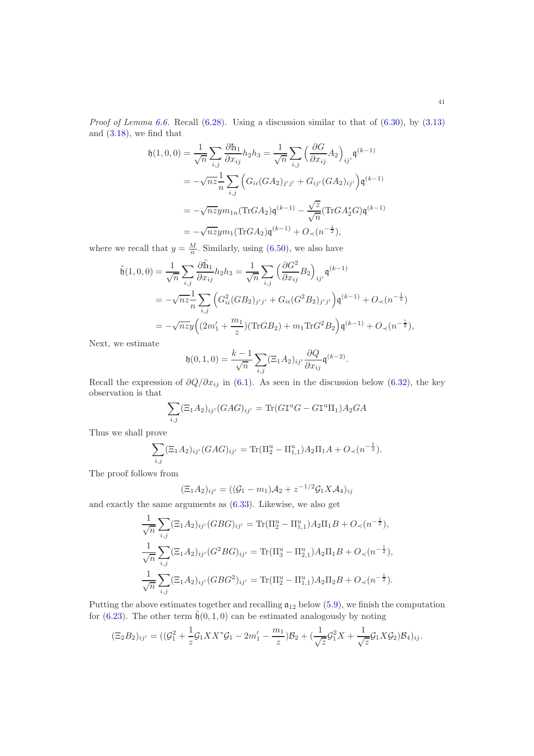*Proof of Lemma [6.6.](#page-29-2)* Recall  $(6.28)$ . Using a discussion similar to that of  $(6.30)$ , by  $(3.13)$ and [\(3.18\)](#page-11-7), we find that

$$
\mathfrak{h}(1,0,0) = \frac{1}{\sqrt{n}} \sum_{i,j} \frac{\partial \mathbb{h}_1}{\partial x_{ij}} h_2 h_3 = \frac{1}{\sqrt{n}} \sum_{i,j} \left( \frac{\partial G}{\partial x_{ij}} A_2 \right)_{ij'} \mathfrak{q}^{(k-1)}
$$
  

$$
= -\sqrt{n} z \frac{1}{n} \sum_{i,j} \left( G_{ii} (G A_2)_{j'j'} + G_{ij'} (G A_2)_{ij'} \right) \mathfrak{q}^{(k-1)}
$$
  

$$
= -\sqrt{n} z y m_{1n} (\text{Tr} G A_2) \mathfrak{q}^{(k-1)} - \frac{\sqrt{z}}{\sqrt{n}} (\text{Tr} G A_2^* G) \mathfrak{q}^{(k-1)}
$$
  

$$
= -\sqrt{n} z y m_1 (\text{Tr} G A_2) \mathfrak{q}^{(k-1)} + O_{\prec} (n^{-\frac{1}{2}}),
$$

where we recall that  $y = \frac{M}{n}$ . Similarly, using [\(6.50\)](#page-38-1), we also have

$$
\tilde{\mathfrak{h}}(1,0,0) = \frac{1}{\sqrt{n}} \sum_{i,j} \frac{\partial \tilde{\mathfrak{h}}_1}{\partial x_{ij}} h_2 h_3 = \frac{1}{\sqrt{n}} \sum_{i,j} \left( \frac{\partial G^2}{\partial x_{ij}} B_2 \right)_{ij'} \mathfrak{q}^{(k-1)} \n= -\sqrt{n} z \frac{1}{n} \sum_{i,j} \left( G_{ii}^2 (GB_2)_{j'j'} + G_{ii} (G^2 B_2)_{j'j'} \right) \mathfrak{q}^{(k-1)} + O_{\prec} (n^{-\frac{1}{2}}) \n= -\sqrt{n} z y \left( (2m'_1 + \frac{m_1}{z}) (\text{Tr} GB_2) + m_1 \text{Tr} G^2 B_2 \right) \mathfrak{q}^{(k-1)} + O_{\prec} (n^{-\frac{1}{2}}),
$$

Next, we estimate

$$
\mathfrak{h}(0,1,0) = \frac{k-1}{\sqrt{n}} \sum_{i,j} (\Xi_1 A_2)_{ij'} \frac{\partial Q}{\partial x_{ij}} \mathfrak{q}^{(k-2)}.
$$

Recall the expression of  $\partial Q/\partial x_{ij}$  in [\(6.1\)](#page-24-1). As seen in the discussion below [\(6.32\)](#page-31-0), the key observation is that

$$
\sum_{i,j} (\Xi_1 A_2)_{ij'} (GAG)_{ij'} = \text{Tr}(G\mathbf{I}^{\mathbf{u}}G - G\mathbf{I}^{\mathbf{u}}\Pi_1)A_2GA
$$

Thus we shall prove

$$
\sum_{i,j} (\Xi_1 A_2)_{ij'} (GAG)_{ij'} = \text{Tr}(\Pi_2^{\text{u}} - \Pi_{1,1}^{\text{u}}) A_2 \Pi_1 A + O_{\prec} (n^{-\frac{1}{2}}).
$$

The proof follows from

1

$$
(\Xi_1 A_2)_{ij'} = ((\mathcal{G}_1 - m_1)A_2 + z^{-1/2}\mathcal{G}_1 X A_4)_{ij}
$$

and exactly the same arguments as [\(6.33\)](#page-31-2). Likewise, we also get

$$
\frac{1}{\sqrt{n}} \sum_{i,j} (\Xi_1 A_2)_{ij'} (GBG)_{ij'} = \text{Tr}(\Pi_2^{\mathrm{u}} - \Pi_{1,1}^{\mathrm{u}}) A_2 \Pi_1 B + O_{\prec} (n^{-\frac{1}{2}}),
$$
  

$$
\frac{1}{\sqrt{n}} \sum_{i,j} (\Xi_1 A_2)_{ij'} (G^2 BG)_{ij'} = \text{Tr}(\Pi_3^{\mathrm{u}} - \Pi_{2,1}^{\mathrm{u}}) A_2 \Pi_1 B + O_{\prec} (n^{-\frac{1}{2}}),
$$
  

$$
\frac{1}{\sqrt{n}} \sum_{i,j} (\Xi_1 A_2)_{ij'} (GBG^2)_{ij'} = \text{Tr}(\Pi_2^{\mathrm{u}} - \Pi_{1,1}^{\mathrm{u}}) A_2 \Pi_2 B + O_{\prec} (n^{-\frac{1}{2}}).
$$

Putting the above estimates together and recalling  $a_{12}$  below [\(5.9\)](#page-21-0), we finish the computation for [\(6.23\)](#page-29-3). The other term  $\tilde{\mathfrak{h}}(0,1,0)$  can be estimated analogously by noting

$$
(\Xi_2 B_2)_{ij'} = ((\mathcal{G}_1^2 + \frac{1}{z}\mathcal{G}_1 XX^*\mathcal{G}_1 - 2m_1' - \frac{m_1}{z})\mathcal{B}_2 + (\frac{1}{\sqrt{z}}\mathcal{G}_1^2 X + \frac{1}{\sqrt{z}}\mathcal{G}_1 X \mathcal{G}_2)\mathcal{B}_4)_{ij}.
$$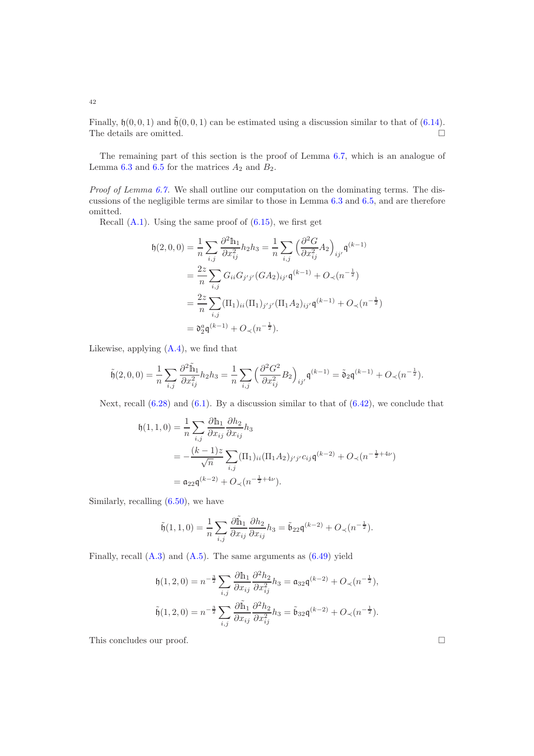Finally,  $\mathfrak{h}(0, 0, 1)$  and  $\tilde{\mathfrak{h}}(0, 0, 1)$  can be estimated using a discussion similar to that of  $(6.14)$ . The details are omitted.  $\hfill\Box$ 

The remaining part of this section is the proof of Lemma [6.7,](#page-29-1) which is an analogue of Lemma [6.3](#page-26-1) and [6.5](#page-27-4) for the matrices  $A_2$  and  $B_2$ .

Proof of Lemma [6.7.](#page-29-1) We shall outline our computation on the dominating terms. The discussions of the negligible terms are similar to those in Lemma [6.3](#page-26-1) and [6.5,](#page-27-4) and are therefore omitted.

Recall  $(A.1)$ . Using the same proof of  $(6.15)$ , we first get

$$
h(2,0,0) = \frac{1}{n} \sum_{i,j} \frac{\partial^2 h_1}{\partial x_{ij}^2} h_2 h_3 = \frac{1}{n} \sum_{i,j} \left( \frac{\partial^2 G}{\partial x_{ij}^2} A_2 \right)_{ij'} \mathfrak{q}^{(k-1)}
$$
  
=  $\frac{2z}{n} \sum_{i,j} G_{ii} G_{j'j'} (GA_2)_{ij'} \mathfrak{q}^{(k-1)} + O_\prec (n^{-\frac{1}{2}})$   
=  $\frac{2z}{n} \sum_{i,j} (\Pi_1)_{ii} (\Pi_1)_{j'j'} (\Pi_1 A_2)_{ij'} \mathfrak{q}^{(k-1)} + O_\prec (n^{-\frac{1}{2}})$   
=  $\mathfrak{d}_2^a \mathfrak{q}^{(k-1)} + O_\prec (n^{-\frac{1}{2}}).$ 

Likewise, applying [\(A.4\)](#page-48-8), we find that

$$
\tilde{\mathfrak{h}}(2,0,0)=\frac{1}{n}\sum_{i,j}\frac{\partial^2 \tilde{\mathbb{h}}_1}{\partial x_{ij}^2}h_2h_3=\frac{1}{n}\sum_{i,j}\Big(\frac{\partial^2 G^2}{\partial x_{ij}^2}B_2\Big)_{ij'}\mathfrak{q}^{(k-1)}=\tilde{\mathfrak{d}}_2\mathfrak{q}^{(k-1)}+O_\prec(n^{-\frac{1}{2}}).
$$

Next, recall  $(6.28)$  and  $(6.1)$ . By a discussion similar to that of  $(6.42)$ , we conclude that

$$
h(1,1,0) = \frac{1}{n} \sum_{i,j} \frac{\partial \ln_1}{\partial x_{ij}} \frac{\partial h_2}{\partial x_{ij}} h_3
$$
  
=  $-\frac{(k-1)z}{\sqrt{n}} \sum_{i,j} (\Pi_1)_{ii} (\Pi_1 A_2)_{j'j'} c_{ij} \mathfrak{q}^{(k-2)} + O_\prec (n^{-\frac{1}{2}+4\nu})$   
=  $\mathfrak{a}_{22} \mathfrak{q}^{(k-2)} + O_\prec (n^{-\frac{1}{2}+4\nu}).$ 

Similarly, recalling  $(6.50)$ , we have

$$
\tilde{\mathfrak{h}}(1,1,0)=\frac{1}{n}\sum_{i,j}\frac{\partial \tilde{\mathbb{h}}_1}{\partial x_{ij}}\frac{\partial h_2}{\partial x_{ij}}h_3=\tilde{\mathfrak{b}}_{22}\mathfrak{q}^{(k-2)}+O_\prec(n^{-\frac{1}{2}}).
$$

Finally, recall  $(A.3)$  and  $(A.5)$ . The same arguments as  $(6.49)$  yield

$$
\mathfrak{h}(1,2,0) = n^{-\frac{3}{2}} \sum_{i,j} \frac{\partial \mathbb{h}_1}{\partial x_{ij}} \frac{\partial^2 h_2}{\partial x_{ij}^2} h_3 = \mathfrak{a}_{32} \mathfrak{q}^{(k-2)} + O_{\prec}(n^{-\frac{1}{2}}),
$$
  

$$
\tilde{\mathfrak{h}}(1,2,0) = n^{-\frac{3}{2}} \sum_{i,j} \frac{\partial \tilde{\mathbb{h}}_1}{\partial x_{ij}} \frac{\partial^2 h_2}{\partial x_{ij}^2} h_3 = \tilde{\mathfrak{b}}_{32} \mathfrak{q}^{(k-2)} + O_{\prec}(n^{-\frac{1}{2}}).
$$

This concludes our proof.  $\Box$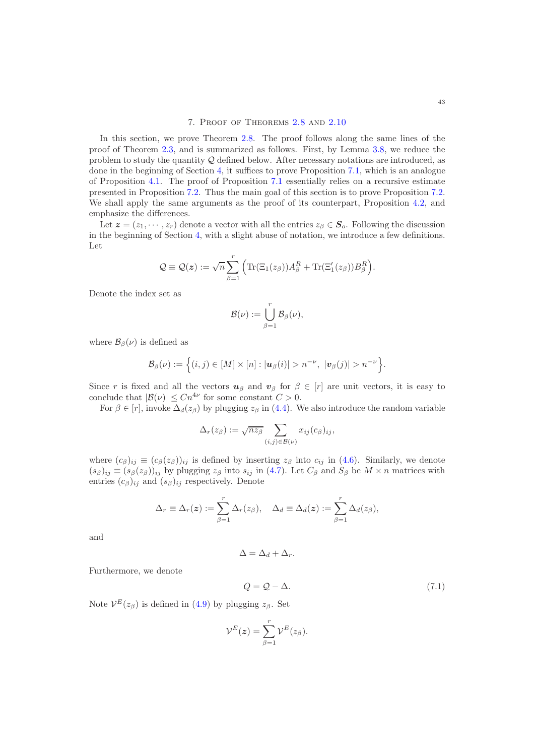# 7. Proof of Theorems [2.8](#page-6-0) and [2.10](#page-7-0)

<span id="page-42-0"></span>In this section, we prove Theorem [2.8.](#page-6-0) The proof follows along the same lines of the proof of Theorem [2.3,](#page-5-0) and is summarized as follows. First, by Lemma [3.8,](#page-12-0) we reduce the problem to study the quantity  $\mathcal Q$  defined below. After necessary notations are introduced, as done in the beginning of Section [4,](#page-15-0) it suffices to prove Proposition [7.1,](#page-43-0) which is an analogue of Proposition [4.1.](#page-17-0) The proof of Proposition [7.1](#page-43-0) essentially relies on a recursive estimate presented in Proposition [7.2.](#page-43-1) Thus the main goal of this section is to prove Proposition [7.2.](#page-43-1) We shall apply the same arguments as the proof of its counterpart, Proposition [4.2,](#page-18-0) and emphasize the differences.

Let  $\mathbf{z} = (z_1, \dots, z_r)$  denote a vector with all the entries  $z_\beta \in \mathbf{S}_o$ . Following the discussion in the beginning of Section [4,](#page-15-0) with a slight abuse of notation, we introduce a few definitions. Let

$$
Q \equiv Q(z) := \sqrt{n} \sum_{\beta=1}^r \Big( \text{Tr}(\Xi_1(z_\beta)) A_\beta^R + \text{Tr}(\Xi_1'(z_\beta)) B_\beta^R \Big).
$$

Denote the index set as

$$
\mathcal{B}(\nu) := \bigcup_{\beta=1}^r \mathcal{B}_{\beta}(\nu),
$$

where  $\mathcal{B}_{\beta}(\nu)$  is defined as

$$
\mathcal{B}_{\beta}(\nu) := \Big\{ (i,j) \in [M] \times [n] : |\boldsymbol{u}_{\beta}(i)| > n^{-\nu}, \ |\boldsymbol{v}_{\beta}(j)| > n^{-\nu} \Big\}.
$$

Since r is fixed and all the vectors  $u_{\beta}$  and  $v_{\beta}$  for  $\beta \in [r]$  are unit vectors, it is easy to conclude that  $|\mathcal{B}(\nu)| \leq C n^{4\nu}$  for some constant  $C > 0$ .

For  $\beta \in [r]$ , invoke  $\Delta_d(z_\beta)$  by plugging  $z_\beta$  in [\(4.4\)](#page-16-0). We also introduce the random variable

$$
\Delta_r(z_\beta) := \sqrt{n z_\beta} \sum_{(i,j) \in \mathcal{B}(\nu)} x_{ij}(c_\beta)_{ij},
$$

where  $(c_{\beta})_{ii} \equiv (c_{\beta}(z_{\beta}))_{ii}$  is defined by inserting  $z_{\beta}$  into  $c_{ii}$  in [\(4.6\)](#page-16-2). Similarly, we denote  $(s_{\beta})_{ij} \equiv (s_{\beta}(z_{\beta}))_{ij}$  by plugging  $z_{\beta}$  into  $s_{ij}$  in [\(4.7\)](#page-16-3). Let  $C_{\beta}$  and  $S_{\beta}$  be  $M \times n$  matrices with entries  $(c_{\beta})_{ij}$  and  $(s_{\beta})_{ij}$  respectively. Denote

$$
\Delta_r \equiv \Delta_r(\boldsymbol{z}) := \sum_{\beta=1}^r \Delta_r(z_\beta), \quad \Delta_d \equiv \Delta_d(\boldsymbol{z}) := \sum_{\beta=1}^r \Delta_d(z_\beta),
$$

and

 $\Delta = \Delta_d + \Delta_r.$ 

Furthermore, we denote

<span id="page-42-1"></span>
$$
Q = Q - \Delta. \tag{7.1}
$$

Note  $V^{E}(z_{\beta})$  is defined in [\(4.9\)](#page-17-4) by plugging  $z_{\beta}$ . Set

$$
\mathcal{V}^E(z) = \sum_{\beta=1}^r \mathcal{V}^E(z_\beta).
$$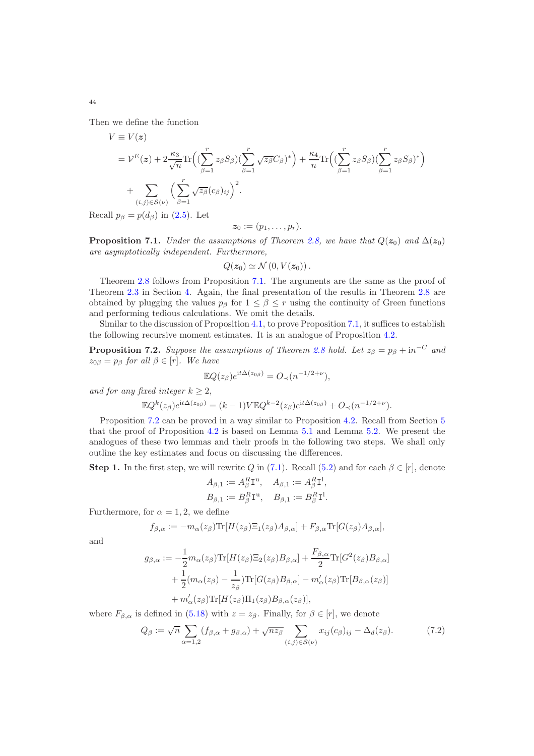Then we define the function

$$
V \equiv V(z)
$$
  
=  $\mathcal{V}^{E}(z) + 2 \frac{\kappa_3}{\sqrt{n}} \text{Tr} \Big( \Big( \sum_{\beta=1}^{r} z_{\beta} S_{\beta} \Big) \Big( \sum_{\beta=1}^{r} \sqrt{z_{\beta}} C_{\beta} \Big)^{*} \Big) + \frac{\kappa_4}{n} \text{Tr} \Big( \Big( \sum_{\beta=1}^{r} z_{\beta} S_{\beta} \Big) \Big( \sum_{\beta=1}^{r} z_{\beta} S_{\beta} \Big)^{*} \Big) + \sum_{(i,j) \in S(\nu)} \Big( \sum_{\beta=1}^{r} \sqrt{z_{\beta}} (c_{\beta})_{ij} \Big)^{2}.$ 

Recall  $p_\beta = p(d_\beta)$  in [\(2.5\)](#page-4-2). Let

$$
\boldsymbol{z}_0 := (p_1, \ldots, p_r).
$$

<span id="page-43-0"></span>**Proposition 7.1.** Under the assumptions of Theorem [2.8,](#page-6-0) we have that  $Q(z_0)$  and  $\Delta(z_0)$ are asymptotically independent. Furthermore,

$$
Q(z_0) \simeq \mathcal{N}(0, V(z_0))\,.
$$

Theorem [2.8](#page-6-0) follows from Proposition [7.1.](#page-43-0) The arguments are the same as the proof of Theorem [2.3](#page-5-0) in Section [4.](#page-15-0) Again, the final presentation of the results in Theorem [2.8](#page-6-0) are obtained by plugging the values  $p_\beta$  for  $1 \leq \beta \leq r$  using the continuity of Green functions and performing tedious calculations. We omit the details.

Similar to the discussion of Proposition [4.1,](#page-17-0) to prove Proposition [7.1,](#page-43-0) it suffices to establish the following recursive moment estimates. It is an analogue of Proposition [4.2.](#page-18-0)

<span id="page-43-1"></span>**Proposition 7.2.** Suppose the assumptions of Theorem [2.8](#page-6-0) hold. Let  $z_{\beta} = p_{\beta} + \mathrm{i}n^{-C}$  and  $z_{0\beta} = p_{\beta}$  for all  $\beta \in [r]$ . We have

$$
\mathbb{E}Q(z_{\beta})e^{it\Delta(z_{0\beta})} = O_{\prec}(n^{-1/2+\nu}),
$$
  
and for any fixed integer  $k \ge 2$ ,  

$$
\mathbb{E}Q^{k}(z_{\beta})e^{it\Delta(z_{0\beta})} = (k-1)V\mathbb{E}Q^{k-2}(z_{\beta})e^{it\Delta(z_{0\beta})} + O_{\prec}(n^{-1/2+\nu}).
$$

Proposition [7.2](#page-43-1) can be proved in a way similar to Proposition [4.2.](#page-18-0) Recall from Section [5](#page-20-0) that the proof of Proposition [4.2](#page-18-0) is based on Lemma [5.1](#page-20-3) and Lemma [5.2.](#page-22-0) We present the analogues of these two lemmas and their proofs in the following two steps. We shall only outline the key estimates and focus on discussing the differences.

**Step 1.** In the first step, we will rewrite Q in [\(7.1\)](#page-42-1). Recall [\(5.2\)](#page-20-1) and for each  $\beta \in [r]$ , denote

$$
A_{\beta,1} := A_{\beta}^{R} \mathbf{I}^{u}, \quad A_{\beta,1} := A_{\beta}^{R} \mathbf{I}^{1},
$$
  

$$
B_{\beta,1} := B_{\beta}^{R} \mathbf{I}^{u}, \quad B_{\beta,1} := B_{\beta}^{R} \mathbf{I}^{1}.
$$

Furthermore, for  $\alpha = 1, 2$ , we define

$$
f_{\beta,\alpha}:=-m_{\alpha}(z_{\beta})\text{Tr}[H(z_{\beta})\Xi_1(z_{\beta})A_{\beta,\alpha}]+F_{\beta,\alpha}\text{Tr}[G(z_{\beta})A_{\beta,\alpha}],
$$

and

$$
g_{\beta,\alpha} := -\frac{1}{2} m_{\alpha}(z_{\beta}) \text{Tr}[H(z_{\beta}) \Xi_2(z_{\beta}) B_{\beta,\alpha}] + \frac{F_{\beta,\alpha}}{2} \text{Tr}[G^2(z_{\beta}) B_{\beta,\alpha}] + \frac{1}{2} (m_{\alpha}(z_{\beta}) - \frac{1}{z_{\beta}}) \text{Tr}[G(z_{\beta}) B_{\beta,\alpha}] - m'_{\alpha}(z_{\beta}) \text{Tr}[B_{\beta,\alpha}(z_{\beta})] + m'_{\alpha}(z_{\beta}) \text{Tr}[H(z_{\beta}) \Pi_1(z_{\beta}) B_{\beta,\alpha}(z_{\beta})],
$$

where  $F_{\beta,\alpha}$  is defined in [\(5.18\)](#page-22-1) with  $z = z_{\beta}$ . Finally, for  $\beta \in [r]$ , we denote

$$
Q_{\beta} := \sqrt{n} \sum_{\alpha=1,2} (f_{\beta,\alpha} + g_{\beta,\alpha}) + \sqrt{nz_{\beta}} \sum_{(i,j) \in S(\nu)} x_{ij} (c_{\beta})_{ij} - \Delta_d(z_{\beta}).
$$
 (7.2)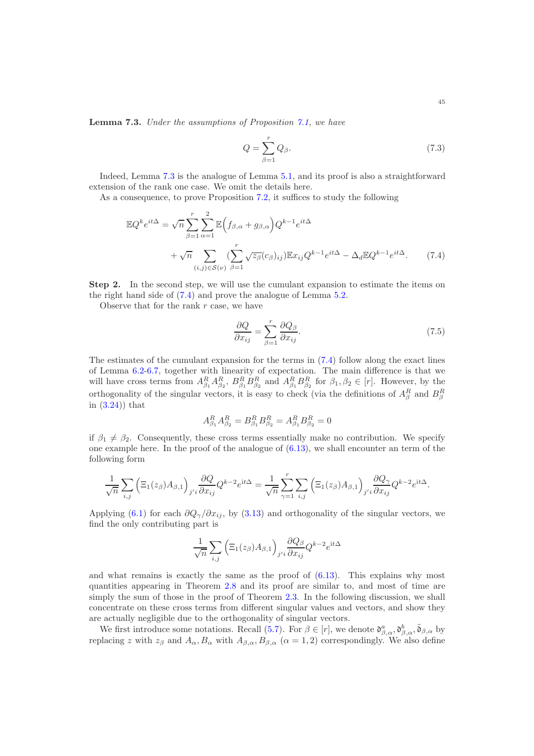<span id="page-44-0"></span>Lemma 7.3. Under the assumptions of Proposition [7.1,](#page-43-0) we have

$$
Q = \sum_{\beta=1}^{r} Q_{\beta}.
$$
\n(7.3)

Indeed, Lemma [7.3](#page-44-0) is the analogue of Lemma [5.1,](#page-20-3) and its proof is also a straightforward extension of the rank one case. We omit the details here.

As a consequence, to prove Proposition [7.2,](#page-43-1) it suffices to study the following

$$
\mathbb{E}Q^{k}e^{it\Delta} = \sqrt{n}\sum_{\beta=1}^{r}\sum_{\alpha=1}^{2}\mathbb{E}\Big(f_{\beta,\alpha} + g_{\beta,\alpha}\Big)Q^{k-1}e^{it\Delta} + \sqrt{n}\sum_{(i,j)\in\mathcal{S}(\nu)}\sum_{\beta=1}^{r}\sqrt{z_{\beta}}(c_{\beta})_{ij}\mathbb{E}x_{ij}Q^{k-1}e^{it\Delta} - \Delta_{d}\mathbb{E}Q^{k-1}e^{it\Delta}.
$$
 (7.4)

Step 2. In the second step, we will use the cumulant expansion to estimate the items on the right hand side of [\(7.4\)](#page-44-1) and prove the analogue of Lemma [5.2.](#page-22-0)

Observe that for the rank  $r$  case, we have

<span id="page-44-2"></span><span id="page-44-1"></span>
$$
\frac{\partial Q}{\partial x_{ij}} = \sum_{\beta=1}^{r} \frac{\partial Q_{\beta}}{\partial x_{ij}}.
$$
\n(7.5)

The estimates of the cumulant expansion for the terms in [\(7.4\)](#page-44-1) follow along the exact lines of Lemma [6.2](#page-26-0)[-6.7,](#page-29-1) together with linearity of expectation. The main difference is that we will have cross terms from  $A_{\beta_1}^R A_{\beta_2}^R$ ,  $B_{\beta_1}^R B_{\beta_2}^R$  and  $A_{\beta_1}^R B_{\beta_2}^R$  for  $\beta_1, \beta_2 \in [r]$ . However, by the orthogonality of the singular vectors, it is easy to check (via the definitions of  $A_{\beta}^{R}$  and  $B_{\beta}^{R}$ in [\(3.24\)](#page-12-3)) that

$$
A_{\beta_1}^R A_{\beta_2}^R = B_{\beta_1}^R B_{\beta_2}^R = A_{\beta_1}^R B_{\beta_2}^R = 0
$$

if  $\beta_1 \neq \beta_2$ . Consequently, these cross terms essentially make no contribution. We specify one example here. In the proof of the analogue of  $(6.13)$ , we shall encounter an term of the following form

$$
\frac{1}{\sqrt{n}}\sum_{i,j}\left(\Xi_1(z_\beta)A_{\beta,1}\right)_{j'i}\frac{\partial Q}{\partial x_{ij}}Q^{k-2}e^{it\Delta}=\frac{1}{\sqrt{n}}\sum_{\gamma=1}^r\sum_{i,j}\left(\Xi_1(z_\beta)A_{\beta,1}\right)_{j'i}\frac{\partial Q_\gamma}{\partial x_{ij}}Q^{k-2}e^{it\Delta}.
$$

Applying [\(6.1\)](#page-24-1) for each  $\partial Q_{\gamma}/\partial x_{ij}$ , by [\(3.13\)](#page-11-5) and orthogonality of the singular vectors, we find the only contributing part is

$$
\frac{1}{\sqrt{n}} \sum_{i,j} \left( \Xi_1(z_\beta) A_{\beta,1} \right)_{j'i} \frac{\partial Q_\beta}{\partial x_{ij}} Q^{k-2} e^{it\Delta}
$$

and what remains is exactly the same as the proof of  $(6.13)$ . This explains why most quantities appearing in Theorem [2.8](#page-6-0) and its proof are similar to, and most of time are simply the sum of those in the proof of Theorem [2.3.](#page-5-0) In the following discussion, we shall concentrate on these cross terms from different singular values and vectors, and show they are actually negligible due to the orthogonality of singular vectors.

We first introduce some notations. Recall [\(5.7\)](#page-21-1). For  $\beta \in [r]$ , we denote  $\mathfrak{d}^a_{\beta,\alpha}, \mathfrak{d}^b_{\beta,\alpha}, \tilde{\mathfrak{d}}_{\beta,\alpha}$  by replacing z with  $z_\beta$  and  $A_\alpha$ ,  $B_\alpha$  with  $A_{\beta,\alpha}$ ,  $B_{\beta,\alpha}$  ( $\alpha = 1,2$ ) correspondingly. We also define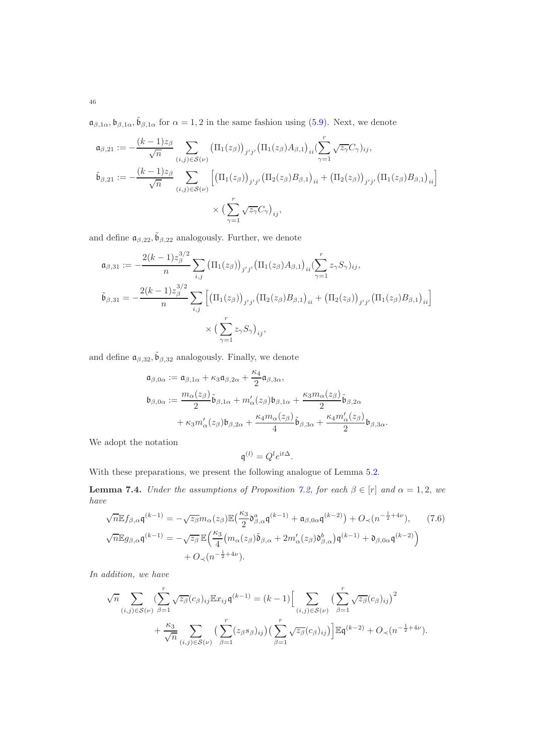$\mathfrak{a}_{\beta,1\alpha}, \mathfrak{b}_{\beta,1\alpha}, \tilde{\mathfrak{b}}_{\beta,1\alpha}$  for  $\alpha=1,2$  in the same fashion using [\(5.9\)](#page-21-0). Next, we denote

$$
\mathfrak{a}_{\beta,21} := -\frac{(k-1)z_{\beta}}{\sqrt{n}} \sum_{(i,j)\in\mathcal{S}(\nu)} \left(\Pi_1(z_{\beta})\right)_{j'j'} \left(\Pi_1(z_{\beta})A_{\beta,1}\right)_{ii} \left(\sum_{\gamma=1}^r \sqrt{z_{\gamma}} C_{\gamma}\right)_{ij},
$$
\n
$$
\tilde{\mathfrak{b}}_{\beta,21} := -\frac{(k-1)z_{\beta}}{\sqrt{n}} \sum_{(i,j)\in\mathcal{S}(\nu)} \left[\left(\Pi_1(z_{\beta})\right)_{j'j'} \left(\Pi_2(z_{\beta})B_{\beta,1}\right)_{ii} + \left(\Pi_2(z_{\beta})\right)_{j'j'} \left(\Pi_1(z_{\beta})B_{\beta,1}\right)_{ii}\right]
$$
\n
$$
\times \left(\sum_{\gamma=1}^r \sqrt{z_{\gamma}} C_{\gamma}\right)_{ij},
$$

and define  $\mathfrak{a}_{\beta,22}, \tilde{\mathfrak{b}}_{\beta,22}$  analogously. Further, we denote

$$
\mathfrak{a}_{\beta,31} := -\frac{2(k-1)z_{\beta}^{3/2}}{n} \sum_{i,j} (\Pi_1(z_{\beta}))_{j'j'} (\Pi_1(z_{\beta}) A_{\beta,1})_{ii} (\sum_{\gamma=1}^r z_{\gamma} S_{\gamma})_{ij},
$$
\n
$$
\tilde{\mathfrak{b}}_{\beta,31} = -\frac{2(k-1)z_{\beta}^{3/2}}{n} \sum_{i,j} [(\Pi_1(z_{\beta}))_{j'j'} (\Pi_2(z_{\beta}) B_{\beta,1})_{ii} + (\Pi_2(z_{\beta}))_{j'j'} (\Pi_1(z_{\beta}) B_{\beta,1})_{ii}] \times (\sum_{\gamma=1}^r z_{\gamma} S_{\gamma})_{ij},
$$

and define  $\mathfrak{a}_{\beta,32}, \tilde{\mathfrak{b}}_{\beta,32}$  analogously. Finally, we denote

$$
\begin{aligned}\n\mathfrak{a}_{\beta,0\alpha} &:= \mathfrak{a}_{\beta,1\alpha} + \kappa_3 \mathfrak{a}_{\beta,2\alpha} + \frac{\kappa_4}{2} \mathfrak{a}_{\beta,3\alpha}, \\
\mathfrak{b}_{\beta,0\alpha} &:= \frac{m_\alpha(z_\beta)}{2} \tilde{\mathfrak{b}}_{\beta,1\alpha} + m_\alpha'(z_\beta) \mathfrak{b}_{\beta,1\alpha} + \frac{\kappa_3 m_\alpha(z_\beta)}{2} \tilde{\mathfrak{b}}_{\beta,2\alpha} \\
&\quad + \kappa_3 m_\alpha'(z_\beta) \mathfrak{b}_{\beta,2\alpha} + \frac{\kappa_4 m_\alpha(z_\beta)}{4} \tilde{\mathfrak{b}}_{\beta,3\alpha} + \frac{\kappa_4 m_\alpha'(z_\beta)}{2} \mathfrak{b}_{\beta,3\alpha}.\n\end{aligned}
$$

We adopt the notation

<span id="page-45-1"></span>
$$
\mathfrak{q}^{(l)} = Q^l e^{\mathrm{i} t \Delta}.
$$

With these preparations, we present the following analogue of Lemma [5.2.](#page-22-0)

<span id="page-45-0"></span>**Lemma 7.4.** Under the assumptions of Proposition [7.2,](#page-43-1) for each  $\beta \in [r]$  and  $\alpha = 1, 2$ , we have

$$
\sqrt{n} \mathbb{E} f_{\beta,\alpha} \mathfrak{q}^{(k-1)} = -\sqrt{z_{\beta}} m_{\alpha}(z_{\beta}) \mathbb{E} \left( \frac{\kappa_3}{2} \mathfrak{d}_{\beta,\alpha}^a \mathfrak{q}^{(k-1)} + \mathfrak{a}_{\beta,0\alpha} \mathfrak{q}^{(k-2)} \right) + O_{\prec}(n^{-\frac{1}{2}+4\nu}), \qquad (7.6)
$$
  

$$
\sqrt{n} \mathbb{E} g_{\beta,\alpha} \mathfrak{q}^{(k-1)} = -\sqrt{z_{\beta}} \mathbb{E} \left( \frac{\kappa_3}{4} \left( m_{\alpha}(z_{\beta}) \tilde{\mathfrak{d}}_{\beta,\alpha} + 2m'_{\alpha}(z_{\beta}) \mathfrak{d}_{\beta,\alpha}^b \right) \mathfrak{q}^{(k-1)} + \mathfrak{d}_{\beta,0\alpha} \mathfrak{q}^{(k-2)} \right) + O_{\prec}(n^{-\frac{1}{2}+4\nu}).
$$

In addition, we have

$$
\sqrt{n} \sum_{(i,j)\in\mathcal{S}(\nu)} \left( \sum_{\beta=1}^r \sqrt{z_{\beta}} (c_{\beta})_{ij} \mathbb{E} x_{ij} \mathfrak{q}^{(k-1)} \right) = (k-1) \Big[ \sum_{(i,j)\in\mathcal{S}(\nu)} \left( \sum_{\beta=1}^r \sqrt{z_{\beta}} (c_{\beta})_{ij} \right)^2
$$

$$
+ \frac{\kappa_3}{\sqrt{n}} \sum_{(i,j)\in\mathcal{S}(\nu)} \left( \sum_{\beta=1}^r (z_{\beta} s_{\beta})_{ij} \right) \left( \sum_{\beta=1}^r \sqrt{z_{\beta}} (c_{\beta})_{ij} \right) \Big] \mathbb{E} \mathfrak{q}^{(k-2)} + O_{\prec} (n^{-\frac{1}{2}+4\nu}).
$$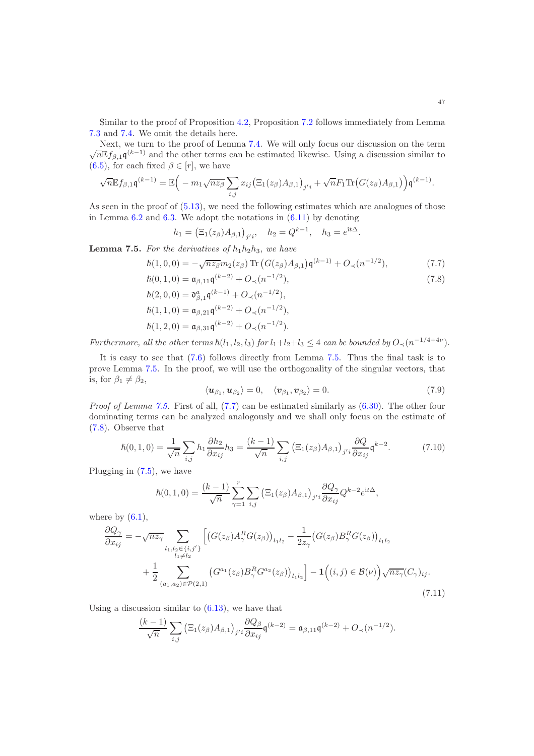Similar to the proof of Proposition [4.2,](#page-18-0) Proposition [7.2](#page-43-1) follows immediately from Lemma [7.3](#page-44-0) and [7.4.](#page-45-0) We omit the details here.

Next, we turn to the proof of Lemma [7.4.](#page-45-0) We will only focus our discussion on the term  $\sqrt{n} \mathbb{E} f_{\beta,1} \mathfrak{q}^{(k-1)}$  and the other terms can be estimated likewise. Using a discussion similar to [\(6.5\)](#page-24-5), for each fixed  $\beta \in [r]$ , we have

$$
\sqrt{n} \mathbb{E} f_{\beta,1} \mathfrak{q}^{(k-1)} = \mathbb{E} \Big( -m_1 \sqrt{n z_\beta} \sum_{i,j} x_{ij} \big( \Xi_1(z_\beta) A_{\beta,1} \big)_{j'i} + \sqrt{n} F_1 \text{Tr} \big( G(z_\beta) A_{\beta,1} \big) \Big) \mathfrak{q}^{(k-1)}.
$$

As seen in the proof of  $(5.13)$ , we need the following estimates which are analogues of those in Lemma  $6.2$  and  $6.3$ . We adopt the notations in  $(6.11)$  by denoting

<span id="page-46-1"></span>
$$
h_1 = (\Xi_1(z_\beta)A_{\beta,1})_{j'i}, \quad h_2 = Q^{k-1}, \quad h_3 = e^{\mathrm{i}t\Delta}.
$$

<span id="page-46-0"></span>**Lemma 7.5.** For the derivatives of  $h_1h_2h_3$ , we have

$$
\hbar(1,0,0) = -\sqrt{n z_{\beta}} m_2(z_{\beta}) \operatorname{Tr} \left( G(z_{\beta}) A_{\beta,1} \right) \mathfrak{q}^{(k-1)} + O_{\prec}(n^{-1/2}), \tag{7.7}
$$

$$
\begin{aligned}\n\hbar(0,1,0) &= \mathfrak{a}_{\beta,11}\mathfrak{q}^{(k-2)} + O_{\prec}(n^{-1/2}), \\
\hbar(2,0,0) &= \mathfrak{d}_{\beta,1}^a\mathfrak{q}^{(k-1)} + O_{\prec}(n^{-1/2}), \\
\hbar(1,1,0) &= \mathfrak{a}_{\beta,21}\mathfrak{q}^{(k-2)} + O_{\prec}(n^{-1/2}),\n\end{aligned}
$$
\n(7.8)

$$
\hslash(1,2,0) = \mathfrak{a}_{\beta,31}\mathfrak{q}^{(k-2)} + O_\prec(n^{-1/2}).
$$

Furthermore, all the other terms  $\hbar(l_1, l_2, l_3)$  for  $l_1 + l_2 + l_3 \leq 4$  can be bounded by  $O_{\prec}(n^{-1/4+4\nu})$ .

It is easy to see that [\(7.6\)](#page-45-1) follows directly from Lemma [7.5.](#page-46-0) Thus the final task is to prove Lemma [7.5.](#page-46-0) In the proof, we will use the orthogonality of the singular vectors, that is, for  $\beta_1 \neq \beta_2$ ,

<span id="page-46-4"></span><span id="page-46-2"></span>
$$
\langle \boldsymbol{u}_{\beta_1}, \boldsymbol{u}_{\beta_2} \rangle = 0, \quad \langle \boldsymbol{v}_{\beta_1}, \boldsymbol{v}_{\beta_2} \rangle = 0. \tag{7.9}
$$

Proof of Lemma [7.5.](#page-46-0) First of all,  $(7.7)$  can be estimated similarly as  $(6.30)$ . The other four dominating terms can be analyzed analogously and we shall only focus on the estimate of [\(7.8\)](#page-46-2). Observe that

$$
\hbar(0,1,0) = \frac{1}{\sqrt{n}} \sum_{i,j} h_1 \frac{\partial h_2}{\partial x_{ij}} h_3 = \frac{(k-1)}{\sqrt{n}} \sum_{i,j} \left( \Xi_1(z_\beta) A_{\beta,1} \right)_{j'i} \frac{\partial Q}{\partial x_{ij}} \mathfrak{q}^{k-2}.
$$
 (7.10)

Plugging in [\(7.5\)](#page-44-2), we have

$$
\hbar(0,1,0) = \frac{(k-1)}{\sqrt{n}} \sum_{\gamma=1}^r \sum_{i,j} \left( \Xi_1(z_\beta) A_{\beta,1} \right)_{j'i} \frac{\partial Q_\gamma}{\partial x_{ij}} Q^{k-2} e^{\mathrm{i}t\Delta},
$$

where by  $(6.1)$ ,

$$
\frac{\partial Q_{\gamma}}{\partial x_{ij}} = -\sqrt{n z_{\gamma}} \sum_{\substack{l_1, l_2 \in \{i, j'\} \\ l_1 \neq l_2}} \left[ \left( G(z_{\beta}) A_{\gamma}^R G(z_{\beta}) \right)_{l_1 l_2} - \frac{1}{2 z_{\gamma}} \left( G(z_{\beta}) B_{\gamma}^R G(z_{\beta}) \right)_{l_1 l_2} \right. \\
\left. + \frac{1}{2} \sum_{(a_1, a_2) \in \mathcal{P}(2, 1)} \left( G^{a_1}(z_{\beta}) B_{\gamma}^R G^{a_2}(z_{\beta}) \right)_{l_1 l_2} \right] - \mathbf{1} \left( (i, j) \in \mathcal{B}(\nu) \right) \sqrt{n z_{\gamma}} (C_{\gamma})_{ij}.
$$
\n(7.11)

Using a discussion similar to  $(6.13)$ , we have that

<span id="page-46-3"></span>
$$
\frac{(k-1)}{\sqrt{n}}\sum_{i,j}\left(\Xi_1(z_{\beta})A_{\beta,1}\right)_{j'i}\frac{\partial Q_{\beta}}{\partial x_{ij}}\mathfrak{q}^{(k-2)}=\mathfrak{a}_{\beta,11}\mathfrak{q}^{(k-2)}+O_{\prec}(n^{-1/2}).
$$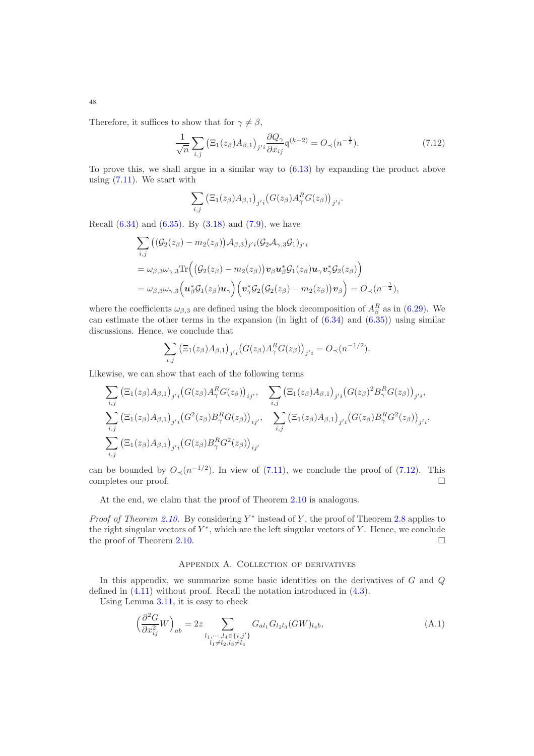Therefore, it suffices to show that for  $\gamma \neq \beta$ ,

<span id="page-47-2"></span>
$$
\frac{1}{\sqrt{n}}\sum_{i,j}\left(\Xi_1(z_\beta)A_{\beta,1}\right)_{j'i}\frac{\partial Q_\gamma}{\partial x_{ij}}\mathfrak{q}^{(k-2)} = O_\prec(n^{-\frac{1}{2}}). \tag{7.12}
$$

To prove this, we shall argue in a similar way to [\(6.13\)](#page-26-7) by expanding the product above using  $(7.11)$ . We start with

$$
\sum_{i,j} \left( \Xi_1(z_\beta) A_{\beta,1} \right)_{j'i} \left( G(z_\beta) A_\gamma^R G(z_\beta) \right)_{j'i}.
$$

Recall  $(6.34)$  and  $(6.35)$ . By  $(3.18)$  and  $(7.9)$ , we have

$$
\sum_{i,j} ((\mathcal{G}_2(z_\beta) - m_2(z_\beta))\mathcal{A}_{\beta,3})_{j'i} (\mathcal{G}_2 \mathcal{A}_{\gamma,3} \mathcal{G}_1)_{j'i}
$$
\n
$$
= \omega_{\beta,3} \omega_{\gamma,3} \text{Tr} ((\mathcal{G}_2(z_\beta) - m_2(z_\beta)) v_\beta u_\beta^* \mathcal{G}_1(z_\beta) u_\gamma v_\gamma^* \mathcal{G}_2(z_\beta))
$$
\n
$$
= \omega_{\beta,3} \omega_{\gamma,3} (u_\beta^* \mathcal{G}_1(z_\beta) u_\gamma) (v_\gamma^* \mathcal{G}_2(\mathcal{G}_2(z_\beta) - m_2(z_\beta)) v_\beta) = O_\prec(n^{-\frac{1}{2}}),
$$

where the coefficients  $\omega_{\beta,3}$  are defined using the block decomposition of  $A_{\beta}^{R}$  as in [\(6.29\)](#page-30-4). We can estimate the other terms in the expansion (in light of  $(6.34)$  and  $(6.35)$ ) using similar discussions. Hence, we conclude that

$$
\sum_{i,j} \left( \Xi_1(z_\beta) A_{\beta,1} \right)_{j'i} \left( G(z_\beta) A_\gamma^R G(z_\beta) \right)_{j'i} = O_{\prec}(n^{-1/2}).
$$

Likewise, we can show that each of the following terms

$$
\sum_{i,j} \left( \Xi_1(z_{\beta}) A_{\beta,1} \right)_{j'i} \left( G(z_{\beta}) A_{\gamma}^R G(z_{\beta}) \right)_{ij'}, \quad \sum_{i,j} \left( \Xi_1(z_{\beta}) A_{\beta,1} \right)_{j'i} \left( G(z_{\beta})^2 B_{\gamma}^R G(z_{\beta}) \right)_{j'i},
$$
\n
$$
\sum_{i,j} \left( \Xi_1(z_{\beta}) A_{\beta,1} \right)_{j'i} \left( G^2(z_{\beta}) B_{\gamma}^R G(z_{\beta}) \right)_{ij'}, \quad \sum_{i,j} \left( \Xi_1(z_{\beta}) A_{\beta,1} \right)_{j'i} \left( G(z_{\beta}) B_{\gamma}^R G^2(z_{\beta}) \right)_{j'i},
$$
\n
$$
\sum_{i,j} \left( \Xi_1(z_{\beta}) A_{\beta,1} \right)_{j'i} \left( G(z_{\beta}) B_{\gamma}^R G^2(z_{\beta}) \right)_{ij'}
$$

can be bounded by  $O_{\prec}(n^{-1/2})$ . In view of [\(7.11\)](#page-46-3), we conclude the proof of [\(7.12\)](#page-47-2). This completes our proof.

At the end, we claim that the proof of Theorem [2.10](#page-7-0) is analogous.

*Proof of Theorem [2.10.](#page-7-0)* By considering  $Y^*$  instead of Y, the proof of Theorem [2.8](#page-6-0) applies to the right singular vectors of  $Y^*$ , which are the left singular vectors of Y. Hence, we conclude the proof of Theorem [2.10.](#page-7-0)

# <span id="page-47-1"></span>Appendix A. Collection of derivatives

<span id="page-47-0"></span>In this appendix, we summarize some basic identities on the derivatives of  $G$  and  $Q$ defined in [\(4.11\)](#page-17-3) without proof. Recall the notation introduced in [\(4.3\)](#page-16-6). Using Lemma [3.11,](#page-15-3) it is easy to check

$$
\left(\frac{\partial^2 G}{\partial x_{ij}^2} W\right)_{ab} = 2z \sum_{\substack{l_1, \dots, l_4 \in \{i, j'\} \\ l_1 \neq l_2, l_3 \neq l_4}} G_{al_1} G_{l_2 l_3} (GW)_{l_4 b},\tag{A.1}
$$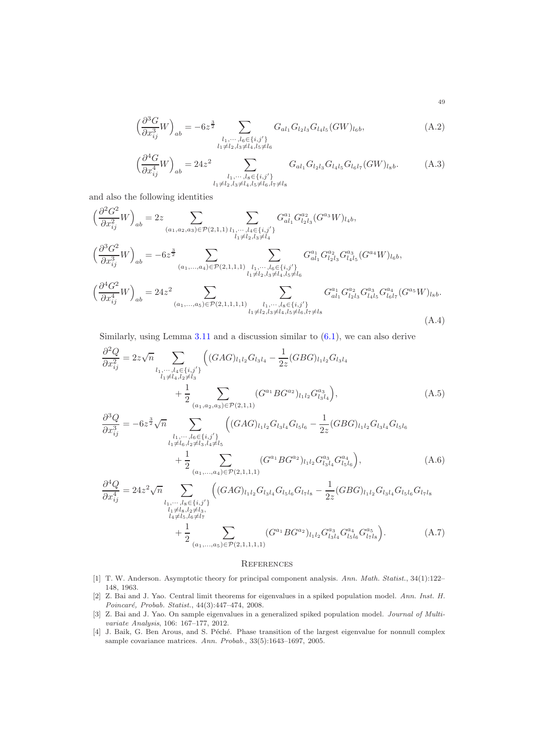<span id="page-48-6"></span>
$$
\left(\frac{\partial^3 G}{\partial x_{ij}^3} W\right)_{ab} = -6z^{\frac{3}{2}} \sum_{\substack{l_1, \dots, l_6 \in \{i, j'\} \\ l_1 \neq l_2, l_3 \neq l_4, l_5 \neq l_6}} G_{al_1} G_{l_2 l_3} G_{l_4 l_5} (GW)_{l_6 b},\tag{A.2}
$$

<span id="page-48-9"></span>
$$
\left(\frac{\partial^4 G}{\partial x_{ij}^4} W\right)_{ab} = 24z^2 \sum_{\substack{l_1, \dots, l_s \in \{i, j'\} \\ l_1 \neq l_2, l_3 \neq l_4, l_5 \neq l_6, l_7 \neq l_8}} G_{al_1} G_{l_2l_3} G_{l_4l_5} G_{l_6l_7} (GW)_{l_8b}.
$$
 (A.3)

and also the following identities

$$
\left(\frac{\partial^2 G^2}{\partial x_{ij}^2} W\right)_{ab} = 2z \sum_{(a_1, a_2, a_3) \in \mathcal{P}(2, 1, 1)} \sum_{\substack{l_1, \dots, l_4 \in \{i, j'\} \\ l_1 \neq l_2, l_3 \neq l_4}} G_{al_1}^{a_1} G_{l_2 l_3}^{a_2} (G^{a_3} W)_{l_4 b},
$$
\n
$$
\left(\frac{\partial^3 G^2}{\partial x_{ij}^3} W\right)_{ab} = -6z^{\frac{3}{2}} \sum_{(a_1, \dots, a_4) \in \mathcal{P}(2, 1, 1, 1)} \sum_{\substack{l_1, \dots, l_6 \in \{i, j'\} \\ l_1 \neq l_2, l_3 \neq l_4, l_5 \neq l_6}} G_{al_1}^{a_1} G_{l_2 l_3}^{a_2} G_{l_4 l_5}^{a_3} (G^{a_4} W)_{l_6 b},
$$
\n
$$
\left(\frac{\partial^4 G^2}{\partial x_{ij}^4} W\right)_{ab} = 24z^2 \sum_{(a_1, \dots, a_5) \in \mathcal{P}(2, 1, 1, 1, 1)} \sum_{\substack{l_1, \dots, l_8 \in \{i, j'\} \\ l_1 \neq l_2, l_3 \neq l_4, l_5 \neq l_6, l_7 \neq l_8}} G_{al_1}^{a_1} G_{l_2 l_3}^{a_2} G_{l_4 l_5}^{a_3} G_{l_6 l_7}^{a_4} (G^{a_5} W)_{l_8 b}.
$$
\n(A.4)

Similarly, using Lemma  $3.11$  and a discussion similar to  $(6.1)$ , we can also derive

$$
\frac{\partial^2 Q}{\partial x_{ij}^2} = 2z\sqrt{n} \sum_{\substack{l_1,\dots,l_4 \in \{i,j'\} \\ l_1 \neq l_4, l_2 \neq l_3}} \left( (GAG)_{l_1 l_2} G_{l_3 l_4} - \frac{1}{2z} (GBG)_{l_1 l_2} G_{l_3 l_4} \right. \\
\left. + \frac{1}{2} \sum_{(a_1,a_2,a_3) \in \mathcal{P}(2,1,1)} (G^{a_1} BG^{a_2})_{l_1 l_2} G^{a_3}_{l_3 l_4} \right),
$$
\n(A.5)

$$
\frac{\partial^3 Q}{\partial x_{ij}^3} = -6z^{\frac{3}{2}}\sqrt{n} \sum_{\substack{l_1,\dots,l_6 \in \{i,j'\} \\ l_1 \neq l_6, l_2 \neq l_3, l_4 \neq l_5}} \left( (GAG)_{l_1l_2} G_{l_3l_4} G_{l_5l_6} - \frac{1}{2z} (GBG)_{l_1l_2} G_{l_3l_4} G_{l_5l_6} \right) + \frac{1}{2} \sum_{(a_1,\dots,a_4) \in \mathcal{P}(2,1,1,1)} (G^{a_1}BG^{a_2})_{l_1l_2} G^{a_3}_{l_3l_4} G^{a_4}_{l_5l_6}),
$$
\n(A.6)

$$
\frac{\partial^4 Q}{\partial x_{ij}^4} = 24z^2 \sqrt{n} \sum_{\substack{l_1, \dots, l_s \in \{i, j'\} \\ l_1 \neq l_s, l_2 \neq l_3, \\ l_4 \neq l_5, l_6 \neq l_7}} \left( (GAG)_{l_1 l_2} G_{l_3 l_4} G_{l_5 l_6} G_{l_7 l_8} - \frac{1}{2z} (GBG)_{l_1 l_2} G_{l_3 l_4} G_{l_5 l_6} G_{l_7 l_8} \right. \\
\left. + \frac{1}{2} \sum_{(a_1, \dots, a_5) \in \mathcal{P}(2, 1, 1, 1, 1)} (G^{a_1} BG^{a_2})_{l_1 l_2} G^{a_3}_{l_3 l_4} G^{a_4}_{l_5 l_6} G^{a_5}_{l_7 l_8} \right). \tag{A.7}
$$

# <span id="page-48-8"></span><span id="page-48-7"></span><span id="page-48-5"></span><span id="page-48-4"></span>**REFERENCES**

- <span id="page-48-3"></span>[1] T. W. Anderson. Asymptotic theory for principal component analysis. *Ann. Math. Statist.*, 34(1):122– 148, 1963.
- <span id="page-48-2"></span>[2] Z. Bai and J. Yao. Central limit theorems for eigenvalues in a spiked population model. *Ann. Inst. H. Poincar´e, Probab. Statist.*, 44(3):447–474, 2008.
- <span id="page-48-1"></span>[3] Z. Bai and J. Yao. On sample eigenvalues in a generalized spiked population model. *Journal of Multivariate Analysis*, 106: 167–177, 2012.
- <span id="page-48-0"></span>[4] J. Baik, G. Ben Arous, and S. Péché. Phase transition of the largest eigenvalue for nonnull complex sample covariance matrices. *Ann. Probab.*, 33(5):1643–1697, 2005.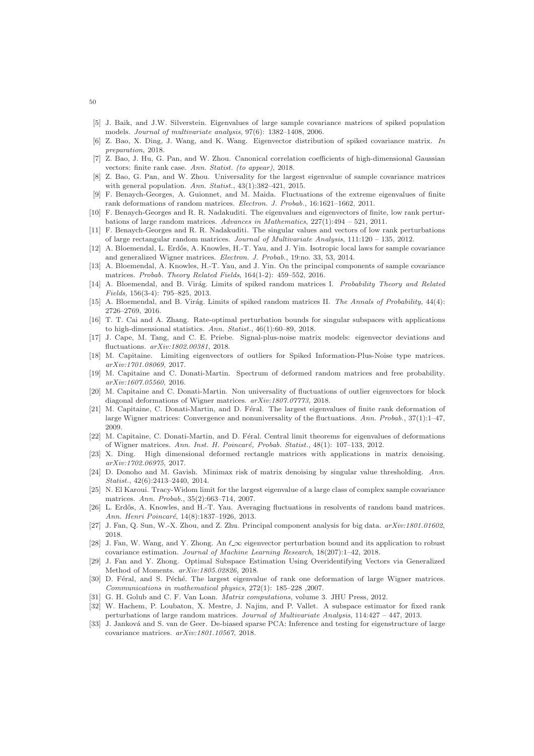- <span id="page-49-5"></span>[5] J. Baik, and J.W. Silverstein. Eigenvalues of large sample covariance matrices of spiked population models. *Journal of multivariate analysis*, 97(6): 1382–1408, 2006.
- <span id="page-49-27"></span>[6] Z. Bao, X. Ding, J. Wang, and K. Wang. Eigenvector distribution of spiked covariance matrix. *In preparation*, 2018.
- <span id="page-49-9"></span>[7] Z. Bao, J. Hu, G. Pan, and W. Zhou. Canonical correlation coefficients of high-dimensional Gaussian vectors: finite rank case. *Ann. Statist. (to appear)*, 2018.
- <span id="page-49-10"></span>[8] Z. Bao, G. Pan, and W. Zhou. Universality for the largest eigenvalue of sample covariance matrices with general population. *Ann. Statist.*, 43(1):382–421, 2015.
- <span id="page-49-11"></span>[9] F. Benaych-Georges, A. Guionnet, and M. Maida. Fluctuations of the extreme eigenvalues of finite rank deformations of random matrices. *Electron. J. Probab.*, 16:1621–1662, 2011.
- <span id="page-49-6"></span>[10] F. Benaych-Georges and R. R. Nadakuditi. The eigenvalues and eigenvectors of finite, low rank perturbations of large random matrices. *Advances in Mathematics*, 227(1):494 – 521, 2011.
- <span id="page-49-7"></span>[11] F. Benaych-Georges and R. R. Nadakuditi. The singular values and vectors of low rank perturbations of large rectangular random matrices. *Journal of Multivariate Analysis*, 111:120 – 135, 2012.
- <span id="page-49-26"></span>[12] A. Bloemendal, L. Erdős, A. Knowles, H.-T. Yau, and J. Yin. Isotropic local laws for sample covariance and generalized Wigner matrices. *Electron. J. Probab.*, 19:no. 33, 53, 2014.
- <span id="page-49-19"></span>[13] A. Bloemendal, A. Knowles, H.-T. Yau, and J. Yin. On the principal components of sample covariance matrices. *Probab. Theory Related Fields*, 164(1-2): 459–552, 2016.
- <span id="page-49-15"></span>[14] A. Bloemendal, and B. Virág. Limits of spiked random matrices I. *Probability Theory and Related Fields*, 156(3-4): 795–825, 2013.
- <span id="page-49-16"></span>[15] A. Bloemendal, and B. Virág. Limits of spiked random matrices II. *The Annals of Probability*, 44(4): 2726–2769, 2016.
- <span id="page-49-21"></span>[16] T. T. Cai and A. Zhang. Rate-optimal perturbation bounds for singular subspaces with applications to high-dimensional statistics. *Ann. Statist.*, 46(1):60–89, 2018.
- <span id="page-49-22"></span>[17] J. Cape, M. Tang, and C. E. Priebe. Signal-plus-noise matrix models: eigenvector deviations and fluctuations. *arXiv:1802.00381*, 2018.
- <span id="page-49-18"></span>[18] M. Capitaine. Limiting eigenvectors of outliers for Spiked Information-Plus-Noise type matrices. *arXiv:1701.08069*, 2017.
- <span id="page-49-8"></span>[19] M. Capitaine and C. Donati-Martin. Spectrum of deformed random matrices and free probability. *arXiv:1607.05560*, 2016.
- <span id="page-49-20"></span>[20] M. Capitaine and C. Donati-Martin. Non universality of fluctuations of outlier eigenvectors for block diagonal deformations of Wigner matrices. *arXiv:1807.07773*, 2018.
- <span id="page-49-12"></span>[21] M. Capitaine, C. Donati-Martin, and D. Féral. The largest eigenvalues of finite rank deformation of large Wigner matrices: Convergence and nonuniversality of the fluctuations. *Ann. Probab.*, 37(1):1–47, 2009.
- <span id="page-49-13"></span>[22] M. Capitaine, C. Donati-Martin, and D. Féral. Central limit theorems for eigenvalues of deformations of Wigner matrices. Ann. Inst. H. Poincaré, Probab. Statist., 48(1): 107-133, 2012.
- <span id="page-49-0"></span>[23] X. Ding. High dimensional deformed rectangle matrices with applications in matrix denoising. *arXiv:1702.06975*, 2017.
- <span id="page-49-1"></span>[24] D. Donoho and M. Gavish. Minimax risk of matrix denoising by singular value thresholding. *Ann. Statist.*, 42(6):2413–2440, 2014.
- <span id="page-49-14"></span>[25] N. El Karoui. Tracy-Widom limit for the largest eigenvalue of a large class of complex sample covariance matrices. *Ann. Probab.*, 35(2):663–714, 2007.
- <span id="page-49-28"></span>[26] L. Erdős, A. Knowles, and H.-T. Yau. Averaging fluctuations in resolvents of random band matrices. *Ann. Henri Poincar´e*, 14(8):1837–1926, 2013.
- <span id="page-49-3"></span>[27] J. Fan, Q. Sun, W.-X. Zhou, and Z. Zhu. Principal component analysis for big data. *arXiv:1801.01602*, 2018.
- <span id="page-49-24"></span>[28] J. Fan, W. Wang, and Y. Zhong. An  $\ell_{\infty}$  eigenvector perturbation bound and its application to robust covariance estimation. *Journal of Machine Learning Research*, 18(207):1–42, 2018.
- <span id="page-49-23"></span>[29] J. Fan and Y. Zhong. Optimal Subspace Estimation Using Overidentifying Vectors via Generalized Method of Moments. *arXiv:1805.02826*, 2018.
- <span id="page-49-17"></span>[30] D. Féral, and S. Péché. The largest eigenvalue of rank one deformation of large Wigner matrices. *Communications in mathematical physics*, 272(1): 185–228 ,2007.
- <span id="page-49-4"></span>[31] G. H. Golub and C. F. Van Loan. *Matrix computations*, volume 3. JHU Press, 2012.
- <span id="page-49-2"></span>[32] W. Hachem, P. Loubaton, X. Mestre, J. Najim, and P. Vallet. A subspace estimator for fixed rank perturbations of large random matrices. *Journal of Multivariate Analysis*, 114:427 – 447, 2013.
- <span id="page-49-25"></span>[33] J. Janková and S. van de Geer. De-biased sparse PCA: Inference and testing for eigenstructure of large covariance matrices. *arXiv:1801.10567*, 2018.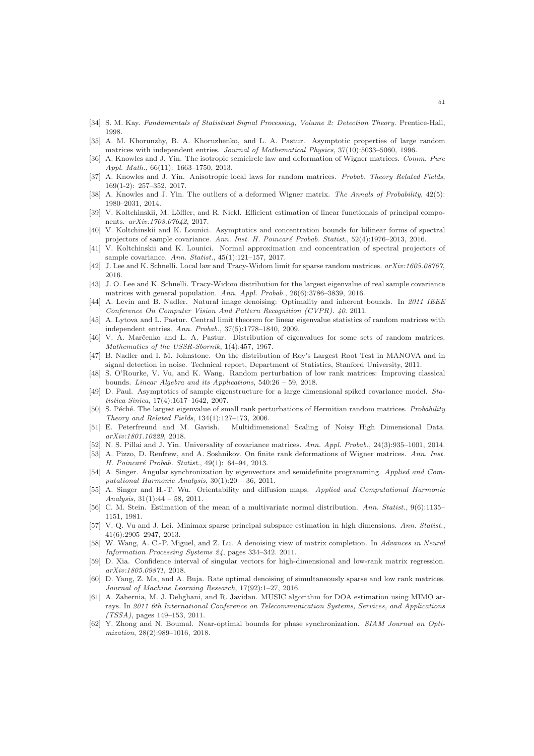- <span id="page-50-10"></span>[34] S. M. Kay. *Fundamentals of Statistical Signal Processing, Volume 2: Detection Theory*. Prentice-Hall, 1998.
- <span id="page-50-26"></span>[35] A. M. Khorunzhy, B. A. Khoruzhenko, and L. A. Pastur. Asymptotic properties of large random matrices with independent entries. *Journal of Mathematical Physics*, 37(10):5033–5060, 1996.
- <span id="page-50-5"></span>[36] A. Knowles and J. Yin. The isotropic semicircle law and deformation of Wigner matrices. *Comm. Pure Appl. Math.*, 66(11): 1663–1750, 2013.
- <span id="page-50-22"></span>[37] A. Knowles and J. Yin. Anisotropic local laws for random matrices. *Probab. Theory Related Fields*, 169(1-2): 257–352, 2017.
- <span id="page-50-9"></span>[38] A. Knowles and J. Yin. The outliers of a deformed Wigner matrix. *The Annals of Probability*, 42(5): 1980–2031, 2014.
- <span id="page-50-17"></span>[39] V. Koltchinskii, M. Löffler, and R. Nickl. Efficient estimation of linear functionals of principal components. *arXiv:1708.07642*, 2017.
- <span id="page-50-18"></span>[40] V. Koltchinskii and K. Lounici. Asymptotics and concentration bounds for bilinear forms of spectral projectors of sample covariance. Ann. Inst. H. Poincaré Probab. Statist., 52(4):1976–2013, 2016.
- <span id="page-50-19"></span>[41] V. Koltchinskii and K. Lounici. Normal approximation and concentration of spectral projectors of sample covariance. *Ann. Statist.*, 45(1):121–157, 2017.
- <span id="page-50-23"></span>[42] J. Lee and K. Schnelli. Local law and Tracy-Widom limit for sparse random matrices. *arXiv:1605.08767*, 2016.
- [43] J. O. Lee and K. Schnelli. Tracy-Widom distribution for the largest eigenvalue of real sample covariance matrices with general population. *Ann. Appl. Probab.*, 26(6):3786–3839, 2016.
- <span id="page-50-14"></span>[44] A. Levin and B. Nadler. Natural image denoising: Optimality and inherent bounds. In *2011 IEEE Conference On Computer Vision And Pattern Recognition (CVPR). 40*. 2011.
- <span id="page-50-25"></span>[45] A. Lytova and L. Pastur. Central limit theorem for linear eigenvalue statistics of random matrices with independent entries. *Ann. Probab.*, 37(5):1778–1840, 2009.
- <span id="page-50-21"></span>[46] V. A. Marčenko and L. A. Pastur. Distribution of eigenvalues for some sets of random matrices. *Mathematics of the USSR-Sbornik*, 1(4):457, 1967.
- <span id="page-50-11"></span>[47] B. Nadler and I. M. Johnstone. On the distribution of Roy's Largest Root Test in MANOVA and in signal detection in noise. Technical report, Department of Statistics, Stanford University, 2011.
- <span id="page-50-15"></span>[48] S. O'Rourke, V. Vu, and K. Wang. Random perturbation of low rank matrices: Improving classical bounds. *Linear Algebra and its Applications*, 540:26 – 59, 2018.
- <span id="page-50-6"></span>[49] D. Paul. Asymptotics of sample eigenstructure for a large dimensional spiked covariance model. *Statistica Sinica*, 17(4):1617–1642, 2007.
- <span id="page-50-7"></span>[50] S. Péché. The largest eigenvalue of small rank perturbations of Hermitian random matrices. *Probability Theory and Related Fields*, 134(1):127–173, 2006.
- <span id="page-50-4"></span>[51] E. Peterfreund and M. Gavish. Multidimensional Scaling of Noisy High Dimensional Data. *arXiv:1801.10229*, 2018.
- <span id="page-50-24"></span>[52] N. S. Pillai and J. Yin. Universality of covariance matrices. *Ann. Appl. Probab.*, 24(3):935–1001, 2014.
- <span id="page-50-8"></span>[53] A. Pizzo, D. Renfrew, and A. Soshnikov. On finite rank deformations of Wigner matrices. *Ann. Inst. H. Poincar´e Probab. Statist.*, 49(1): 64–94, 2013.
- <span id="page-50-2"></span>[54] A. Singer. Angular synchronization by eigenvectors and semidefinite programming. *Applied and Computational Harmonic Analysis*, 30(1):20 – 36, 2011.
- <span id="page-50-3"></span>[55] A. Singer and H.-T. Wu. Orientability and diffusion maps. *Applied and Computational Harmonic Analysis*, 31(1):44 – 58, 2011.
- <span id="page-50-27"></span>[56] C. M. Stein. Estimation of the mean of a multivariate normal distribution. *Ann. Statist.*, 9(6):1135– 1151, 1981.
- <span id="page-50-0"></span>[57] V. Q. Vu and J. Lei. Minimax sparse principal subspace estimation in high dimensions. *Ann. Statist.*, 41(6):2905–2947, 2013.
- <span id="page-50-12"></span>[58] W. Wang, A. C.-P. Miguel, and Z. Lu. A denoising view of matrix completion. In *Advances in Neural Information Processing Systems 24*, pages 334–342. 2011.
- <span id="page-50-20"></span>[59] D. Xia. Confidence interval of singular vectors for high-dimensional and low-rank matrix regression. *arXiv:1805.09871*, 2018.
- <span id="page-50-13"></span>[60] D. Yang, Z. Ma, and A. Buja. Rate optimal denoising of simultaneously sparse and low rank matrices. *Journal of Machine Learning Research*, 17(92):1–27, 2016.
- <span id="page-50-1"></span>[61] A. Zahernia, M. J. Dehghani, and R. Javidan. MUSIC algorithm for DOA estimation using MIMO arrays. In *2011 6th International Conference on Telecommunication Systems, Services, and Applications (TSSA)*, pages 149–153, 2011.
- <span id="page-50-16"></span>[62] Y. Zhong and N. Boumal. Near-optimal bounds for phase synchronization. *SIAM Journal on Optimization*, 28(2):989–1016, 2018.